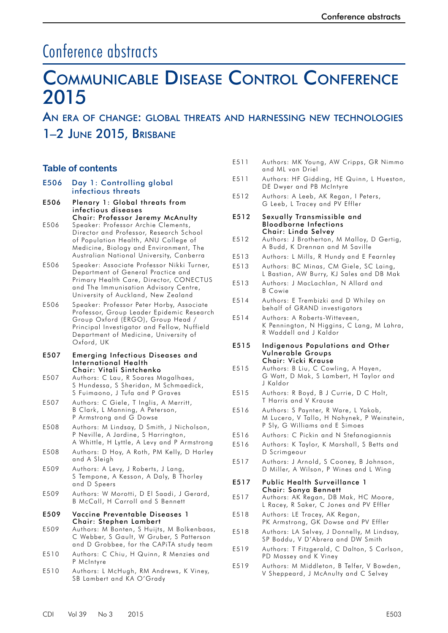# Conference abstracts

# Communicable Disease Control Conference 2015

# An era of change: global threats and harnessing new technologies 1–2 June 2015, Brisbane

# **Table of contents**

- E506 [Day 1: Controlling global](#page-4-0)  [infectious threats](#page-4-0)
- E506 [Plenary 1: Global threats from](#page-4-0)  [infectious diseases](#page-4-0)  [Chair: Professor Jeremy McAnulty](#page-4-0)
- E506 [Speaker: Professor Archie Clements,](#page-4-0)  [Director and Professor, Research School](#page-4-0)  [of Population Health, ANU College of](#page-4-0)  [Medicine, Biology and Environment, The](#page-4-0)  [Australian National University, Canberra](#page-4-0)
- E506 [Speaker: Associate Professor Nikki Turner,](#page-4-0)  [Department of General Practice and](#page-4-0)  [Primary Health Care, Director, CONECTUS](#page-4-0)  [and The Immunisation Advisory Centre,](#page-4-0)  [University of Auckland, New Zealand](#page-4-0)
- E506 [Speaker: Professor Peter Horby, Associate](#page-4-0)  [Professor, Group Leader Epidemic Research](#page-4-0)  [Group Oxford \(ERGO\), Group Head /](#page-4-0)  [Principal Investigator and Fellow, Nuffield](#page-4-0)  [Department of Medicine, University of](#page-4-0)  [Oxford, UK](#page-4-0)

#### E507 [Emerging Infectious Diseases and](#page-5-0)  [International Health](#page-5-0) [Chair: Vitali Sintchenko](#page-5-0)

- E507 [Authors: C Lau, R Soares Magalhaes,](#page-5-0)  S [Hundessa, S Sheridan, M Schmaedick,](#page-5-0)  S [Fuimaono, J Tufa and P](#page-5-0) Graves
- E507 [Authors: C Giele, T Inglis, A Merritt,](#page-5-0)  B [Clark, L Manning, A Peterson,](#page-5-0)  P [Armstrong and G Dowse](#page-5-0)
- E508 [Authors: M Lindsay, D Smith, J Nicholson,](#page-6-0)  P [Neville, A Jardine, S Harrington,](#page-6-0)  A Whittle, H Lyttle, A [Levy and P Armstrong](#page-6-0)
- E508 [Authors: D Hoy, A Roth, PM Kelly, D Harley](#page-6-0)  [and A Sleigh](#page-6-0)
- E509 [Authors: A Levy, J Roberts, J Lang,](#page-7-0)  S [Tempone, A Kesson, A Daly, B Thorley](#page-7-0)  [and D Speers](#page-7-0)
- E509 [Authors: W Morotti, D El Saadi, J Gerard,](#page-7-0)  [B McCall, H Carroll and S Bennett](#page-7-0)

#### E509 [Vaccine Preventable Diseases 1](#page-7-0)  [Chair: Stephen Lambert](#page-7-0)

- E509 [Authors: M Bonten, S Huijts, M Bolkenbaas,](#page-7-0) [C Webber, S Gault, W Gruber, S Patterson](#page-7-0)  [and D Grobbee, for the CAPiTA study team](#page-7-0)
- E510 [Authors: C Chiu, H Quinn, R Menzies and](#page-8-0)  [P McIntyre](#page-8-0)
- E510 [Authors: L McHugh, RM Andrews, K Viney,](#page-8-0)  [SB Lambert and KA O'Grady](#page-8-0)
- E511 [Authors: MK Young, AW Cripps, GR Nimmo](#page-9-0)  [and ML van Driel](#page-9-0)
- E511 [Authors: HF Gidding, HE Quinn, L Hueston,](#page-9-0)  [DE Dwyer and PB McIntyre](#page-9-0)
- E512 [Authors: A Leeb, AK Regan, I Peters,](#page-10-0)  G [Leeb, L Tracey and PV Effler](#page-10-0)
- E512 [Sexually Transmissible and](#page-10-0)  [Bloodborne Infections](#page-10-0) [Chair: Linda Selvey](#page-10-0)
- E512 [Authors: J Brotherton, M Malloy, D Gertig,](#page-10-0)  [A Budd, K Drennan and M Saville](#page-10-0)
- E513 [Authors: L Mills, R Hundy and E Fearnley](#page-11-0)
- E513 [Authors: BC Minas, CM Giele, SC Laing,](#page-11-0)  L [Bastian, AW Burry, KJ Sales and DB Mak](#page-11-0)
- E513 [Authors: J MacLachlan, N Allard and](#page-11-0)  B [Cowie](#page-11-0)
- E514 [Authors: E Trembizki and D Whiley on](#page-12-0)  [behalf of GRAND investigators](#page-12-0)
- E514 [Authors: A Roberts-Witteveen,](#page-12-0)  K [Pennington, N Higgins, C Lang, M Lahra,](#page-12-0)  [R Waddell and J Kaldor](#page-12-0)

#### E515 [Indigenous Populations and Other](#page-13-0)  [Vulnerable Groups](#page-13-0) [Chair: Vicki Krause](#page-13-0)

- E515 [Authors: B Liu, C Cowling, A Hayen,](#page-13-0)  G [Watt, D Mak, S Lambert, H Taylor and](#page-13-0)  J [Kaldor](#page-13-0)
- E515 [Authors: R Boyd, B J Currie, D C Holt,](#page-13-0)  T [Harris and V Krause](#page-13-0)
- E516 [Authors: S Paynter, R Ware, L Yakob,](#page-14-0)  M [Lucero, V Tallo, H Nohynek, P Weinstein,](#page-14-0)  [P Sly, G Williams and E Simoes](#page-14-0)
- E516 [Authors: C Pickin and N Stefanogiannis](#page-14-0)
- E516 [Authors: K Taylor, K Marshall, S Betts and](#page-14-0)  [D Scrimgeour](#page-14-0)
- E517 [Authors: J Arnold, S Cooney, B Johnson,](#page-15-0)  D [Miller, A Wilson, P Wines and L Wing](#page-15-0)

#### E517 [Public Health Surveillance 1](#page-15-0) [Chair: Sonya Bennett](#page-15-0)

- E517 [Authors: AK Regan, DB Mak, HC Moore,](#page-15-0)  L [Racey, R Saker, C Jones and PV Effler](#page-15-0)
- E518 [Authors: LE Tracey, AK Regan,](#page-16-0)  PK [Armstrong, GK Dowse and PV Effler](#page-16-0)
- E518 [Authors: LA Selvey, J Donnelly, M Lindsay,](#page-16-0)  [SP Boddu, V D'Abrera and DW Smith](#page-16-0)
- E519 [Authors: T Fitzgerald, C Dalton, S Carlson,](#page-17-0)  [PD Massey and K Viney](#page-17-0)
- E519 [Authors: M Middleton, B Telfer, V Bowden,](#page-17-0)  [V Sheppeard, J McAnulty and C Selvey](#page-17-0)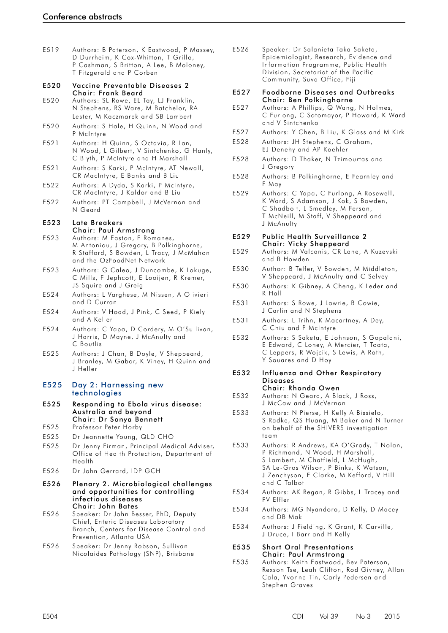| E519 | Authors: B Paterson, K Eastwood, P Massey,<br>D Durrheim, K Cox-Whitton, T Grillo,<br>P Cashman, S Britton, A Lee, B Moloney,<br>T Fitzgerald and P Corben |
|------|------------------------------------------------------------------------------------------------------------------------------------------------------------|
| E520 | Vaccine Preventable Diseases 2                                                                                                                             |
| E520 | Chair: Frank Beard<br>Authors: SL Rowe, EL Tay, LJ Franklin,<br>N Stephens, RS Ware, M Batchelor, RA<br>Lester, M Kaczmarek and SB Lambert                 |
| E520 | Authors: S Hale, H Quinn, N Wood and<br>P McIntyre                                                                                                         |
| E521 | Authors: H Quinn, S Octavia, R Lan,<br>N Wood, L Gilbert, V Sintchenko, G Hanly,<br>C Blyth, P McIntyre and H Marshall                                     |
| E521 | Authors: S Karki, P McIntyre, AT Newall,<br>CR MacIntyre, E Banks and B Liu                                                                                |
| E522 | Authors: A Dyda, S Karki, P McIntyre,<br>CR MacIntyre, J Kaldor and B Liu                                                                                  |
| E522 | Authors: PT Campbell, J McVernon and<br>N Geard                                                                                                            |
| E523 | Late Breakers<br>Chair: Paul Armstrong                                                                                                                     |
| E523 | Authors: M Easton, F Romanes,<br>M Antoniou, J Gregory, B Polkinghorne,<br>R Stafford, S Bowden, L Tracy, J McMahon<br>and the OzFoodNet Network           |
| E523 | Authors: G Caleo, J Duncombe, K Lokuge,<br>C Mills, F Jephcott, E Looijen, R Kremer,<br>JS Squire and J Greig                                              |
| E524 | Authors: L Varghese, M Nissen, A Olivieri<br>and D Curran                                                                                                  |
| E524 | Authors: V Hoad, J Pink, C Seed, P Kiely<br>and A Keller                                                                                                   |
| E524 | Authors: C Yapa, D Cordery, M O'Sullivan,<br>J Harris, D Mayne, J McAnulty and<br>C Boutlis                                                                |
| E525 | Authors: J Chan, B Doyle, V Sheppeard,<br>J Branley, M Gabor, K Viney, H Quinn and<br>J Heller                                                             |
| E525 | Day 2: Harnessing new<br>technologies                                                                                                                      |
| E525 | Responding to Ebola virus disease:<br>Australia and beyond<br>Chair: Dr Sonya Bennett                                                                      |
| E525 | Professor Peter Horby                                                                                                                                      |
| E525 | Dr Jeannette Young, QLD CHO                                                                                                                                |
| E525 | Dr Jenny Firman, Principal Medical Adviser,<br>Office of Health Protection, Department of<br>Health                                                        |
| E526 | Dr John Gerrard, IDP GCH                                                                                                                                   |
| E526 | Plenary 2. Microbiological challenges<br>and opportunities for controlling<br>infectious diseases<br><b>Chair: John Bates</b>                              |
| E526 | Speaker: Dr John Besser, PhD, Deputy<br>Chief, Enteric Diseases Laboratory<br>Branch, Centers for Disease Control and<br>Prevention, Atlanta USA           |
| E526 | Speaker: Dr Jenny Robson, Sullivan<br>Nicolaides Pathology (SNP), Brisbane                                                                                 |
|      |                                                                                                                                                            |

E526 [Speaker: Dr Salanieta Taka Saketa,](#page-24-0)  [Epidemiologist, Research, Evidence and](#page-24-0)  [Information Programme, Public Health](#page-24-0)  [Division, Secretariat of the Pacific](#page-24-0)  [Community, Suva Office, Fiji](#page-24-0)

#### E527 [Foodborne Diseases and Outbreaks](#page-25-0) [Chair: Ben Polkinghorne](#page-25-0)

- E527 [Authors: A Phillips, Q Wang, N Holmes,](#page-25-0)  C [Furlong, C Sotomayor, P Howard, K Ward](#page-25-0)  [and V Sintchenko](#page-25-0)
- E527 [Authors: Y Chen, B Liu, K Glass and M Kirk](#page-25-0)
- E528 [Authors: JH Stephens, C Graham,](#page-26-0)  EJ [Denehy and AP Koehler](#page-26-0)
- E528 [Authors: D Thaker, N Tzimourtas and](#page-26-0)  J [Gregory](#page-26-0)
- E528 [Authors: B Polkinghorne, E Fearnley and](#page-26-0)  F [May](#page-26-0)
- E529 [Authors: C Yapa, C Furlong, A Rosewell,](#page-27-0)  [K Ward, S Adamson, J Kok, S Bowden,](#page-27-0)  C [Shadbolt, L Smedley, M Ferson,](#page-27-0)  T [McNeill, M Staff, V Sheppeard and](#page-27-0)  J [McAnulty](#page-27-0)

#### E529 [Public Health Surveillance 2](#page-27-0) [Chair: Vicky Sheppeard](#page-27-0)

- E529 [Authors: M Valcanis, CR Lane, A Kuzevski](#page-27-0)  [and B Howden](#page-27-0)
- E530 [Author: B Telfer, V Bowden, M Middleton,](#page-28-0)  V [Sheppeard, J McAnulty and C Selvey](#page-28-0)
- E530 [Authors: K Gibney, A Cheng, K Leder and](#page-28-0)  R [Hall](#page-28-0)
- E531 [Authors: S Rowe, J Lawrie, B Cowie,](#page-29-0)  J [Carlin and N Stephens](#page-29-0)
- E531 [Authors: L Trihn, K Macartney, A Dey,](#page-29-0)  C [Chiu and P McIntyre](#page-29-0)
- E532 [Authors: S Saketa, E Johnson, S Gopalani,](#page-30-0)  [E Edward, C Loney, A Mercier, T Toata,](#page-30-0)  [C Leppers, R Wojcik, S Lewis, A Roth,](#page-30-0)  Y [Souares and D Hoy](#page-30-0)

#### E532 [Influenza and Other Respiratory](#page-30-0)  [Diseases](#page-30-0) [Chair: Rhonda Owen](#page-30-0)

- E532 [Authors: N Geard, A Black, J Ross,](#page-30-0)  J [McCaw and J McVernon](#page-30-0)
- E533 [Authors: N Pierse, H Kelly A Bissielo,](#page-31-0)  S [Radke, QS Huang, M Baker and N Turner](#page-31-0)  [on behalf of the SHIVERS investigation](#page-31-0)  [team](#page-31-0)
- E533 [Authors: R Andrews, KA O'Grady, T](#page-31-0) Nolan, [P Richmond, N Wood, H Marshall,](#page-31-0)  S Lambert, M Chatfield, L McHugh, SA [Le-Gros Wilson, P Binks, K Watson,](#page-31-0)  J [Zenchyson, E Clarke, M Kefford, V Hill](#page-31-0)  and C [Talbot](#page-31-0)
- E534 [Authors: AK Regan, R Gibbs, L Tracey and](#page-32-0)  [PV Effler](#page-32-0)
- E534 [Authors: MG Nyandoro, D Kelly, D Macey](#page-32-0)  [and DB Mak](#page-32-0)
- E534 [Authors: J Fielding, K Grant, K Carville,](#page-32-0)  J [Druce, I Barr and H Kelly](#page-32-0)

#### E535 [Short Oral Presentations](#page-33-0) [Chair: Paul Armstrong](#page-33-0)

E535 [Authors: Keith Eastwood, Bev Paterson,](#page-33-0)  [Rexson Tse, Leah Clifton, Rod Givney, Allan](#page-33-0)  [Cala, Yvonne Tin, Carly Pedersen and](#page-33-0)  [Stephen Graves](#page-33-0)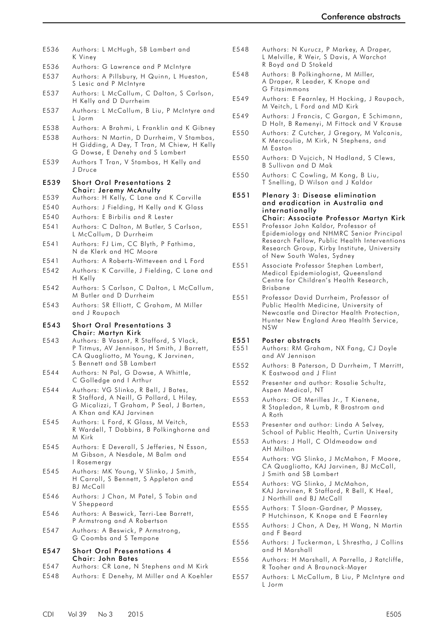| E536         | Authors: L McHugh, SB Lambert and<br>K Viney                                                                                                                                   |
|--------------|--------------------------------------------------------------------------------------------------------------------------------------------------------------------------------|
| E536         | Authors: G Lawrence and P McIntyre                                                                                                                                             |
| E537         | Authors: A Pillsbury, H Quinn, L Hueston,<br>S Lesic and P McIntyre                                                                                                            |
| E537         | Authors: L McCallum, C Dalton, S Carlson,<br>H Kelly and D Durrheim                                                                                                            |
| E537         | Authors: L McCallum, B Liu, P McIntyre and<br>L Jorm                                                                                                                           |
| E538         | Authors: A Brahmi, L Franklin and K Gibney                                                                                                                                     |
| E538         | Authors: N Martin, D Durrheim, V Stambos,<br>H Gidding, A Dey, T Tran, M Chiew, H Kelly<br>G Dowse, E Denehy and S Lambert                                                     |
| E539         | Authors T Tran, V Stambos, H Kelly and<br>J Druce                                                                                                                              |
| E539         | Short Oral Presentations 2                                                                                                                                                     |
| E539         | Chair: Jeremy McAnulty<br>Authors: H Kelly, C Lane and K Carville                                                                                                              |
|              |                                                                                                                                                                                |
| E540         | Authors: J Fielding, H Kelly and K Glass                                                                                                                                       |
| E540         | Authors: E Birbilis and R Lester                                                                                                                                               |
| E541         | Authors: C Dalton, M Butler, S Carlson,<br>L McCallum, D Durrheim                                                                                                              |
| E541         | Authors: FJ Lim, CC Blyth, P Fathima,<br>N de Klerk and HC Moore                                                                                                               |
| E541         | Authors: A Roberts-Witteveen and L Ford                                                                                                                                        |
| E542         | Authors: K Carville, J Fielding, C Lane and<br>H Kelly                                                                                                                         |
| E542         | Authors: S Carlson, C Dalton, L McCallum,<br>M Butler and D Durrheim                                                                                                           |
| E543         | Authors: SR Elliott, C Graham, M Miller                                                                                                                                        |
|              | and J Raupach                                                                                                                                                                  |
| E543         | <b>Short Oral Presentations 3</b>                                                                                                                                              |
| E543         | Chair: Martyn Kirk<br>Authors: B Vasant, R Stafford, S Vlack,<br>P Titmus, AV Jennison, H Smith, J Barrett,<br>CA Quagliotto, M Young, K Jarvinen,<br>S Bennett and SB Lambert |
| E544         | Authors: N Pal, G Dowse, A Whittle,<br>C Golledge and I Arthur                                                                                                                 |
| E544         | Authors: VG Slinko, R Bell, J Bates,<br>R Stafford, A Neill, G Pollard, L Hiley,<br>G Micalizzi, T Graham, P Seal, J Barten,<br>A Khan and KAJ Jarvinen                        |
| E545         | Authors: L Ford, K Glass, M Veitch,<br>R Wardell, T Dobbins, B Polkinghorne and<br>M Kirk                                                                                      |
| E545         | Authors: E Deverall, S Jefferies, N Esson,<br>M Gibson, A Nesdale, M Balm and<br>l Rosemergy                                                                                   |
| E545         | Authors: MK Young, V Slinko, J Smith,<br>H Carroll, S Bennett, S Appleton and<br>BJ McCall                                                                                     |
| E546         | Authors: J Chan, M Patel, S Tobin and<br>V Sheppeard                                                                                                                           |
| E546         | Authors: A Beswick, Terri-Lee Barrett,<br>P Armstrong and A Robertson                                                                                                          |
| E547         | Authors: A Beswick, P Armstrong,<br>G Coombs and S Tempone                                                                                                                     |
| E547         | <b>Short Oral Presentations 4</b>                                                                                                                                              |
|              | Chair: John Bates                                                                                                                                                              |
| E547<br>E548 | Authors: CR Lane, N Stephens and M Kirk<br>Authors: E Denehy, M Miller and A Koehler                                                                                           |

- E548 [Authors: N Kurucz, P Markey, A Draper,](#page-46-0)  L [Melville, R Weir, S Davis, A Warchot](#page-46-0)  R [Boyd and D Stokeld](#page-46-0)
- E548 [Authors: B Polkinghorne, M Miller,](#page-46-0)  [A Draper, R Leader, K Knope and](#page-46-0)  G [Fitzsimmons](#page-46-0)
- E549 [Authors: E Fearnley, H Hocking, J Raupach,](#page-47-0)  [M Veitch, L Ford and MD Kirk](#page-47-0)
- E549 [Authors: J Francis, C Gargan, E Schimann,](#page-47-0)  [D Holt, B Remenyi, M Fittock and V Krause](#page-47-0)
- E550 [Authors: Z Cutcher, J Gregory, M Valcanis,](#page-48-0)  [K Mercoulia, M Kirk, N Stephens, and](#page-48-0)  M [Easton](#page-48-0)
- E550 [Authors: D Vujcich, N Hadland, S Clews,](#page-48-0)  B [Sullivan and D Mak](#page-48-0)
- E550 [Authors: C Cowling, M Kong, B Liu,](#page-48-0)  T [Snelling, D Wilson and J Kaldor](#page-48-0)
- E551 [Plenary 3: Disease elimination](#page-49-0)  [and eradication in Australia and](#page-49-0)  [internationally](#page-49-0) [Chair: Associate Professor Martyn Kirk](#page-49-0)
- E551 [Professor John Kaldor, Professor of](#page-49-0)  [Epidemiology and NHMRC Senior Principal](#page-49-0)  [Research Fellow, Public Health Interventions](#page-49-0)  [Research Group, Kirby Institute, University](#page-49-0)  [of New South Wales, Sydney](#page-49-0)
- E551 [Associate Professor Stephen Lambert,](#page-49-0)  [Medical Epidemiologist, Queensland](#page-49-0)  [Centre for Children's Health Research,](#page-49-0)  [Brisbane](#page-49-0)
- E551 [Professor David Durrheim, Professor of](#page-49-0)  [Public Health Medicine, University of](#page-49-0)  [Newcastle and Director Health Protection,](#page-49-0)  [Hunter New England Area Health Service,](#page-49-0)  [NSW](#page-49-0)

# E551 [Poster abstracts](#page-49-0)<br>E551 Authors: RM Grah

- Authors: RM Graham, NX Fang, CJ Doyle [and AV Jennison](#page-49-0)
- E552 [Authors: B Paterson, D Durrheim, T Merritt,](#page-50-0)  [K Eastwood and J Flint](#page-50-0)
- E552 [Presenter and author: Rosalie Schultz,](#page-50-0)  [Aspen Medical, NT](#page-50-0)
- E553 [Authors: OE Merilles Jr., T Kienene,](#page-51-0)  R [Stapledon, R Lumb, R Brostrom and](#page-51-0)  A [Roth](#page-51-0)
- E553 [Presenter and author: Linda A Selvey,](#page-51-0)  [School of Public Health, Curtin University](#page-51-0)
- E553 [Authors: J Hall, C Oldmeadow and](#page-51-0)  AH [Milton](#page-51-0)
- E554 [Authors: VG Slinko, J McMahon, F Moore,](#page-52-0)  CA Quagliotto, KAJ Jarvinen, BJ McCall, J [Smith and SB](#page-52-0) Lambert
- E554 [Authors: VG Slinko, J McMahon,](#page-52-0)  KAJ [Jarvinen, R Stafford, R Bell, K Heel,](#page-52-0)  J [Northill and BJ McCall](#page-52-0)
- E555 [Authors: T Sloan-Gardner, P Massey,](#page-53-0)  P [Hutchinson, K Knope and E Fearnley](#page-53-0)
- E555 [Authors: J Chan, A Dey, H Wang, N Martin](#page-53-0)  [and F Beard](#page-53-0)
- E556 [Authors: J Tuckerman, L Shrestha, J Collins](#page-54-0)  [and H Marshall](#page-54-0)
- E556 [Authors: H Marshall, A Parrella, J Ratcliffe,](#page-54-0)  [R Tooher and A Braunack-Mayer](#page-54-0)
- E557 [Authors: L McCallum, B Liu, P McIntyre and](#page-55-0)  [L Jorm](#page-55-0)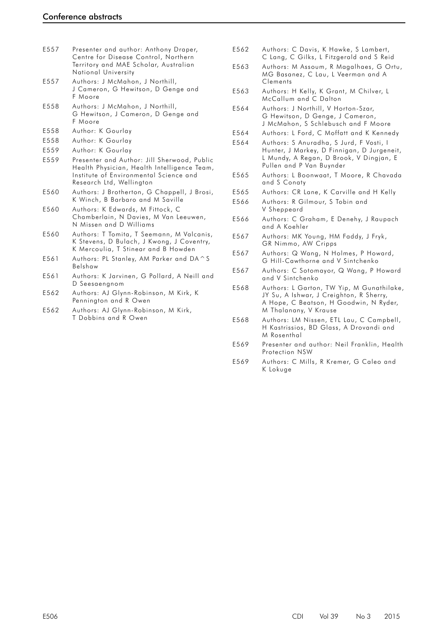| E557 | Presenter and author: Anthony Draper, |
|------|---------------------------------------|
|      | Centre for Disease Control, Northern  |
|      | Territory and MAE Scholar, Australian |
|      | National University                   |

- E557 [Authors: J McMahon, J Northill,](#page-55-0)  J [Cameron, G Hewitson, D Genge and](#page-55-0)  F [Moore](#page-55-0)
- E558 [Authors: J McMahon, J Northill,](#page-56-0)  G [Hewitson, J Cameron, D Genge and](#page-56-0)  F [Moore](#page-56-0)
- E558 [Author: K Gourlay](#page-56-0)
- E558 [Author: K Gourlay](#page-56-0)
- E559 [Author: K Gourlay](#page-57-0)
- E559 [Presenter and Author: Jill Sherwood,](#page-57-0) Public [Health Physician, Health Intelligence Team,](#page-57-0)  [Institute of Environmental Science and](#page-57-0)  [Research Ltd, Wellington](#page-57-0)
- E560 [Authors: J Brotherton, G Chappell, J Brosi,](#page-58-0)  [K Winch, B Barbaro and M Saville](#page-58-0)
- E560 [Authors: K Edwards, M Fittock, C](#page-58-0)  [Chamberlain, N Davies, M Van Leeuwen,](#page-58-0)  N [Missen and D Williams](#page-58-0)
- E560 [Authors: T Tomita, T Seemann, M Valcanis,](#page-58-0)  [K Stevens, D Bulach, J Kwong, J Coventry,](#page-58-0)  [K Mercoulia, T Stinear and B Howden](#page-58-0)
- E561 [Authors: PL Stanley, AM Parker and DA^S](#page-59-0)  [Belsh](#page-59-0)aw
- E561 [Authors: K Jarvinen, G Pollard, A Neill and](#page-59-0)  [D Seesaengnom](#page-59-0)
- E562 [Authors: AJ Glynn-Robinson, M Kirk, K](#page-60-0)  [Pennington and R Owen](#page-60-0)
- E562 [Authors: AJ Glynn-Robinson, M Kirk,](#page-60-0)  T [Dobbins and R Owen](#page-60-0)
- E562 [Authors: C Davis, K Hawke, S Lambert,](#page-60-0)  C [Lang, C Gilks, L Fitzgerald and S Reid](#page-60-0)
- E563 [Authors: M Assoum, R Magalhaes, G Ortu,](#page-61-0)  [MG Basanez, C Lau, L Veerman and A](#page-61-0)  **[Clements](#page-61-0)**
- E563 [Authors: H Kelly, K Grant, M Chilver, L](#page-61-0)  [McCallum and C Dalton](#page-61-0)
- E564 [Authors: J Northill, V Horton-Szar,](#page-62-0)  [G Hewitson, D Genge, J Cameron,](#page-62-0)  J [McMahon, S Schlebusch and F Moore](#page-62-0)
- E564 [Authors: L Ford, C Moffatt and K Kennedy](#page-62-0)
- E564 [Authors: S Anuradha, S Jurd, F Vosti, I](#page-62-0)  [Hunter, J Markey, D Finnigan, D Jurgeneit,](#page-62-0)  [L Mundy, A Regan, D Brook, V Dingjan, E](#page-62-0)  [Pullen and P Van Buynder](#page-62-0)
- E565 [Authors: L Boonwaat, T Moore, R Chavada](#page-63-0)  [and S Conaty](#page-63-0)
- E565 [Authors: CR Lane, K Carville and H Kelly](#page-63-0)
- E566 [Authors: R Gilmour, S Tobin and](#page-64-0)  V [Sheppeard](#page-64-0)
- E566 [Authors: C Graham, E Denehy, J Raupach](#page-64-0)  [and A Koehler](#page-64-0)
- E567 [Authors: MK Young, HM Faddy, J Fryk,](#page-65-0)  GR [Nimmo, AW Cripps](#page-65-0)
- E567 [Authors: Q Wang, N Holmes, P Howard,](#page-65-0)  G [Hill-Cawthorne and V Sintchenko](#page-65-0)
- E567 [Authors: C Sotomayor, Q Wang, P Howard](#page-65-0)  [and V Sintchenko](#page-65-0)
- E568 [Authors: L Garton, TW Yip, M Gunathilake,](#page-66-0)  JY Su, A Ishwar, J Creighton, R Sherry, A [Hope, C Beatson, H Goodwin, N Ryder,](#page-66-0)  [M Thalanany, V Krause](#page-66-0)
- E568 [Authors: LM Nissen, ETL Lau, C Campbell,](#page-66-0)  [H Kastrissios, BD Glass, A Drovandi and](#page-66-0)  M [Rosenthal](#page-66-0)
- E569 [Presenter and author: Neil Franklin, Health](#page-67-0)  [Protection NSW](#page-67-0)
- E569 [Authors: C Mills, R Kremer, G Caleo and](#page-67-0)  K [Lokuge](#page-67-0)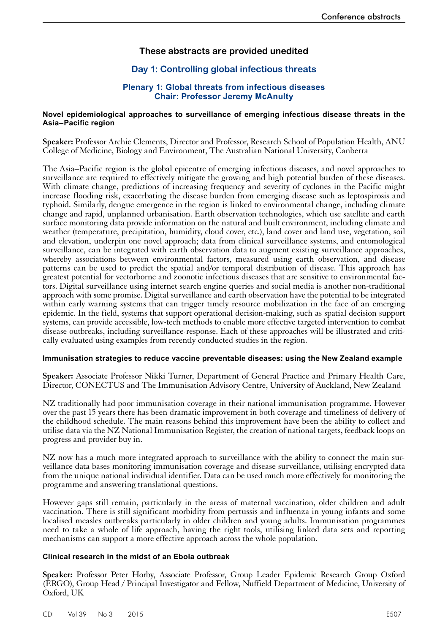# **These abstracts are provided unedited**

# **Day 1: Controlling global infectious threats**

# **Plenary 1: Global threats from infectious diseases Chair: Professor Jeremy McAnulty**

#### <span id="page-4-0"></span>**Novel epidemiological approaches to surveillance of emerging infectious disease threats in the Asia–Pacific region**

**Speaker:** Professor Archie Clements, Director and Professor, Research School of Population Health, ANU College of Medicine, Biology and Environment, The Australian National University, Canberra

The Asia–Pacific region is the global epicentre of emerging infectious diseases, and novel approaches to surveillance are required to effectively mitigate the growing and high potential burden of these diseases. With climate change, predictions of increasing frequency and severity of cyclones in the Pacific might increase flooding risk, exacerbating the disease burden from emerging disease such as leptospirosis and typhoid. Similarly, dengue emergence in the region is linked to environmental change, including climate change and rapid, unplanned urbanisation. Earth observation technologies, which use satellite and earth surface monitoring data provide information on the natural and built environment, including climate and weather (temperature, precipitation, humidity, cloud cover, etc.), land cover and land use, vegetation, soil and elevation, underpin one novel approach; data from clinical surveillance systems, and entomological surveillance, can be integrated with earth observation data to augment existing surveillance approaches, whereby associations between environmental factors, measured using earth observation, and disease patterns can be used to predict the spatial and/or temporal distribution of disease. This approach has greatest potential for vectorborne and zoonotic infectious diseases that are sensitive to environmental factors. Digital surveillance using internet search engine queries and social media is another non-traditional approach with some promise. Digital surveillance and earth observation have the potential to be integrated within early warning systems that can trigger timely resource mobilization in the face of an emerging epidemic. In the field, systems that support operational decision-making, such as spatial decision support systems, can provide accessible, low-tech methods to enable more effective targeted intervention to combat disease outbreaks, including surveillance-response. Each of these approaches will be illustrated and critically evaluated using examples from recently conducted studies in the region.

#### **Immunisation strategies to reduce vaccine preventable diseases: using the New Zealand example**

**Speaker:** Associate Professor Nikki Turner, Department of General Practice and Primary Health Care, Director, CONECTUS and The Immunisation Advisory Centre, University of Auckland, New Zealand

NZ traditionally had poor immunisation coverage in their national immunisation programme. However over the past 15 years there has been dramatic improvement in both coverage and timeliness of delivery of the childhood schedule. The main reasons behind this improvement have been the ability to collect and utilise data via the NZ National Immunisation Register, the creation of national targets, feedback loops on progress and provider buy in.

NZ now has a much more integrated approach to surveillance with the ability to connect the main surveillance data bases monitoring immunisation coverage and disease surveillance, utilising encrypted data from the unique national individual identifier. Data can be used much more effectively for monitoring the programme and answering translational questions.

However gaps still remain, particularly in the areas of maternal vaccination, older children and adult vaccination. There is still significant morbidity from pertussis and influenza in young infants and some localised measles outbreaks particularly in older children and young adults. Immunisation programmes need to take a whole of life approach, having the right tools, utilising linked data sets and reporting mechanisms can support a more effective approach across the whole population.

#### **Clinical research in the midst of an Ebola outbreak**

**Speaker:** Professor Peter Horby, Associate Professor, Group Leader Epidemic Research Group Oxford (ERGO), Group Head / Principal Investigator and Fellow, Nuffield Department of Medicine, University of Oxford, UK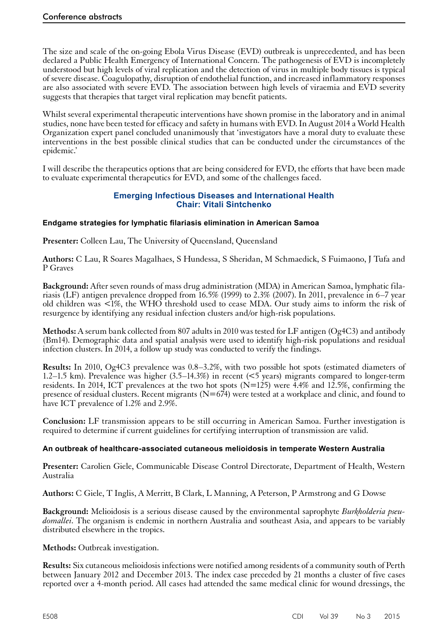<span id="page-5-0"></span>The size and scale of the on-going Ebola Virus Disease (EVD) outbreak is unprecedented, and has been declared a Public Health Emergency of International Concern. The pathogenesis of EVD is incompletely understood but high levels of viral replication and the detection of virus in multiple body tissues is typical of severe disease. Coagulopathy, disruption of endothelial function, and increased inflammatory responses are also associated with severe EVD. The association between high levels of viraemia and EVD severity suggests that therapies that target viral replication may benefit patients.

Whilst several experimental therapeutic interventions have shown promise in the laboratory and in animal studies, none have been tested for efficacy and safety in humans with EVD. In August 2014 a World Health Organization expert panel concluded unanimously that 'investigators have a moral duty to evaluate these interventions in the best possible clinical studies that can be conducted under the circumstances of the epidemic.'

I will describe the therapeutics options that are being considered for EVD, the efforts that have been made to evaluate experimental therapeutics for EVD, and some of the challenges faced.

# **Emerging Infectious Diseases and International Health Chair: Vitali Sintchenko**

# **Endgame strategies for lymphatic filariasis elimination in American Samoa**

**Presenter:** Colleen Lau, The University of Queensland, Queensland

**Authors:** C Lau, R Soares Magalhaes, S Hundessa, S Sheridan, M Schmaedick, S Fuimaono, J Tufa and P Graves

**Background:** After seven rounds of mass drug administration (MDA) in American Samoa, lymphatic filariasis (LF) antigen prevalence dropped from 16.5% (1999) to 2.3% (2007). In 2011, prevalence in 6–7 year old children was <1%, the WHO threshold used to cease MDA. Our study aims to inform the risk of resurgence by identifying any residual infection clusters and/or high-risk populations.

**Methods:** A serum bank collected from 807 adults in 2010 was tested for LF antigen (Og4C3) and antibody (Bm14). Demographic data and spatial analysis were used to identify high-risk populations and residual infection clusters. In 2014, a follow up study was conducted to verify the findings.

**Results:** In 2010, Og4C3 prevalence was 0.8–3.2%, with two possible hot spots (estimated diameters of 1.2–1.5 km). Prevalence was higher (3.5–14.3%) in recent (<5 years) migrants compared to longer-term residents. In 2014, ICT prevalences at the two hot spots  $(N=125)$  were  $\frac{14}{6}$  and 12.5%, confirming the presence of residual clusters. Recent migrants  $(N=674)$  were tested at a workplace and clinic, and found to have ICT prevalence of 1.2% and 2.9%.

**Conclusion:** LF transmission appears to be still occurring in American Samoa. Further investigation is required to determine if current guidelines for certifying interruption of transmission are valid.

#### **An outbreak of healthcare-associated cutaneous melioidosis in temperate Western Australia**

**Presenter:** Carolien Giele, Communicable Disease Control Directorate, Department of Health, Western Australia

**Authors:** C Giele, T Inglis, A Merritt, B Clark, L Manning, A Peterson, P Armstrong and G Dowse

Background: Melioidosis is a serious disease caused by the environmental saprophyte Burkholderia pseu-<br>domallei. The organism is endemic in northern Australia and southeast Asia, and appears to be variably distributed elsewhere in the tropics.

**Methods:** Outbreak investigation.

**Results:** Six cutaneous melioidosis infections were notified among residents of a community south of Perth between January 2012 and December 2013. The index case preceded by 21 months a cluster of five cases reported over a 4-month period. All cases had attended the same medical clinic for wound dressings, the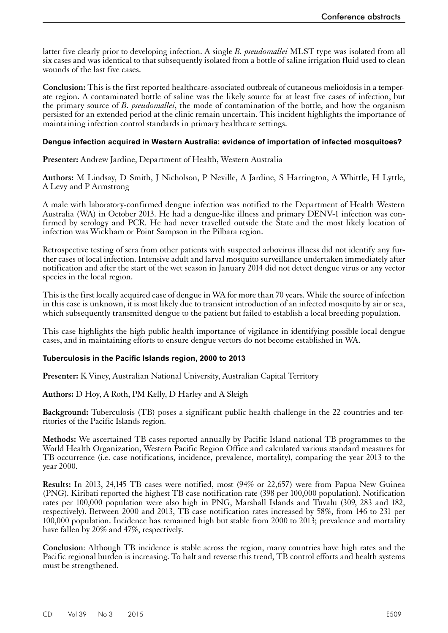<span id="page-6-0"></span>latter five clearly prior to developing infection. A single *B. pseudomallei* MLST type was isolated from all six cases and was identical to that subsequently isolated from a bottle of saline irrigation fluid used to clean wounds of the last five cases.

**Conclusion:** This is the first reported healthcare-associated outbreak of cutaneous melioidosis in a temperate region. A contaminated bottle of saline was the likely source for at least five cases of infection, but the primary source of *B. pseudomallei*, the mode of contamination of the bottle, and how the organism persisted for an extended period at the clinic remain uncertain. This incident highlights the importance of maintaining infection control standards in primary healthcare settings.

## **Dengue infection acquired in Western Australia: evidence of importation of infected mosquitoes?**

**Presenter:** Andrew Jardine, Department of Health, Western Australia

**Authors:** M Lindsay, D Smith, J Nicholson, P Neville, A Jardine, S Harrington, A Whittle, H Lyttle, A Levy and P Armstrong

A male with laboratory-confirmed dengue infection was notified to the Department of Health Western Australia (WA) in October 2013. He had a dengue-like illness and primary DENV-1 infection was confirmed by serology and PCR. He had never travelled outside the State and the most likely location of infection was Wickham or Point Sampson in the Pilbara region.

Retrospective testing of sera from other patients with suspected arbovirus illness did not identify any further cases of local infection. Intensive adult and larval mosquito surveillance undertaken immediately after notification and after the start of the wet season in January 2014 did not detect dengue virus or any vector species in the local region.

This is the first locally acquired case of dengue in WA for more than 70 years. While the source of infection in this case is unknown, it is most likely due to transient introduction of an infected mosquito by air or sea, which subsequently transmitted dengue to the patient but failed to establish a local breeding population.

This case highlights the high public health importance of vigilance in identifying possible local dengue cases, and in maintaining efforts to ensure dengue vectors do not become established in WA.

# **Tuberculosis in the Pacific Islands region, 2000 to 2013**

**Presenter:** K Viney, Australian National University, Australian Capital Territory

**Authors:** D Hoy, A Roth, PM Kelly, D Harley and A Sleigh

**Background:** Tuberculosis (TB) poses a significant public health challenge in the 22 countries and ter- ritories of the Pacific Islands region.

**Methods:** We ascertained TB cases reported annually by Pacific Island national TB programmes to the World Health Organization, Western Pacific Region Office and calculated various standard measures for TB occurrence (i.e. case notifications, incidence, prevalence, mortality), comparing the year 2013 to the year 2000.

**Results:** In 2013, 24,145 TB cases were notified, most (94% or 22,657) were from Papua New Guinea (PNG). Kiribati reported the highest TB case notification rate (398 per 100,000 population). Notification rates per 100,000 population were also high in PNG, Marshall Islands and Tuvalu (309, 283 and 182, respectively). Between 2000 and 2013, TB case notification rates increased by 58%, from 146 to 231 per 100,000 population. Incidence has remained high but stable from 2000 to 2013; prevalence and mortality have fallen by 20% and 47%, respectively.

**Conclusion**: Although TB incidence is stable across the region, many countries have high rates and the Pacific regional burden is increasing. To halt and reverse this trend, TB control efforts and health systems must be strengthened.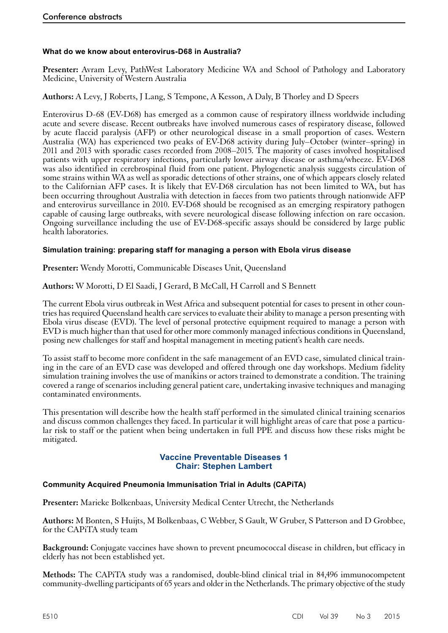# <span id="page-7-0"></span>**What do we know about enterovirus-D68 in Australia?**

**Presenter:** Avram Levy, PathWest Laboratory Medicine WA and School of Pathology and Laboratory Medicine, University of Western Australia

**Authors:** A Levy, J Roberts, J Lang, S Tempone, A Kesson, A Daly, B Thorley and D Speers

Enterovirus D-68 (EV-D68) has emerged as a common cause of respiratory illness worldwide including acute and severe disease. Recent outbreaks have involved numerous cases of respiratory disease, followed by acute flaccid paralysis (AFP) or other neurological disease in a small proportion of cases. Western Australia (WA) has experienced two peaks of EV-D68 activity during July–October (winter–spring) in 2011 and 2013 with sporadic cases recorded from 2008–2015. The majority of cases involved hospitalised patients with upper respiratory infections, particularly lower airway disease or asthma/wheeze. EV-D68 was also identified in cerebrospinal fluid from one patient. Phylogenetic analysis suggests circulation of some strains within WA as well as sporadic detections of other strains, one of which appears closely related to the Californian AFP cases. It is likely that EV-D68 circulation has not been limited to WA, but has been occurring throughout Australia with detection in faeces from two patients through nationwide AFP and enterovirus surveillance in 2010. EV-D68 should be recognised as an emerging respiratory pathogen capable of causing large outbreaks, with severe neurological disease following infection on rare occasion. Ongoing surveillance including the use of EV-D68-specific assays should be considered by large public health laboratories.

# **Simulation training: preparing staff for managing a person with Ebola virus disease**

**Presenter:** Wendy Morotti, Communicable Diseases Unit, Queensland

**Authors:** W Morotti, D El Saadi, J Gerard, B McCall, H Carroll and S Bennett

The current Ebola virus outbreak in West Africa and subsequent potential for cases to present in other countries has required Queensland health care services to evaluate their ability to manage a person presenting with Ebola virus disease (EVD). The level of personal protective equipment required to manage a person with EVD is much higher than that used for other more commonly managed infectious conditions in Queensland, posing new challenges for staff and hospital management in meeting patient's health care needs.

To assist staff to become more confident in the safe management of an EVD case, simulated clinical train- ing in the care of an EVD case was developed and offered through one day workshops. Medium fidelity simulation training involves the use of manikins or actors trained to demonstrate a condition. The training covered a range of scenarios including general patient care, undertaking invasive techniques and managing contaminated environments.

This presentation will describe how the health staff performed in the simulated clinical training scenarios and discuss common challenges they faced. In particular it will highlight areas of care that pose a particu- lar risk to staff or the patient when being undertaken in full PPE and discuss how these risks might be mitigated.

# **Vaccine Preventable Diseases 1 Chair: Stephen Lambert**

#### **Community Acquired Pneumonia Immunisation Trial in Adults (CAPiTA)**

**Presenter:** Marieke Bolkenbaas, University Medical Center Utrecht, the Netherlands

**Authors:** M Bonten, S Huijts, M Bolkenbaas, C Webber, S Gault, W Gruber, S Patterson and D Grobbee, for the CAPiTA study team

**Background:** Conjugate vaccines have shown to prevent pneumococcal disease in children, but efficacy in elderly has not been established yet.

**Methods:** The CAPiTA study was a randomised, double-blind clinical trial in 84,496 immunocompetent community-dwelling participants of 65 years and older in the Netherlands. The primary objective of the study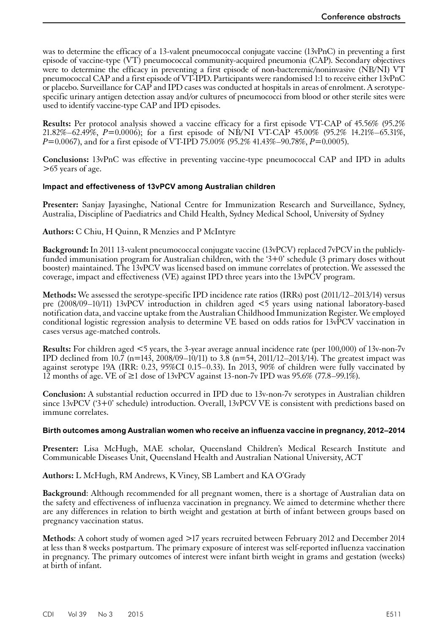<span id="page-8-0"></span>was to determine the efficacy of a 13-valent pneumococcal conjugate vaccine (13vPnC) in preventing a first episode of vaccine-type (VT) pneumococcal community-acquired pneumonia (CAP). Secondary objectives were to determine the efficacy in preventing a first episode of non-bacteremic/noninvasive (NB/NI) VT pneumococcal CAP and a first episode of VT-IPD. Participants were randomised 1:1 to receive either 13vPnC or placebo. Surveillance for CAP and IPD cases was conducted at hospitals in areas of enrolment. A serotypespecific urinary antigen detection assay and/or cultures of pneumococci from blood or other sterile sites were used to identify vaccine-type CAP and IPD episodes.

**Results:** Per protocol analysis showed a vaccine efficacy for a first episode VT-CAP of 45.56% (95.2% 21.82%–62.49%, *P*=0.0006); for a first episode of NB/NI VT-CAP 45.00% (95.2% 14.21%–65.31%, *P*=0.0067), and for a first episode of VT-IPD 75.00% (95.2% 41.43%–90.78%, *P*=0.0005).

**Conclusions:** 13vPnC was effective in preventing vaccine-type pneumococcal CAP and IPD in adults >65 years of age.

# **Impact and effectiveness of 13vPCV among Australian children**

**Presenter:** Sanjay Jayasinghe, National Centre for Immunization Research and Surveillance, Sydney, Australia, Discipline of Paediatrics and Child Health, Sydney Medical School, University of Sydney

**Authors:** C Chiu, H Quinn, R Menzies and P McIntyre

**Background:** In 2011 13-valent pneumococcal conjugate vaccine (13vPCV) replaced 7vPCV in the publiclyfunded immunisation program for Australian children, with the '3+0' schedule (3 primary doses without booster) maintained. The 13vPCV was licensed based on immune correlates of protection. We assessed the coverage, impact and effectiveness (VE) against IPD three years into the 13vPCV program.

**Methods:** We assessed the serotype-specific IPD incidence rate ratios (IRRs) post (2011/12–2013/14) versus pre (2008/09–10/11) 13vPCV introduction in children aged <5 years using national laboratory-based notification data, and vaccine uptake from the Australian Childhood Immunization Register. We employed conditional logistic regression analysis to determine VE based on odds ratios for 13vPCV vaccination in cases versus age-matched controls.

**Results:** For children aged <5 years, the 3-year average annual incidence rate (per 100,000) of 13v-non-7v IPD declined from  $10.\overline{7}$  (n=143, 2008/09–10/11) to 3.8 (n=54, 2011/12–2013/14). The greatest impact was against serotype 19A (IRR: 0.23, 95%CI 0.15–0.33). In 2013, 90% of children were fully vaccinated by 12 months of age. VE of ≥1 dose of 13vPCV against 13-non-7v IPD was 95.6% (77.8–99.1%).

**Conclusion:** A substantial reduction occurred in IPD due to 13v-non-7v serotypes in Australian children since 13vPCV ('3+0' schedule) introduction. Overall, 13vPCV VE is consistent with predictions based on immune correlates.

#### **Birth outcomes among Australian women who receive an influenza vaccine in pregnancy, 2012–2014**

Presenter: Lisa McHugh, MAE scholar, Queensland Children's Medical Research Institute and Communicable Diseases Unit, Queensland Health and Australian National University, ACT

**Authors:** L McHugh, RM Andrews, K Viney, SB Lambert and KA O'Grady

**Background**: Although recommended for all pregnant women, there is a shortage of Australian data on the safety and effectiveness of influenza vaccination in pregnancy. We aimed to determine whether there are any differences in relation to birth weight and gestation at birth of infant between groups based on pregnancy vaccination status.

**Methods**: A cohort study of women aged >17 years recruited between February 2012 and December 2014 at less than 8 weeks postpartum. The primary exposure of interest was self-reported influenza vaccination in pregnancy. The primary outcomes of interest were infant birth weight in grams and gestation (weeks) at birth of infant.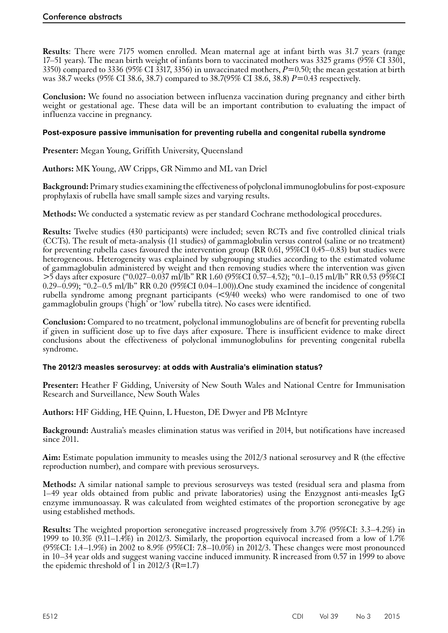<span id="page-9-0"></span>**Results**: There were 7175 women enrolled. Mean maternal age at infant birth was 31.7 years (range 17–51 years). The mean birth weight of infants born to vaccinated mothers was 3325 grams (95% CI 3301, 3350) compared to 3336 (95% CI 3317, 3356) in unvaccinated mothers,  $P=0.50$ ; the mean gestation at birth was 38.7 weeks (95% CI 38.6, 38.7) compared to 38.7(95% CI 38.6, 38.8) *P*=0.43 respectively.

**Conclusion:** We found no association between influenza vaccination during pregnancy and either birth weight or gestational age. These data will be an important contribution to evaluating the impact of influenza vaccine in pregnancy.

# **Post-exposure passive immunisation for preventing rubella and congenital rubella syndrome**

**Presenter:** Megan Young, Griffith University, Queensland

**Authors:** MK Young, AW Cripps, GR Nimmo and ML van Driel

**Background:** Primary studies examining the effectiveness of polyclonal immunoglobulins for post-exposure prophylaxis of rubella have small sample sizes and varying results.

**Methods:** We conducted a systematic review as per standard Cochrane methodological procedures.

**Results:** Twelve studies (430 participants) were included; seven RCTs and five controlled clinical trials (CCTs). The result of meta-analysis (11 studies) of gammaglobulin versus control (saline or no treatment) for preventing rubella cases favoured the intervention group (RR 0.61, 95%CI 0.45–0.83) but studies were heterogeneous. Heterogeneity was explained by subgrouping studies according to the estimated volume of gammaglobulin administered by weight and then removing studies where the intervention was given >5 days after exposure ("0.027–0.037 ml/lb" RR 1.60 (95%CI 0.57–4.52); "0.1–0.15 ml/lb" RR 0.53 (95%CI 0.29–0.99); "0.2–0.5 ml/lb" RR 0.20 (95%CI 0.04–1.00)). One study examined the incidence of congenital rubella syndrome among pregnant participants (<9/40 weeks) who were randomised to one of two gammaglobulin groups ('high' or 'low' rubella titre). No cases were identified.

**Conclusion:** Compared to no treatment, polyclonal immunoglobulins are of benefit for preventing rubella if given in sufficient dose up to five days after exposure. There is insufficient evidence to make direct conclusions about the effectiveness of polyclonal immunoglobulins for preventing congenital rubella syndrome.

# **The 2012/3 measles serosurvey: at odds with Australia's elimination status?**

**Presenter:** Heather F Gidding, University of New South Wales and National Centre for Immunisation Research and Surveillance, New South Wales

**Authors:** HF Gidding, HE Quinn, L Hueston, DE Dwyer and PB McIntyre

**Background:** Australia's measles elimination status was verified in 2014, but notifications have increased since  $2011$ .

**Aim:** Estimate population immunity to measles using the 2012/3 national serosurvey and R (the effective reproduction number), and compare with previous serosurveys.

**Methods:** A similar national sample to previous serosurveys was tested (residual sera and plasma from 1–49 year olds obtained from public and private laboratories) using the Enzygnost anti-measles IgG enzyme immunoassay. R was calculated from weighted estimates of the proportion seronegative by age using established methods.

**Results:** The weighted proportion seronegative increased progressively from 3.7% (95%CI: 3.3–4.2%) in 1999 to 10.3% (9.11–1.4%) in 2012/3. Similarly, the proportion equivocal increased from a low of 1.7% (95%CI: 1.4–1.9%) in 2002 to 8.9% (95%CI:  $7.8-10.0\%$ ) in 2012/3. These changes were most pronounced in 10–34 year olds and suggest waning vaccine induced immunity. R increased from 0.57 in 1999 to above the epidemic threshold of  $\widetilde{1}$  in 2012/3 (R=1.7)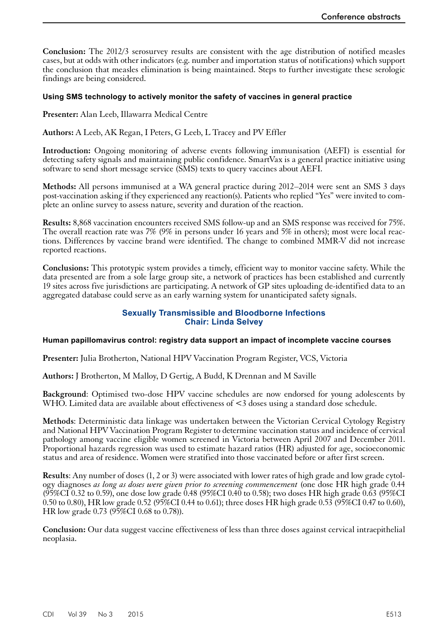<span id="page-10-0"></span>**Conclusion:** The 2012/3 serosurvey results are consistent with the age distribution of notified measles cases, but at odds with other indicators (e.g. number and importation status of notifications) which support the conclusion that measles elimination is being maintained. Steps to further investigate these serologic findings are being considered.

#### **Using SMS technology to actively monitor the safety of vaccines in general practice**

**Presenter:** Alan Leeb, Illawarra Medical Centre

**Authors:** A Leeb, AK Regan, I Peters, G Leeb, L Tracey and PV Effler

**Introduction:** Ongoing monitoring of adverse events following immunisation (AEFI) is essential for detecting safety signals and maintaining public confidence. SmartVax is a general practice initiative using software to send short message service (SMS) texts to query vaccines about AEFI.

**Methods:** All persons immunised at a WA general practice during 2012–2014 were sent an SMS 3 days post-vaccination asking if they experienced any reaction(s). Patients who replied "Yes" were invited to complete an online survey to assess nature, severity and duration of the reaction.

**Results:** 8,868 vaccination encounters received SMS follow-up and an SMS response was received for 75%. The overall reaction rate was 7% (9% in persons under 16 years and 5% in others); most were local reactions. Differences by vaccine brand were identified. The change to combined MMR-V did not increase reported reactions.

**Conclusions:** This prototypic system provides a timely, efficient way to monitor vaccine safety. While the data presented are from a sole large group site, a network of practices has been established and currently 19 sites across five jurisdictions are participating. A network of GP sites uploading de-identified data to an aggregated database could serve as an early warning system for unanticipated safety signals.

# **Sexually Transmissible and Bloodborne Infections Chair: Linda Selvey**

#### **Human papillomavirus control: registry data support an impact of incomplete vaccine courses**

**Presenter:** Julia Brotherton, National HPV Vaccination Program Register, VCS, Victoria

**Authors:** J Brotherton, M Malloy, D Gertig, A Budd, K Drennan and M Saville

**Background**: Optimised two-dose HPV vaccine schedules are now endorsed for young adolescents by WHO. Limited data are available about effectiveness of <3 doses using a standard dose schedule.

**Methods**: Deterministic data linkage was undertaken between the Victorian Cervical Cytology Registry and National HPV Vaccination Program Register to determine vaccination status and incidence of cervical pathology among vaccine eligible women screened in Victoria between April 2007 and December 2011. Proportional hazards regression was used to estimate hazard ratios (HR) adjusted for age, socioeconomic status and area of residence. Women were stratified into those vaccinated before or after first screen.

**Results**: Any number of doses (1, 2 or 3) were associated with lower rates of high grade and low grade cytology diagnoses *as long as doses were given prior to screening commencement* (one dose HR high grade 0.44  $(95\%CI\ 0.32$  to 0.59), one dose low grade 0.48  $(95\%CI\ 0.40$  to 0.58); two doses HR high grade 0.63  $(95\%CI\ 0.32)$ 0.50 to 0.80), HR low grade 0.52 (95%CI 0.44 to 0.61); three doses HR high grade 0.53 (95%CI 0.47 to 0.60), HR low grade 0.73 (95%CI 0.68 to 0.78)).

**Conclusion:** Our data suggest vaccine effectiveness of less than three doses against cervical intraepithelial neoplasia.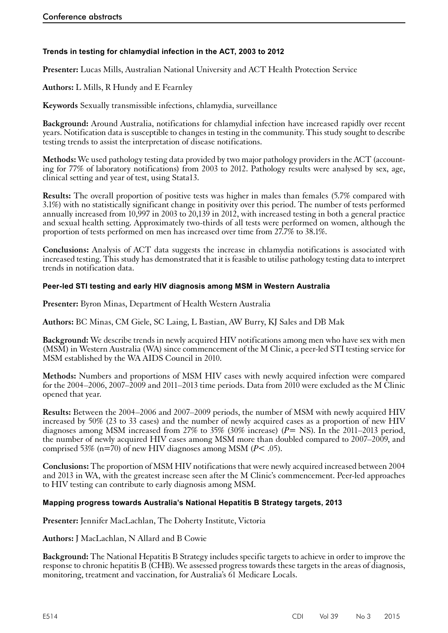# <span id="page-11-0"></span>**Trends in testing for chlamydial infection in the ACT, 2003 to 2012**

**Presenter:** Lucas Mills, Australian National University and ACT Health Protection Service

**Authors:** L Mills, R Hundy and E Fearnley

**Keywords** Sexually transmissible infections, chlamydia, surveillance

**Background:** Around Australia, notifications for chlamydial infection have increased rapidly over recent years. Notification data is susceptible to changes in testing in the community. This study sought to describe testing trends to assist the interpretation of disease notifications.

**Methods:** We used pathology testing data provided by two major pathology providers in the ACT (accounting for 77% of laboratory notifications) from 2003 to 2012. Pathology results were analysed by sex, age, clinical setting and year of test, using Stata13.

**Results:** The overall proportion of positive tests was higher in males than females (5.7% compared with 3.1%) with no statistically significant change in positivity over this period. The number of tests performed annually increased from 10,997 in 2003 to 20,139 in 2012, with increased testing in both a general practice and sexual health setting. Approximately two-thirds of all tests were performed on women, although the proportion of tests performed on men has increased over time from 27.7% to 38.1%.

**Conclusions:** Analysis of ACT data suggests the increase in chlamydia notifications is associated with increased testing. This study has demonstrated that it is feasible to utilise pathology testing data to interpret trends in notification data.

# **Peer-led STI testing and early HIV diagnosis among MSM in Western Australia**

**Presenter:** Byron Minas, Department of Health Western Australia

**Authors:** BC Minas, CM Giele, SC Laing, L Bastian, AW Burry, KJ Sales and DB Mak

**Background:** We describe trends in newly acquired HIV notifications among men who have sex with men (MSM) in Western Australia (WA) since commencement of the M Clinic, a peer-led STI testing service for MSM established by the WA AIDS Council in 2010.

**Methods:** Numbers and proportions of MSM HIV cases with newly acquired infection were compared for the 2004–2006, 2007–2009 and 2011–2013 time periods. Data from 2010 were excluded as the M Clinic opened that year.

**Results:** Between the 2004–2006 and 2007–2009 periods, the number of MSM with newly acquired HIV increased by 50% (23 to 33 cases) and the number of newly acquired cases as a proportion of new HIV diagnoses among MSM increased from 27% to 35% (30% increase) (*P*= NS). In the 2011–2013 period, the number of newly acquired HIV cases among MSM more than doubled compared to 2007–2009, and comprised 53% (n=70) of new HIV diagnoses among MSM (*P*< .05).

**Conclusions:** The proportion of MSM HIV notifications that were newly acquired increased between 2004 and 2013 in WA, with the greatest increase seen after the M Clinic's commencement. Peer-led approaches to HIV testing can contribute to early diagnosis among MSM.

#### **Mapping progress towards Australia's National Hepatitis B Strategy targets, 2013**

**Presenter:** Jennifer MacLachlan, The Doherty Institute, Victoria

**Authors:** J MacLachlan, N Allard and B Cowie

**Background:** The National Hepatitis B Strategy includes specific targets to achieve in order to improve the response to chronic hepatitis B (CHB). We assessed progress towards these targets in the areas of diagnosis, monitoring, treatment and vaccination, for Australia's 61 Medicare Locals.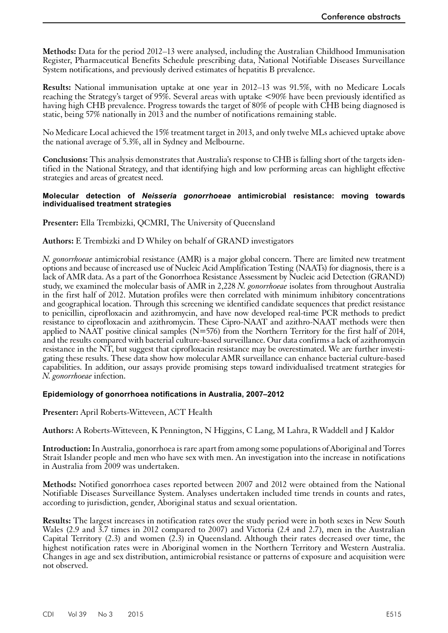<span id="page-12-0"></span>**Methods:** Data for the period 2012–13 were analysed, including the Australian Childhood Immunisation Register, Pharmaceutical Benefits Schedule prescribing data, National Notifiable Diseases Surveillance System notifications, and previously derived estimates of hepatitis B prevalence.

**Results:** National immunisation uptake at one year in 2012–13 was 91.5%, with no Medicare Locals reaching the Strategy's target of 95%. Several areas with uptake <90% have been previously identified as having high CHB prevalence. Progress towards the target of 80% of people with CHB being diagnosed is static, being 57% nationally in 2013 and the number of notifications remaining stable.

No Medicare Local achieved the 15% treatment target in 2013, and only twelve MLs achieved uptake above the national average of 5.3%, all in Sydney and Melbourne.

**Conclusions:** This analysis demonstrates that Australia's response to CHB is falling short of the targets identified in the National Strategy, and that identifying high and low performing areas can highlight effective strategies and areas of greatest need.

#### **Molecular detection of** *Neisseria gonorrhoeae* **antimicrobial resistance: moving towards individualised treatment strategies**

**Presenter:** Ella Trembizki, QCMRI, The University of Queensland

# **Authors:** E Trembizki and D Whiley on behalf of GRAND investigators

*N. gonorrhoeae* antimicrobial resistance (AMR) is a major global concern. There are limited new treatment options and because of increased use of Nucleic Acid Amplification Testing (NAATs) for diagnosis, there is a lack of AMR data. As a part of the Gonorrhoea Resistance Assessment by Nucleic acid Detection (GRAND) study, we examined the molecular basis of AMR in 2,228 *N. gonorrhoeae* isolates from throughout Australia in the first half of 2012. Mutation profiles were then correlated with minimum inhibitory concentrations and geographical location. Through this screening we identified candidate sequences that predict resistance to penicillin, ciprofloxacin and azithromycin, and have now developed real-time PCR methods to predict resistance to ciprofloxacin and azithromycin. These Cipro-NAAT and azithro-NAAT methods were then applied to NAAT positive clinical samples  $(N=576)$  from the Northern Territory for the first half of 2014, and the results compared with bacterial culture-based surveillance. Our data confirms a lack of azithromycin resistance in the NT, but suggest that ciprofloxacin resistance may be overestimated. We are further investi- gating these results. These data show how molecular AMR surveillance can enhance bacterial culture-based capabilities. In addition, our assays provide promising steps toward individualised treatment strategies for *N. gonorrhoeae* infection.

#### **Epidemiology of gonorrhoea notifications in Australia, 2007–2012**

**Presenter:** April Roberts-Witteveen, ACT Health

**Authors:** A Roberts-Witteveen, K Pennington, N Higgins, C Lang, M Lahra, R Waddell and J Kaldor

**Introduction:** In Australia, gonorrhoea is rare apart from among some populations of Aboriginal and Torres Strait Islander people and men who have sex with men. An investigation into the increase in notifications in Australia from 2009 was undertaken.

**Methods:** Notified gonorrhoea cases reported between 2007 and 2012 were obtained from the National Notifiable Diseases Surveillance System. Analyses undertaken included time trends in counts and rates, according to jurisdiction, gender, Aboriginal status and sexual orientation.

**Results:** The largest increases in notification rates over the study period were in both sexes in New South Wales (2.9 and 3.7 times in 2012 compared to 2007) and Victoria (2.4 and 2.7), men in the Australian Capital Territory (2.3) and women (2.3) in Queensland. Although their rates decreased over time, the highest notification rates were in Aboriginal women in the Northern Territory and Western Australia. Changes in age and sex distribution, antimicrobial resistance or patterns of exposure and acquisition were not observed.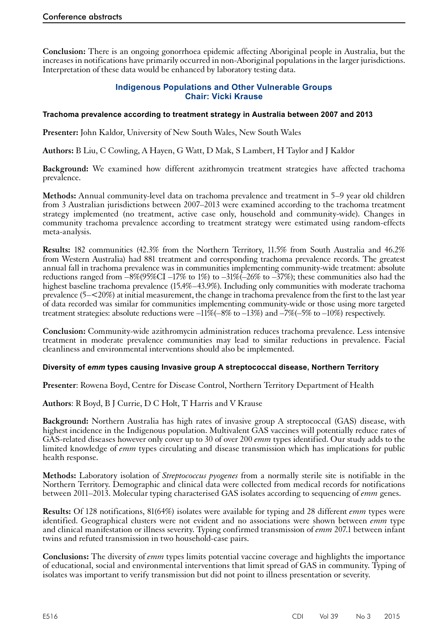<span id="page-13-0"></span>**Conclusion:** There is an ongoing gonorrhoea epidemic affecting Aboriginal people in Australia, but the increases in notifications have primarily occurred in non-Aboriginal populations in the larger jurisdictions. Interpretation of these data would be enhanced by laboratory testing data.

# **Indigenous Populations and Other Vulnerable Groups Chair: Vicki Krause**

## **Trachoma prevalence according to treatment strategy in Australia between 2007 and 2013**

**Presenter:** John Kaldor, University of New South Wales, New South Wales

**Authors:** B Liu, C Cowling, A Hayen, G Watt, D Mak, S Lambert, H Taylor and J Kaldor

**Background:** We examined how different azithromycin treatment strategies have affected trachoma prevalence.

**Methods:** Annual community-level data on trachoma prevalence and treatment in 5–9 year old children from 3 Australian jurisdictions between 2007–2013 were examined according to the trachoma treatment strategy implemented (no treatment, active case only, household and community-wide). Changes in community trachoma prevalence according to treatment strategy were estimated using random-effects meta-analysis.

**Results:** 182 communities (42.3% from the Northern Territory, 11.5% from South Australia and 46.2% from Western Australia) had 881 treatment and corresponding trachoma prevalence records. The greatest annual fall in trachoma prevalence was in communities implementing community-wide treatment: absolute reductions ranged from  $-8\%/95\%$ CI  $-17\%$  to  $1\%)$  to  $-31\%$   $-26\%$  to  $-37\%$ ; these communities also had the highest baseline trachoma prevalence (15.4%–43.9%). Including only communities with moderate trachoma prevalence (5–<20%) at initial measurement, the change in trachoma prevalence from the first to the last year of data recorded was similar for communities implementing community-wide or those using more targeted treatment strategies: absolute reductions were  $-11\%(-8\%$  to  $-13\%)$  and  $-7\%(-5\%$  to  $-10\%)$  respectively.

**Conclusion:** Community-wide azithromycin administration reduces trachoma prevalence. Less intensive treatment in moderate prevalence communities may lead to similar reductions in prevalence. Facial cleanliness and environmental interventions should also be implemented.

#### **Diversity of** *emm* **types causing Invasive group A streptococcal disease, Northern Territory**

**Presenter**: Rowena Boyd, Centre for Disease Control, Northern Territory Department of Health

**Authors**: R Boyd, B J Currie, D C Holt, T Harris and V Krause

**Background:** Northern Australia has high rates of invasive group A streptococcal (GAS) disease, with highest incidence in the Indigenous population. Multivalent GAS vaccines will potentially reduce rates of GAS-related diseases however only cover up to 30 of over 200 *emm* types identified. Our study adds to the limited knowledge of *emm* types circulating and disease transmission which has implications for public health response.

**Methods:** Laboratory isolation of *Streptococcus pyogenes* from a normally sterile site is notifiable in the Northern Territory. Demographic and clinical data were collected from medical records for notifications between 2011–2013. Molecular typing characterised GAS isolates according to sequencing of *emm* genes.

**Results:** Of 128 notifications, 81(64%) isolates were available for typing and 28 different *emm* types were identified. Geographical clusters were not evident and no associations were shown between *emm* type and clinical manifestation or illness severity. Typing confirmed transmission of *emm* 207.1 between infant twins and refuted transmission in two household-case pairs.

**Conclusions:** The diversity of *emm* types limits potential vaccine coverage and highlights the importance of educational, social and environmental interventions that limit spread of GAS in community. Typing of isolates was important to verify transmission but did not point to illness presentation or severity.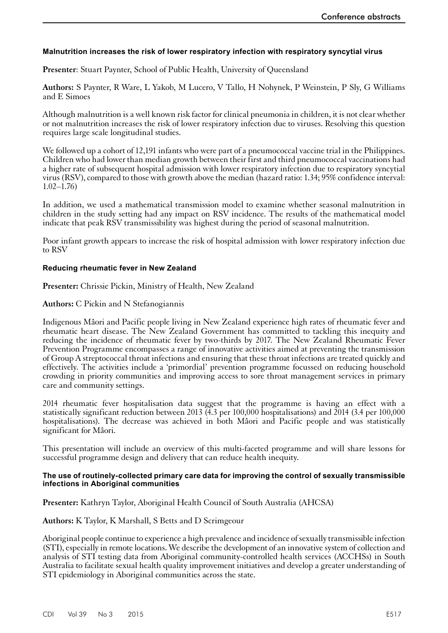# <span id="page-14-0"></span>**Malnutrition increases the risk of lower respiratory infection with respiratory syncytial virus**

**Presenter**: Stuart Paynter, School of Public Health, University of Queensland

**Authors:** S Paynter, R Ware, L Yakob, M Lucero, V Tallo, H Nohynek, P Weinstein, P Sly, G Williams and E Simoes

Although malnutrition is a well known risk factor for clinical pneumonia in children, it is not clear whether or not malnutrition increases the risk of lower respiratory infection due to viruses. Resolving this question requires large scale longitudinal studies.

We followed up a cohort of 12,191 infants who were part of a pneumococcal vaccine trial in the Philippines. Children who had lower than median growth between their first and third pneumococcal vaccinations had a higher rate of subsequent hospital admission with lower respiratory infection due to respiratory syncytial virus (RSV), compared to those with growth above the median (hazard ratio: 1.34; 95% confidence interval:  $1.02 - 1.76$ 

In addition, we used a mathematical transmission model to examine whether seasonal malnutrition in children in the study setting had any impact on RSV incidence. The results of the mathematical model indicate that peak RSV transmissibility was highest during the period of seasonal malnutrition.

Poor infant growth appears to increase the risk of hospital admission with lower respiratory infection due to RSV

#### **Reducing rheumatic fever in New Zealand**

**Presenter:** Chrissie Pickin, Ministry of Health, New Zealand

# **Authors:** C Pickin and N Stefanogiannis

Indigenous Mâori and Pacific people living in New Zealand experience high rates of rheumatic fever and rheumatic heart disease. The New Zealand Government has committed to tackling this inequity and reducing the incidence of rheumatic fever by two-thirds by 2017. The New Zealand Rheumatic Fever Prevention Programme encompasses a range of innovative activities aimed at preventing the transmission of Group A streptococcal throat infections and ensuring that these throat infections are treated quickly and effectively. The activities include a 'primordial' prevention programme focussed on reducing household crowding in priority communities and improving access to sore throat management services in primary care and community settings.

2014 rheumatic fever hospitalisation data suggest that the programme is having an effect with a statistically significant reduction between 2013 (4.3 per 100,000 hospitalisations) and 2014 (3.4 per 100,000 hospitalisations). The decrease was achieved in both Mâori and Pacific people and was statistically significant for Mâori.

This presentation will include an overview of this multi-faceted programme and will share lessons for successful programme design and delivery that can reduce health inequity.

#### **The use of routinely-collected primary care data for improving the control of sexually transmissible infections in Aboriginal communities**

**Presenter:** Kathryn Taylor, Aboriginal Health Council of South Australia (AHCSA)

**Authors:** K Taylor, K Marshall, S Betts and D Scrimgeour

Aboriginal people continue to experience a high prevalence and incidence of sexually transmissible infection (STI), especially in remote locations. We describe the development of an innovative system of collection and analysis of STI testing data from Aboriginal community-controlled health services (ACCHSs) in South Australia to facilitate sexual health quality improvement initiatives and develop a greater understanding of STI epidemiology in Aboriginal communities across the state.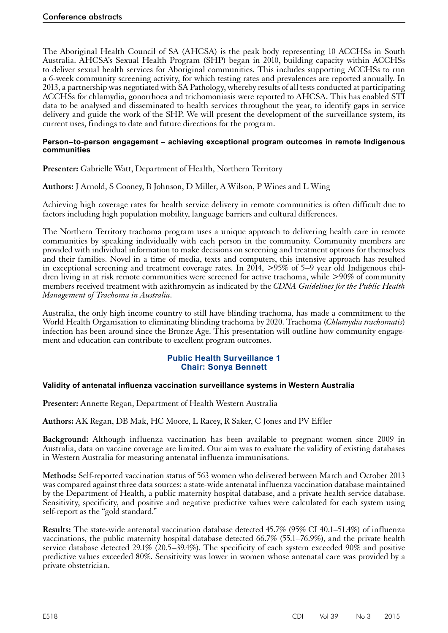<span id="page-15-0"></span>The Aboriginal Health Council of SA (AHCSA) is the peak body representing 10 ACCHSs in South Australia. AHCSA's Sexual Health Program (SHP) began in 2010, building capacity within ACCHSs to deliver sexual health services for Aboriginal communities. This includes supporting ACCHSs to run a 6-week community screening activity, for which testing rates and prevalences are reported annually. In 2013, a partnership was negotiated with SA Pathology, whereby results of all tests conducted at participating ACCHSs for chlamydia, gonorrhoea and trichomoniasis were reported to AHCSA. This has enabled STI data to be analysed and disseminated to health services throughout the year, to identify gaps in service delivery and guide the work of the SHP. We will present the development of the surveillance system, its current uses, findings to date and future directions for the program.

#### **Person–to-person engagement – achieving exceptional program outcomes in remote Indigenous communities**

**Presenter:** Gabrielle Watt, Department of Health, Northern Territory

**Authors:** J Arnold, S Cooney, B Johnson, D Miller, A Wilson, P Wines and L Wing

Achieving high coverage rates for health service delivery in remote communities is often difficult due to factors including high population mobility, language barriers and cultural differences.

The Northern Territory trachoma program uses a unique approach to delivering health care in remote communities by speaking individually with each person in the community. Community members are provided with individual information to make decisions on screening and treatment options for themselves and their families. Novel in a time of media, texts and computers, this intensive approach has resulted in exceptional screening and treatment coverage rates. In 2014, >95% of 5–9 year old Indigenous children living in at risk remote communities were screened for active trachoma, while >90% of community members received treatment with azithromycin as indicated by the *CDNA Guidelines for the Public Health Management of Trachoma in Australia*.

Australia, the only high income country to still have blinding trachoma, has made a commitment to the World Health Organisation to eliminating blinding trachoma by 2020. Trachoma (*Chlamydia trachomatis*) infection has been around since the Bronze Age. This presentation will outline how community engagement and education can contribute to excellent program outcomes.

# **Public Health Surveillance 1 Chair: Sonya Bennett**

# **Validity of antenatal influenza vaccination surveillance systems in Western Australia**

**Presenter:** Annette Regan, Department of Health Western Australia

**Authors:** AK Regan, DB Mak, HC Moore, L Racey, R Saker, C Jones and PV Effler

**Background:** Although influenza vaccination has been available to pregnant women since 2009 in Australia, data on vaccine coverage are limited. Our aim was to evaluate the validity of existing databases in Western Australia for measuring antenatal influenza immunisations.

**Methods:** Self-reported vaccination status of 563 women who delivered between March and October 2013 was compared against three data sources: a state-wide antenatal influenza vaccination database maintained by the Department of Health, a public maternity hospital database, and a private health service database. Sensitivity, specificity, and positive and negative predictive values were calculated for each system using self-report as the "gold standard."

**Results:** The state-wide antenatal vaccination database detected 45.7% (95% CI 40.1–51.4%) of influenza vaccinations, the public maternity hospital database detected 66.7% (55.1–76.9%), and the private health service database detected 29.1% (20.5–39.4%). The specificity of each system exceeded 90% and positive predictive values exceeded 80%. Sensitivity was lower in women whose antenatal care was provided by a private obstetrician.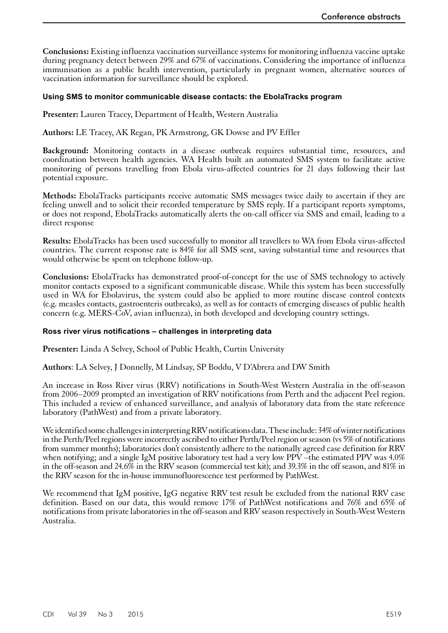<span id="page-16-0"></span>**Conclusions:** Existing influenza vaccination surveillance systems for monitoring influenza vaccine uptake during pregnancy detect between 29% and 67% of vaccinations. Considering the importance of influenza immunisation as a public health intervention, particularly in pregnant women, alternative sources of vaccination information for surveillance should be explored.

#### **Using SMS to monitor communicable disease contacts: the EbolaTracks program**

**Presenter:** Lauren Tracey, Department of Health, Western Australia

**Authors:** LE Tracey, AK Regan, PK Armstrong, GK Dowse and PV Effler

**Background:** Monitoring contacts in a disease outbreak requires substantial time, resources, and coordination between health agencies. WA Health built an automated SMS system to facilitate active monitoring of persons travelling from Ebola virus-affected countries for 21 days following their last potential exposure.

**Methods:** EbolaTracks participants receive automatic SMS messages twice daily to ascertain if they are feeling unwell and to solicit their recorded temperature by SMS reply. If a participant reports symptoms, or does not respond, EbolaTracks automatically alerts the on-call officer via SMS and email, leading to a direct response

**Results:** EbolaTracks has been used successfully to monitor all travellers to WA from Ebola virus-affected countries. The current response rate is 84% for all SMS sent, saving substantial time and resources that would otherwise be spent on telephone follow-up.

**Conclusions:** EbolaTracks has demonstrated proof-of-concept for the use of SMS technology to actively monitor contacts exposed to a significant communicable disease. While this system has been successfully used in WA for Ebolavirus, the system could also be applied to more routine disease control contexts (e.g. measles contacts, gastroenteris outbreaks), as well as for contacts of emerging diseases of public health concern (e.g. MERS-CoV, avian influenza), in both developed and developing country settings.

#### **Ross river virus notifications – challenges in interpreting data**

**Presenter:** Linda A Selvey, School of Public Health, Curtin University

**Authors**: LA Selvey, J Donnelly, M Lindsay, SP Boddu, V D'Abrera and DW Smith

An increase in Ross River virus (RRV) notifications in South-West Western Australia in the off-season from 2006–2009 prompted an investigation of RRV notifications from Perth and the adjacent Peel region. This included a review of enhanced surveillance, and analysis of laboratory data from the state reference laboratory (PathWest) and from a private laboratory.

We identified some challenges in interpreting RRV notifications data. These include: 34% of winter notifications in the Perth/Peel regions were incorrectly ascribed to either Perth/Peel region or season (vs 5% of notifications from summer months); laboratories don't consistently adhere to the nationally agreed case definition for RRV when notifying; and a single IgM positive laboratory test had a very low PPV –the estimated PPV was 4.0% in the off-season and 24.6% in the RRV season (commercial test kit); and 39.3% in the off season, and 81% in the RRV season for the in-house immunofluorescence test performed by PathWest.

We recommend that IgM positive, IgG negative RRV test result be excluded from the national RRV case definition. Based on our data, this would remove 17% of PathWest notifications and 76% and 65% of notifications from private laboratories in the off-season and RRV season respectively in South-West Western Australia.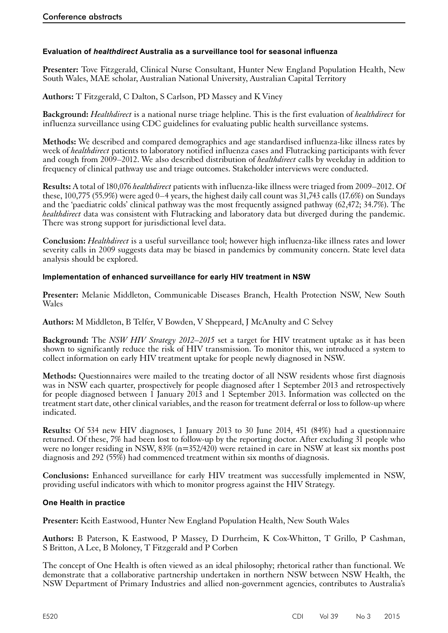# <span id="page-17-0"></span>**Evaluation of** *healthdirect* **Australia as a surveillance tool for seasonal influenza**

**Presenter:** Tove Fitzgerald, Clinical Nurse Consultant, Hunter New England Population Health, New South Wales, MAE scholar, Australian National University, Australian Capital Territory

**Authors:** T Fitzgerald, C Dalton, S Carlson, PD Massey and K Viney

**Background:** *Healthdirect* is a national nurse triage helpline. This is the first evaluation of *healthdirect* for influenza surveillance using CDC guidelines for evaluating public health surveillance systems.

**Methods:** We described and compared demographics and age standardised influenza-like illness rates by week of *healthdirect* patients to laboratory notified influenza cases and Flutracking participants with fever and cough from 2009–2012. We also described distribution of *healthdirect* calls by weekday in addition to frequency of clinical pathway use and triage outcomes. Stakeholder interviews were conducted.

**Results:** A total of 180,076 *healthdirect* patients with influenza-like illness were triaged from 2009–2012. Of these, 100,775 (55.9%) were aged 0–4 years, the highest daily call count was 31,743 calls (17.6%) on Sundays and the 'paediatric colds' clinical pathway was the most frequently assigned pathway (62,472; 34.7%). The *healthdirect* data was consistent with Flutracking and laboratory data but diverged during the pandemic. There was strong support for jurisdictional level data.

**Conclusion:** *Healthdirect* is a useful surveillance tool; however high influenza-like illness rates and lower severity calls in 2009 suggests data may be biased in pandemics by community concern. State level data analysis should be explored.

#### **Implementation of enhanced surveillance for early HIV treatment in NSW**

**Presenter:** Melanie Middleton, Communicable Diseases Branch, Health Protection NSW, New South Wales

**Authors:** M Middleton, B Telfer, V Bowden, V Sheppeard, J McAnulty and C Selvey

**Background:** The *NSW HIV Strategy 2012–2015* set a target for HIV treatment uptake as it has been shown to significantly reduce the risk of HIV transmission. To monitor this, we introduced a system to collect information on early HIV treatment uptake for people newly diagnosed in NSW.

**Methods:** Questionnaires were mailed to the treating doctor of all NSW residents whose first diagnosis was in NSW each quarter, prospectively for people diagnosed after 1 September 2013 and retrospectively for people diagnosed between 1 January 2013 and 1 September 2013. Information was collected on the treatment start date, other clinical variables, and the reason for treatment deferral or loss to follow-up where indicated.

**Results:** Of 534 new HIV diagnoses, 1 January 2013 to 30 June 2014, 451 (84%) had a questionnaire returned. Of these, 7% had been lost to follow-up by the reporting doctor. After excluding 31 people who were no longer residing in NSW, 83% (n=352/420) were retained in care in NSW at least six months post diagnosis and 292 (55%) had commenced treatment within six months of diagnosis.

**Conclusions:** Enhanced surveillance for early HIV treatment was successfully implemented in NSW, providing useful indicators with which to monitor progress against the HIV Strategy.

#### **One Health in practice**

**Presenter:** Keith Eastwood, Hunter New England Population Health, New South Wales

**Authors:** B Paterson, K Eastwood, P Massey, D Durrheim, K Cox-Whitton, T Grillo, P Cashman, S Britton, A Lee, B Moloney, T Fitzgerald and P Corben

The concept of One Health is often viewed as an ideal philosophy; rhetorical rather than functional. We demonstrate that a collaborative partnership undertaken in northern NSW between NSW Health, the NSW Department of Primary Industries and allied non-government agencies, contributes to Australia's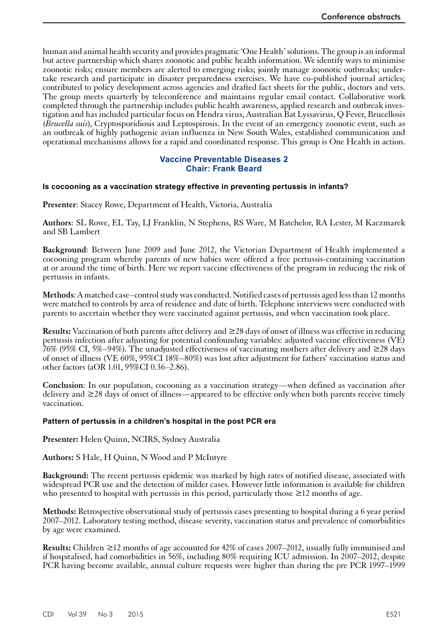<span id="page-18-0"></span>human and animal health security and provides pragmatic 'One Health' solutions. The group is an informal but active partnership which shares zoonotic and public health information. We identify ways to minimise zoonotic risks; ensure members are alerted to emerging risks; jointly manage zoonotic outbreaks; undertake research and participate in disaster preparedness exercises. We have co-published journal articles; contributed to policy development across agencies and drafted fact sheets for the public, doctors and vets. The group meets quarterly by teleconference and maintains regular email contact. Collaborative work completed through the partnership includes public health awareness, applied research and outbreak investigation and has included particular focus on Hendra virus, Australian Bat Lyssavirus, Q Fever, Brucellosis (*Brucella suis*), Cryptosporidiosis and Leptospirosis. In the event of an emergency zoonotic event, such as an outbreak of highly pathogenic avian influenza in New South Wales, established communication and operational mechanisms allows for a rapid and coordinated response. This group is One Health in action.

## **Vaccine Preventable Diseases 2 Chair: Frank Beard**

#### **Is cocooning as a vaccination strategy effective in preventing pertussis in infants?**

**Presenter**: Stacey Rowe, Department of Health, Victoria, Australia

**Authors**: SL Rowe, EL Tay, LJ Franklin, N Stephens, RS Ware, M Batchelor, RA Lester, M Kaczmarek and SB Lambert

**Background**: Between June 2009 and June 2012, the Victorian Department of Health implemented a cocooning program whereby parents of new babies were offered a free pertussis-containing vaccination at or around the time of birth. Here we report vaccine effectiveness of the program in reducing the risk of pertussis in infants.

**Methods**: A matched case–control study was conducted. Notified cases of pertussis aged less than 12 months were matched to controls by area of residence and date of birth. Telephone interviews were conducted with parents to ascertain whether they were vaccinated against pertussis, and when vaccination took place.

**Results:** Vaccination of both parents after delivery and ≥28 days of onset of illness was effective in reducing pertussis infection after adjusting for potential confounding variables: adjusted vaccine effectiveness (VE) 76% (95% CI, 5%–94%). The unadjusted effectiveness of vaccinating mothers after delivery and ≥28 days of onset of illness (VE 60%, 95%CI 18%–80%) was lost after adjustment for fathers' vaccination status and other factors (aOR 1.01, 95%CI 0.36–2.86).

**Conclusion**: In our population, cocooning as a vaccination strategy—when defined as vaccination after delivery and ≥28 days of onset of illness—appeared to be effective only when both parents receive timely vaccination.

#### **Pattern of pertussis in a children's hospital in the post PCR era**

**Presenter:** Helen Quinn, NCIRS, Sydney Australia

**Authors:** S Hale, H Quinn, N Wood and P McIntyre

**Background:** The recent pertussis epidemic was marked by high rates of notified disease, associated with widespread PCR use and the detection of milder cases. However little information is available for children who presented to hospital with pertussis in this period, particularly those  $\geq 12$  months of age.

**Methods:** Retrospective observational study of pertussis cases presenting to hospital during a 6 year period 2007–2012. Laboratory testing method, disease severity, vaccination status and prevalence of comorbidities by age were examined.

**Results:** Children ≥12 months of age accounted for 42% of cases 2007–2012, usually fully immunised and if hospitalised, had comorbidities in 56%, including 80% requiring ICU admission. In 2007–2012, despite PCR having become available, annual culture requests were higher than during the pre PCR 1997–1999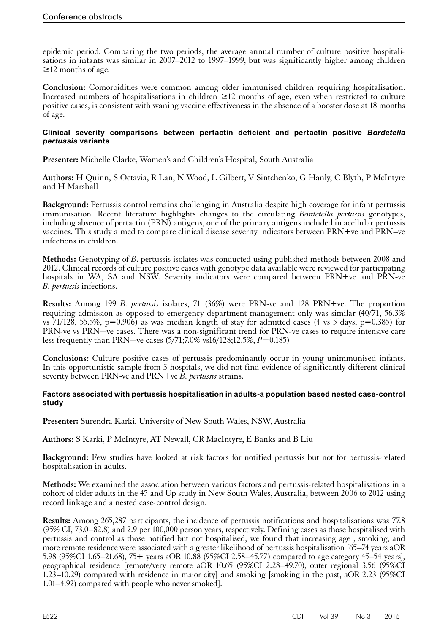<span id="page-19-0"></span>epidemic period. Comparing the two periods, the average annual number of culture positive hospitalisations in infants was similar in 2007–2012 to 1997–1999, but was significantly higher among children ≥12 months of age.

**Conclusion:** Comorbidities were common among older immunised children requiring hospitalisation. Increased numbers of hospitalisations in children ≥12 months of age, even when restricted to culture positive cases, is consistent with waning vaccine effectiveness in the absence of a booster dose at 18 months of age.

#### **Clinical severity comparisons between pertactin deficient and pertactin positive** *Bordetella pertussis* **variants**

**Presenter:** Michelle Clarke, Women's and Children's Hospital, South Australia

**Authors:** H Quinn, S Octavia, R Lan, N Wood, L Gilbert, V Sintchenko, G Hanly, C Blyth, P McIntyre and H Marshall

**Background:** Pertussis control remains challenging in Australia despite high coverage for infant pertussis immunisation. Recent literature highlights changes to the circulating *Bordetella pertussis* genotypes, including absence of pertactin (PRN) antigens, one of the primary antigens included in acellular pertussis vaccines. This study aimed to compare clinical disease severity indicators between PRN+ve and PRN–ve infections in children.

**Methods:** Genotyping of *B*. pertussis isolates was conducted using published methods between 2008 and 2012. Clinical records of culture positive cases with genotype data available were reviewed for participating hospitals in WA, SA and NSW. Severity indicators were compared between PRN+ve and PRN-ve *B. pertussis* infections.

**Results:** Among 199 *B. pertussis* isolates, 71 (36%) were PRN-ve and 128 PRN+ve. The proportion requiring admission as opposed to emergency department management only was similar (40/71, 56.3% vs 71/128, 55.5%,  $p=0.906$ ) as was median length of stay for admitted cases (4 vs 5 days,  $p=0.385$ ) for PRN-ve vs PRN+ve cases. There was a non-significant trend for PRN-ve cases to require intensive care less frequently than PRN+ve cases (5/71;7.0% vs16/128;12.5%, *P*=0.185)

**Conclusions:** Culture positive cases of pertussis predominantly occur in young unimmunised infants. In this opportunistic sample from 3 hospitals, we did not find evidence of significantly different clinical severity between PRN-ve and PRN+ve *B. pertussis* strains.

#### **Factors associated with pertussis hospitalisation in adults-a population based nested case-control study**

**Presenter:** Surendra Karki, University of New South Wales, NSW, Australia

**Authors:** S Karki, P McIntyre, AT Newall, CR MacIntyre, E Banks and B Liu

**Background:** Few studies have looked at risk factors for notified pertussis but not for pertussis-related hospitalisation in adults.

**Methods:** We examined the association between various factors and pertussis-related hospitalisations in a cohort of older adults in the 45 and Up study in New South Wales, Australia, between 2006 to 2012 using record linkage and a nested case-control design.

**Results:** Among 265,287 participants, the incidence of pertussis notifications and hospitalisations was 77.8  $(95\% \text{ CI}, 73.0-\overline{82.8})$  and 2.9 per 100,000 person years, respectively. Defining cases as those hospitalised with pertussis and control as those notified but not hospitalised, we found that increasing age , smoking, and more remote residence were associated with a greater likelihood of pertussis hospitalisation [65–74 years aOR 5.98 (95%CI 1.65–21.68), 75+ years aOR 10.88 (95%CI 2.58–45.77) compared to age category 45–54 years], geographical residence [remote/very remote aOR 10.65 (95%CI 2.28–49.70), outer regional 3.56 (95%CI 1.23–10.29) compared with residence in major city] and smoking [smoking in the past, aOR 2.23 (95%CI 1.01–4.92) compared with people who never smoked].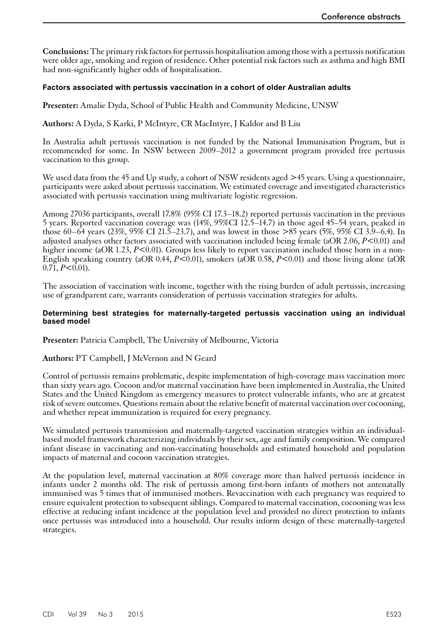<span id="page-20-0"></span>**Conclusions:** The primary risk factors for pertussis hospitalisation among those with a pertussis notification were older age, smoking and region of residence. Other potential risk factors such as asthma and high BMI had non-significantly higher odds of hospitalisation.

## **Factors associated with pertussis vaccination in a cohort of older Australian adults**

**Presenter:** Amalie Dyda, School of Public Health and Community Medicine, UNSW

**Authors:** A Dyda, S Karki, P McIntyre, CR MacIntyre, J Kaldor and B Liu

In Australia adult pertussis vaccination is not funded by the National Immunisation Program, but is recommended for some. In NSW between 2009–2012 a government program provided free pertussis vaccination to this group.

We used data from the 45 and Up study, a cohort of NSW residents aged >45 years. Using a questionnaire, participants were asked about pertussis vaccination. We estimated coverage and investigated characteristics associated with pertussis vaccination using multivariate logistic regression.

Among 27036 participants, overall 17.8% (95% CI 17.3–18.2) reported pertussis vaccination in the previous 5 years. Reported vaccination coverage was (14%, 95%CI 12.5–14.7) in those aged 45–54 years, peaked in those 60–64 years (23%, 95% CI 21.5–23.7), and was lowest in those >85 years (5%, 95% CI 3.9–6.4). In adjusted analyses other factors associated with vaccination included being female (aOR 2.06, *P*<0.01) and higher income (aOR 1.23, *P<*0.01). Groups less likely to report vaccination included those born in a non-English speaking country (aOR 0.44, *P*<0.01), smokers (aOR 0.58, *P*<0.01) and those living alone (aOR  $0.71, P \leq 0.01$ ).

The association of vaccination with income, together with the rising burden of adult pertussis, increasing use of grandparent care, warrants consideration of pertussis vaccination strategies for adults.

#### **Determining best strategies for maternally-targeted pertussis vaccination using an individual based model**

**Presenter:** Patricia Campbell, The University of Melbourne, Victoria

**Authors:** PT Campbell, J McVernon and N Geard

Control of pertussis remains problematic, despite implementation of high-coverage mass vaccination more than sixty years ago. Cocoon and/or maternal vaccination have been implemented in Australia, the United States and the United Kingdom as emergency measures to protect vulnerable infants, who are at greatest risk of severe outcomes. Questions remain about the relative benefit of maternal vaccination over cocooning, and whether repeat immunization is required for every pregnancy.

We simulated pertussis transmission and maternally-targeted vaccination strategies within an individualbased model framework characterizing individuals by their sex, age and family composition. We compared infant disease in vaccinating and non-vaccinating households and estimated household and population impacts of maternal and cocoon vaccination strategies.

At the population level, maternal vaccination at 80% coverage more than halved pertussis incidence in infants under 2 months old. The risk of pertussis among first-born infants of mothers not antenatally immunised was 5 times that of immunised mothers. Revaccination with each pregnancy was required to ensure equivalent protection to subsequent siblings. Compared to maternal vaccination, cocooning was less effective at reducing infant incidence at the population level and provided no direct protection to infants once pertussis was introduced into a household. Our results inform design of these maternally-targeted strategies.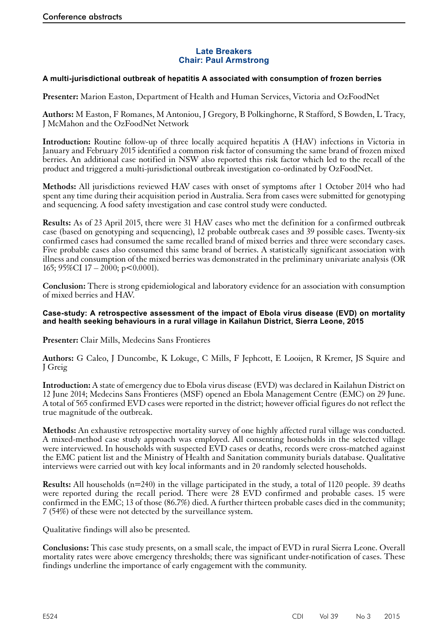# **Late Breakers Chair: Paul Armstrong**

#### <span id="page-21-0"></span>**A multi-jurisdictional outbreak of hepatitis A associated with consumption of frozen berries**

**Presenter:** Marion Easton, Department of Health and Human Services, Victoria and OzFoodNet

**Authors:** M Easton, F Romanes, M Antoniou, J Gregory, B Polkinghorne, R Stafford, S Bowden, L Tracy, J McMahon and the OzFoodNet Network

**Introduction:** Routine follow-up of three locally acquired hepatitis A (HAV) infections in Victoria in January and February 2015 identified a common risk factor of consuming the same brand of frozen mixed berries. An additional case notified in NSW also reported this risk factor which led to the recall of the product and triggered a multi-jurisdictional outbreak investigation co-ordinated by OzFoodNet.

**Methods:** All jurisdictions reviewed HAV cases with onset of symptoms after 1 October 2014 who had spent any time during their acquisition period in Australia. Sera from cases were submitted for genotyping and sequencing. A food safety investigation and case control study were conducted.

**Results:** As of 23 April 2015, there were 31 HAV cases who met the definition for a confirmed outbreak case (based on genotyping and sequencing), 12 probable outbreak cases and 39 possible cases. Twenty-six confirmed cases had consumed the same recalled brand of mixed berries and three were secondary cases. Five probable cases also consumed this same brand of berries. A statistically significant association with illness and consumption of the mixed berries was demonstrated in the preliminary univariate analysis (OR 165; 95%CI 17 – 2000; p<0.0001).

**Conclusion:** There is strong epidemiological and laboratory evidence for an association with consumption of mixed berries and HAV.

#### **Case-study: A retrospective assessment of the impact of Ebola virus disease (EVD) on mortality and health seeking behaviours in a rural village in Kailahun District, Sierra Leone, 2015**

**Presenter:** Clair Mills, Medecins Sans Frontieres

**Authors:** G Caleo, J Duncombe, K Lokuge, C Mills, F Jephcott, E Looijen, R Kremer, JS Squire and J Greig

**Introduction:** A state of emergency due to Ebola virus disease (EVD) was declared in Kailahun District on 12 June 2014; Medecins Sans Frontieres (MSF) opened an Ebola Management Centre (EMC) on 29 June. A total of 565 confirmed EVD cases were reported in the district; however official figures do not reflect the true magnitude of the outbreak.

**Methods:** An exhaustive retrospective mortality survey of one highly affected rural village was conducted. A mixed-method case study approach was employed. All consenting households in the selected village were interviewed. In households with suspected EVD cases or deaths, records were cross-matched against the EMC patient list and the Ministry of Health and Sanitation community burials database. Qualitative interviews were carried out with key local informants and in 20 randomly selected households.

**Results:** All households (n=240) in the village participated in the study, a total of 1120 people. 39 deaths were reported during the recall period. There were 28 EVD confirmed and probable cases. 15 were confirmed in the EMC; 13 of those (86.7%) died. A further thirteen probable cases died in the community; 7 (54%) of these were not detected by the surveillance system.

Qualitative findings will also be presented.

**Conclusions:** This case study presents, on a small scale, the impact of EVD in rural Sierra Leone. Overall mortality rates were above emergency thresholds; there was significant under-notification of cases. These findings underline the importance of early engagement with the community.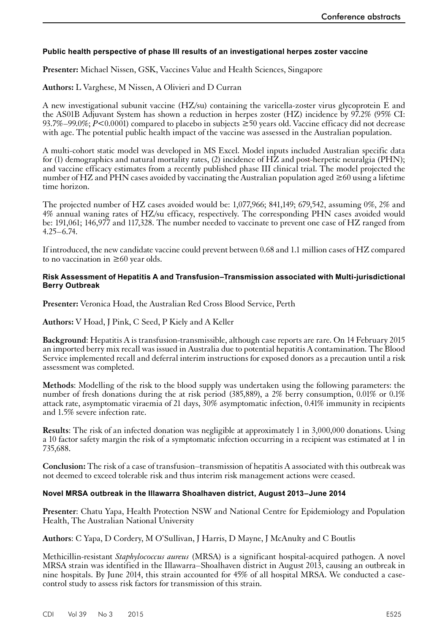# <span id="page-22-0"></span>**Public health perspective of phase III results of an investigational herpes zoster vaccine**

**Presenter:** Michael Nissen, GSK, Vaccines Value and Health Sciences, Singapore

**Authors:** L Varghese, M Nissen, A Olivieri and D Curran

A new investigational subunit vaccine (HZ/su) containing the varicella-zoster virus glycoprotein E and the AS01B Adjuvant System has shown a reduction in herpes zoster (HZ) incidence by 97.2% (95% CI: 93.7%–99.0%;  $P \le 0.0001$  compared to placebo in subjects  $\ge 50$  years old. Vaccine efficacy did not decrease with age. The potential public health impact of the vaccine was assessed in the Australian population.

A multi-cohort static model was developed in MS Excel. Model inputs included Australian specific data for (1) demographics and natural mortality rates, (2) incidence of HZ and post-herpetic neuralgia (PHN); and vaccine efficacy estimates from a recently published phase III clinical trial. The model projected the number of HZ and PHN cases avoided by vaccinating the Australian population aged  $\geq 60$  using a lifetime time horizon.

The projected number of HZ cases avoided would be: 1,077,966; 841,149; 679,542, assuming 0%, 2% and 4% annual waning rates of HZ/su efficacy, respectively. The corresponding PHN cases avoided would be: 191,061; 146,977 and 117,328. The number needed to vaccinate to prevent one case of HZ ranged from 4.25–6.74.

If introduced, the new candidate vaccine could prevent between 0.68 and 1.1 million cases of HZ compared to no vaccination in  $\geq 60$  year olds.

#### **Risk Assessment of Hepatitis A and Transfusion–Transmission associated with Multi-jurisdictional Berry Outbreak**

**Presenter:** Veronica Hoad, the Australian Red Cross Blood Service, Perth

**Authors:** V Hoad, J Pink, C Seed, P Kiely and A Keller

**Background**: Hepatitis A is transfusion-transmissible, although case reports are rare. On 14 February 2015 an imported berry mix recall was issued in Australia due to potential hepatitis A contamination. The Blood Service implemented recall and deferral interim instructions for exposed donors as a precaution until a risk assessment was completed.

**Methods**: Modelling of the risk to the blood supply was undertaken using the following parameters: the number of fresh donations during the at risk period (385,889), a 2% berry consumption, 0.01% or 0.1% attack rate, asymptomatic viraemia of 21 days, 30% asymptomatic infection, 0.41% immunity in recipients and 1.5% severe infection rate.

**Results**: The risk of an infected donation was negligible at approximately 1 in 3,000,000 donations. Using a 10 factor safety margin the risk of a symptomatic infection occurring in a recipient was estimated at 1 in 735,688.

**Conclusion:** The risk of a case of transfusion–transmission of hepatitis A associated with this outbreak was not deemed to exceed tolerable risk and thus interim risk management actions were ceased.

# **Novel MRSA outbreak in the Illawarra Shoalhaven district, August 2013–June 2014**

**Presenter**: Chatu Yapa, Health Protection NSW and National Centre for Epidemiology and Population Health, The Australian National University

**Authors**: C Yapa, D Cordery, M O'Sullivan, J Harris, D Mayne, J McAnulty and C Boutlis

Methicillin-resistant *Staphylococcus aureus* (MRSA) is a significant hospital-acquired pathogen. A novel MRSA strain was identified in the Illawarra–Shoalhaven district in August 2013, causing an outbreak in nine hospitals. By June 2014, this strain accounted for 45% of all hospital MRSA. We conducted a casecontrol study to assess risk factors for transmission of this strain.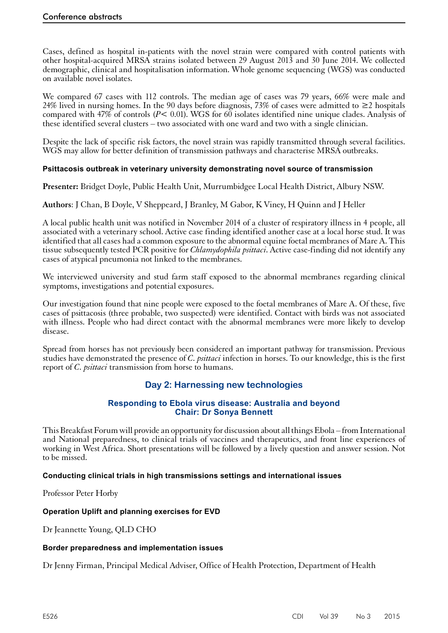<span id="page-23-0"></span>Cases, defined as hospital in-patients with the novel strain were compared with control patients with other hospital-acquired MRSA strains isolated between 29 August 2013 and 30 June 2014. We collected demographic, clinical and hospitalisation information. Whole genome sequencing (WGS) was conducted on available novel isolates.

We compared 67 cases with 112 controls. The median age of cases was 79 years, 66% were male and 24% lived in nursing homes. In the 90 days before diagnosis, 73% of cases were admitted to  $\geq$ 2 hospitals compared with 47% of controls (*P*< 0.01). WGS for 60 isolates identified nine unique clades. Analysis of these identified several clusters – two associated with one ward and two with a single clinician.

Despite the lack of specific risk factors, the novel strain was rapidly transmitted through several facilities. WGS may allow for better definition of transmission pathways and characterise MRSA outbreaks.

# **Psittacosis outbreak in veterinary university demonstrating novel source of transmission**

**Presenter:** Bridget Doyle, Public Health Unit, Murrumbidgee Local Health District, Albury NSW.

**Authors**: J Chan, B Doyle, V Sheppeard, J Branley, M Gabor, K Viney, H Quinn and J Heller

A local public health unit was notified in November 2014 of a cluster of respiratory illness in 4 people, all associated with a veterinary school. Active case finding identified another case at a local horse stud. It was identified that all cases had a common exposure to the abnormal equine foetal membranes of Mare A. This tissue subsequently tested PCR positive for *Chlamydophila psittaci*. Active case-finding did not identify any cases of atypical pneumonia not linked to the membranes.

We interviewed university and stud farm staff exposed to the abnormal membranes regarding clinical symptoms, investigations and potential exposures.

Our investigation found that nine people were exposed to the foetal membranes of Mare A. Of these, five cases of psittacosis (three probable, two suspected) were identified. Contact with birds was not associated with illness. People who had direct contact with the abnormal membranes were more likely to develop disease.

Spread from horses has not previously been considered an important pathway for transmission. Previous studies have demonstrated the presence of *C. psittaci* infection in horses. To our knowledge, this is the first report of *C. psittaci* transmission from horse to humans.

# **Day 2: Harnessing new technologies**

# **Responding to Ebola virus disease: Australia and beyond Chair: Dr Sonya Bennett**

This Breakfast Forum will provide an opportunity for discussion about all things Ebola – from International and National preparedness, to clinical trials of vaccines and therapeutics, and front line experiences of working in West Africa. Short presentations will be followed by a lively question and answer session. Not to be missed.

# **Conducting clinical trials in high transmissions settings and international issues**

Professor Peter Horby

# **Operation Uplift and planning exercises for EVD**

Dr Jeannette Young, QLD CHO

#### **Border preparedness and implementation issues**

Dr Jenny Firman, Principal Medical Adviser, Office of Health Protection, Department of Health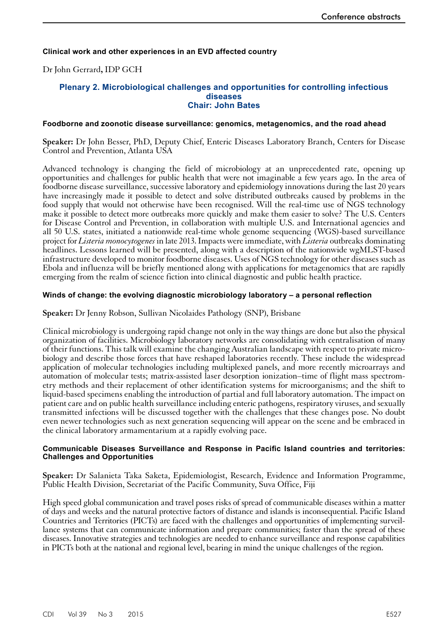# <span id="page-24-0"></span>**Clinical work and other experiences in an EVD affected country**

Dr John Gerrard**,** IDP GCH

#### **Plenary 2. Microbiological challenges and opportunities for controlling infectious diseases Chair: John Bates**

#### **Foodborne and zoonotic disease surveillance: genomics, metagenomics, and the road ahead**

**Speaker:** Dr John Besser, PhD, Deputy Chief, Enteric Diseases Laboratory Branch, Centers for Disease Control and Prevention, Atlanta USA

Advanced technology is changing the field of microbiology at an unprecedented rate, opening up opportunities and challenges for public health that were not imaginable a few years ago. In the area of foodborne disease surveillance, successive laboratory and epidemiology innovations during the last 20 years have increasingly made it possible to detect and solve distributed outbreaks caused by problems in the food supply that would not otherwise have been recognised. Will the real-time use of NGS technology make it possible to detect more outbreaks more quickly and make them easier to solve? The U.S. Centers for Disease Control and Prevention, in collaboration with multiple U.S. and International agencies and all 50 U.S. states, initiated a nationwide real-time whole genome sequencing (WGS)-based surveillance project for *Listeria monocytogenes* in late 2013.Impacts were immediate, with *Listeria* outbreaks dominating headlines. Lessons learned will be presented, along with a description of the nationwide wgMLST-based infrastructure developed to monitor foodborne diseases. Uses of NGS technology for other diseases such as Ebola and influenza will be briefly mentioned along with applications for metagenomics that are rapidly emerging from the realm of science fiction into clinical diagnostic and public health practice.

#### **Winds of change: the evolving diagnostic microbiology laboratory – a personal reflection**

**Speaker:** Dr Jenny Robson, Sullivan Nicolaides Pathology (SNP), Brisbane

Clinical microbiology is undergoing rapid change not only in the way things are done but also the physical organization of facilities. Microbiology laboratory networks are consolidating with centralisation of many of their functions. This talk will examine the changing Australian landscape with respect to private micro- biology and describe those forces that have reshaped laboratories recently. These include the widespread application of molecular technologies including multiplexed panels, and more recently microarrays and automation of molecular tests; matrix-assisted laser desorption ionization–time of flight mass spectrom- etry methods and their replacement of other identification systems for microorganisms; and the shift to liquid-based specimens enabling the introduction of partial and full laboratory automation. The impact on patient care and on public health surveillance including enteric pathogens, respiratory viruses, and sexually transmitted infections will be discussed together with the challenges that these changes pose. No doubt even newer technologies such as next generation sequencing will appear on the scene and be embraced in the clinical laboratory armamentarium at a rapidly evolving pace.

#### **Communicable Diseases Surveillance and Response in Pacific Island countries and territories: Challenges and Opportunities**

**Speaker:** Dr Salanieta Taka Saketa, Epidemiologist, Research, Evidence and Information Programme, Public Health Division, Secretariat of the Pacific Community, Suva Office, Fiji

High speed global communication and travel poses risks of spread of communicable diseases within a matter of days and weeks and the natural protective factors of distance and islands is inconsequential. Pacific Island Countries and Territories (PICTs) are faced with the challenges and opportunities of implementing surveil- lance systems that can communicate information and prepare communities; faster than the spread of these diseases. Innovative strategies and technologies are needed to enhance surveillance and response capabilities in PICTs both at the national and regional level, bearing in mind the unique challenges of the region.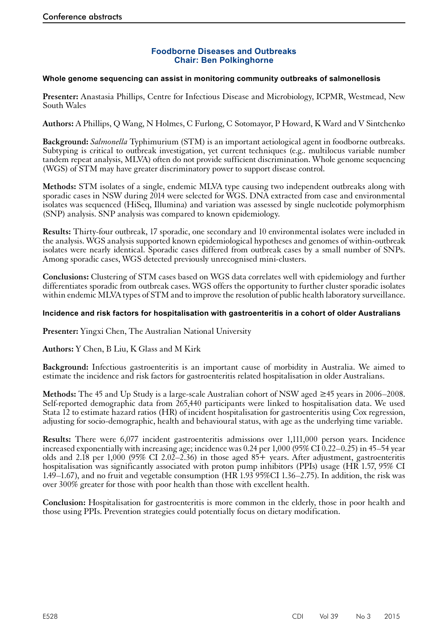# **Foodborne Diseases and Outbreaks Chair: Ben Polkinghorne**

#### <span id="page-25-0"></span>**Whole genome sequencing can assist in monitoring community outbreaks of salmonellosis**

**Presenter:** Anastasia Phillips, Centre for Infectious Disease and Microbiology, ICPMR, Westmead, New South Wales

**Authors:** A Phillips, Q Wang, N Holmes, C Furlong, C Sotomayor, P Howard, K Ward and V Sintchenko

**Background:** *Salmonella* Typhimurium (STM) is an important aetiological agent in foodborne outbreaks. Subtyping is critical to outbreak investigation, yet current techniques (e.g.. multilocus variable number tandem repeat analysis, MLVA) often do not provide sufficient discrimination. Whole genome sequencing (WGS) of STM may have greater discriminatory power to support disease control.

**Methods:** STM isolates of a single, endemic MLVA type causing two independent outbreaks along with sporadic cases in NSW during 2014 were selected for WGS. DNA extracted from case and environmental isolates was sequenced (HiSeq, Illumina) and variation was assessed by single nucleotide polymorphism (SNP) analysis. SNP analysis was compared to known epidemiology.

**Results:** Thirty-four outbreak, 17 sporadic, one secondary and 10 environmental isolates were included in the analysis. WGS analysis supported known epidemiological hypotheses and genomes of within-outbreak isolates were nearly identical. Sporadic cases differed from outbreak cases by a small number of SNPs. Among sporadic cases, WGS detected previously unrecognised mini-clusters.

**Conclusions:** Clustering of STM cases based on WGS data correlates well with epidemiology and further differentiates sporadic from outbreak cases. WGS offers the opportunity to further cluster sporadic isolates within endemic MLVA types of STM and to improve the resolution of public health laboratory surveillance.

## **Incidence and risk factors for hospitalisation with gastroenteritis in a cohort of older Australians**

**Presenter:** Yingxi Chen, The Australian National University

**Authors:** Y Chen, B Liu, K Glass and M Kirk

**Background:** Infectious gastroenteritis is an important cause of morbidity in Australia. We aimed to estimate the incidence and risk factors for gastroenteritis related hospitalisation in older Australians.

**Methods:** The 45 and Up Study is a large-scale Australian cohort of NSW aged ≥45 years in 2006–2008. Self-reported demographic data from 265,440 participants were linked to hospitalisation data. We used Stata 12 to estimate hazard ratios (HR) of incident hospitalisation for gastroenteritis using Cox regression, adjusting for socio-demographic, health and behavioural status, with age as the underlying time variable.

**Results:** There were 6,077 incident gastroenteritis admissions over 1,111,000 person years. Incidence increased exponentially with increasing age; incidence was 0.24 per 1,000 (95% CI  $\overline{0.22}$ –0.25) in 45–54 year olds and 2.18 per 1,000 (95% CI 2.02–2.36) in those aged 85+ years. After adjustment, gastroenteritis hospitalisation was significantly associated with proton pump inhibitors (PPIs) usage (HR 1.57, 95% CI 1.49–1.67), and no fruit and vegetable consumption (HR 1.93 95%CI 1.36–2.75). In addition, the risk was over 300% greater for those with poor health than those with excellent health.

**Conclusion:** Hospitalisation for gastroenteritis is more common in the elderly, those in poor health and those using PPIs. Prevention strategies could potentially focus on dietary modification.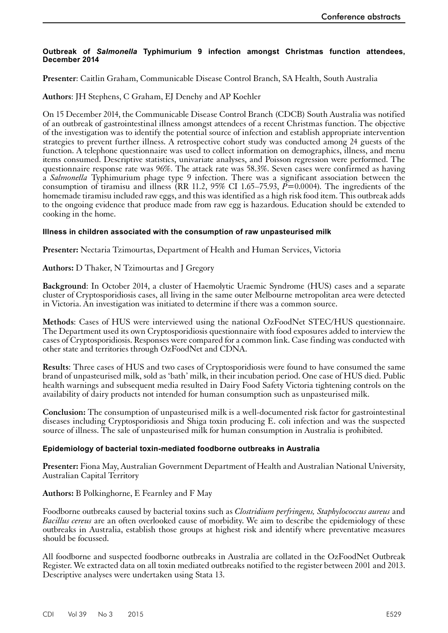#### <span id="page-26-0"></span>**Outbreak of** *Salmonella* **Typhimurium 9 infection amongst Christmas function attendees, December 2014**

**Presenter**: Caitlin Graham, Communicable Disease Control Branch, SA Health, South Australia

**Authors**: JH Stephens, C Graham, EJ Denehy and AP Koehler

On 15 December 2014, the Communicable Disease Control Branch (CDCB) South Australia was notified of an outbreak of gastrointestinal illness amongst attendees of a recent Christmas function. The objective of the investigation was to identify the potential source of infection and establish appropriate intervention strategies to prevent further illness. A retrospective cohort study was conducted among 24 guests of the function. A telephone questionnaire was used to collect information on demographics, illness, and menu items consumed. Descriptive statistics, univariate analyses, and Poisson regression were performed. The questionnaire response rate was 96%. The attack rate was 58.3%. Seven cases were confirmed as having a *Salmonella* Typhimurium phage type 9 infection. There was a significant association between the consumption of tiramisu and illness (RR 11.2, 95% CI 1.65–75.93,  $\tilde{P}=0.0004$ ). The ingredients of the homemade tiramisu included raw eggs, and this was identified as a high risk food item. This outbreak adds to the ongoing evidence that produce made from raw egg is hazardous. Education should be extended to cooking in the home.

#### **Illness in children associated with the consumption of raw unpasteurised milk**

**Presenter:** Nectaria Tzimourtas, Department of Health and Human Services, Victoria

# **Authors:** D Thaker, N Tzimourtas and J Gregory

**Background**: In October 2014, a cluster of Haemolytic Uraemic Syndrome (HUS) cases and a separate cluster of Cryptosporidiosis cases, all living in the same outer Melbourne metropolitan area were detected in Victoria. An investigation was initiated to determine if there was a common source.

**Methods**: Cases of HUS were interviewed using the national OzFoodNet STEC/HUS questionnaire. The Department used its own Cryptosporidiosis questionnaire with food exposures added to interview the cases of Cryptosporidiosis. Responses were compared for a common link. Case finding was conducted with other state and territories through OzFoodNet and CDNA.

**Results**: Three cases of HUS and two cases of Cryptosporidiosis were found to have consumed the same brand of unpasteurised milk, sold as 'bath' milk, in their incubation period. One case of HUS died. Public health warnings and subsequent media resulted in Dairy Food Safety Victoria tightening controls on the availability of dairy products not intended for human consumption such as unpasteurised milk.

**Conclusion:** The consumption of unpasteurised milk is a well-documented risk factor for gastrointestinal diseases including Cryptosporidiosis and Shiga toxin producing E. coli infection and was the suspected source of illness. The sale of unpasteurised milk for human consumption in Australia is prohibited.

#### **Epidemiology of bacterial toxin-mediated foodborne outbreaks in Australia**

**Presenter:** Fiona May, Australian Government Department of Health and Australian National University, Australian Capital Territory

# **Authors:** B Polkinghorne, E Fearnley and F May

Foodborne outbreaks caused by bacterial toxins such as *Clostridium perfringens, Staphylococcus aureus* and *Bacillus cereus* are an often overlooked cause of morbidity. We aim to describe the epidemiology of these outbreaks in Australia, establish those groups at highest risk and identify where preventative measures should be focussed.

All foodborne and suspected foodborne outbreaks in Australia are collated in the OzFoodNet Outbreak Register. We extracted data on all toxin mediated outbreaks notified to the register between 2001 and 2013. Descriptive analyses were undertaken using Stata 13.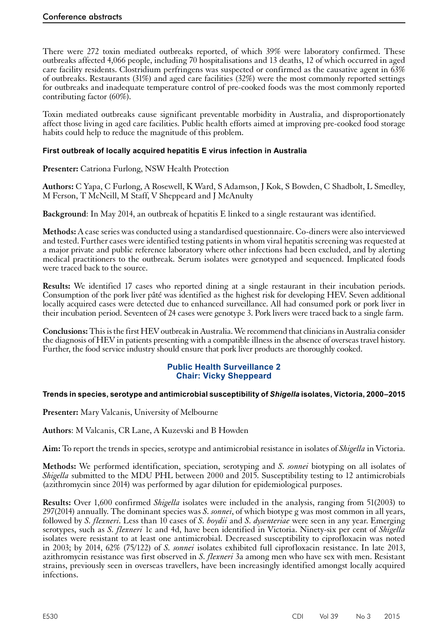<span id="page-27-0"></span>There were 272 toxin mediated outbreaks reported, of which 39% were laboratory confirmed. These outbreaks affected 4,066 people, including 70 hospitalisations and 13 deaths, 12 of which occurred in aged care facility residents. Clostridium perfringens was suspected or confirmed as the causative agent in 63% of outbreaks. Restaurants (31%) and aged care facilities (32%) were the most commonly reported settings for outbreaks and inadequate temperature control of pre-cooked foods was the most commonly reported contributing factor (60%).

Toxin mediated outbreaks cause significant preventable morbidity in Australia, and disproportionately affect those living in aged care facilities. Public health efforts aimed at improving pre-cooked food storage habits could help to reduce the magnitude of this problem.

# **First outbreak of locally acquired hepatitis E virus infection in Australia**

**Presenter:** Catriona Furlong, NSW Health Protection

**Authors:** C Yapa, C Furlong, A Rosewell, K Ward, S Adamson, J Kok, S Bowden, C Shadbolt, L Smedley, M Ferson, T McNeill, M Staff, V Sheppeard and J McAnulty

**Background**: In May 2014, an outbreak of hepatitis E linked to a single restaurant was identified.

**Methods:** A case series was conducted using a standardised questionnaire. Co-diners were also interviewed and tested. Further cases were identified testing patients in whom viral hepatitis screening was requested at a major private and public reference laboratory where other infections had been excluded, and by alerting medical practitioners to the outbreak. Serum isolates were genotyped and sequenced. Implicated foods were traced back to the source.

**Results:** We identified 17 cases who reported dining at a single restaurant in their incubation periods. Consumption of the pork liver pâté was identified as the highest risk for developing HEV. Seven additional locally acquired cases were detected due to enhanced surveillance. All had consumed pork or pork liver in their incubation period. Seventeen of 24 cases were genotype 3. Pork livers were traced back to a single farm.

**Conclusions:** This is the first HEV outbreak in Australia. We recommend that clinicians in Australia consider the diagnosis of HEV in patients presenting with a compatible illness in the absence of overseas travel history. Further, the food service industry should ensure that pork liver products are thoroughly cooked.

# **Public Health Surveillance 2 Chair: Vicky Sheppeard**

# **Trends in species, serotype and antimicrobial susceptibility of** *Shigella* **isolates, Victoria, 2000–2015**

**Presenter:** Mary Valcanis, University of Melbourne

**Authors**: M Valcanis, CR Lane, A Kuzevski and B Howden

**Aim:** To report the trends in species, serotype and antimicrobial resistance in isolates of *Shigella* in Victoria.

**Methods:** We performed identification, speciation, serotyping and *S. sonnei* biotyping on all isolates of *Shigella* submitted to the MDU PHL between 2000 and 2015. Susceptibility testing to 12 antimicrobials (azithromycin since 2014) was performed by agar dilution for epidemiological purposes.

**Results:** Over 1,600 confirmed *Shigella* isolates were included in the analysis, ranging from 51(2003) to 297(2014) annually. The dominant species was *S. sonnei*, of which biotype g was most common in all years, followed by *S. flexneri*. Less than 10 cases of *S. boydii* and *S. dysenteriae* were seen in any year. Emerging serotypes, such as *S. flexneri* 1c and 4d, have been identified in Victoria. Ninety-six per cent of *Shigella* isolates were resistant to at least one antimicrobial. Decreased susceptibility to ciprofloxacin was noted in 2003; by 2014, 62% (75/122) of *S. sonnei* isolates exhibited full ciprofloxacin resistance. In late 2013, azithromycin resistance was first observed in *S. flexneri* 3a among men who have sex with men. Resistant strains, previously seen in overseas travellers, have been increasingly identified amongst locally acquired infections.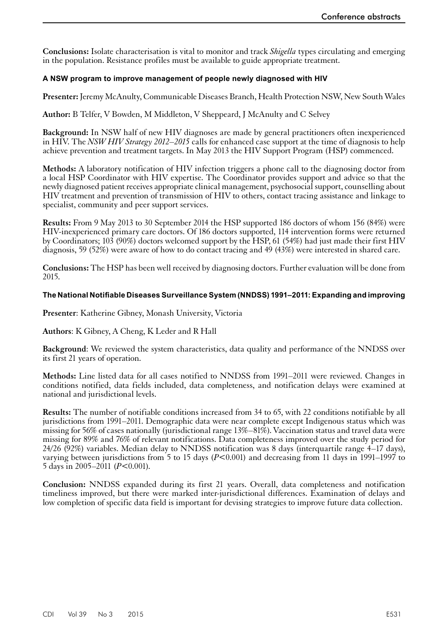<span id="page-28-0"></span>**Conclusions:** Isolate characterisation is vital to monitor and track *Shigella* types circulating and emerging in the population. Resistance profiles must be available to guide appropriate treatment.

# **A NSW program to improve management of people newly diagnosed with HIV**

**Presenter:** Jeremy McAnulty, Communicable Diseases Branch, Health Protection NSW, New South Wales

**Author:** B Telfer, V Bowden, M Middleton, V Sheppeard, J McAnulty and C Selvey

**Background:** In NSW half of new HIV diagnoses are made by general practitioners often inexperienced in HIV. The *NSW HIV Strategy 2012–2015* calls for enhanced case support at the time of diagnosis to help achieve prevention and treatment targets. In May 2013 the HIV Support Program (HSP) commenced.

**Methods:** A laboratory notification of HIV infection triggers a phone call to the diagnosing doctor from a local HSP Coordinator with HIV expertise. The Coordinator provides support and advice so that the newly diagnosed patient receives appropriate clinical management, psychosocial support, counselling about HIV treatment and prevention of transmission of HIV to others, contact tracing assistance and linkage to specialist, community and peer support services.

**Results:** From 9 May 2013 to 30 September 2014 the HSP supported 186 doctors of whom 156 (84%) were HIV-inexperienced primary care doctors. Of 186 doctors supported, 114 intervention forms were returned by Coordinators; 103 (90%) doctors welcomed support by the HSP, 61 (54%) had just made their first HIV diagnosis, 59 (52%) were aware of how to do contact tracing and 49 (43%) were interested in shared care.

**Conclusions:** The HSP has been well received by diagnosing doctors. Further evaluation will be done from 2015.

# **The National Notifiable Diseases Surveillance System (NNDSS) 1991–2011: Expanding and improving**

**Presenter**: Katherine Gibney, Monash University, Victoria

# **Authors**: K Gibney, A Cheng, K Leder and R Hall

**Background**: We reviewed the system characteristics, data quality and performance of the NNDSS over its first 21 years of operation.

**Methods:** Line listed data for all cases notified to NNDSS from 1991–2011 were reviewed. Changes in conditions notified, data fields included, data completeness, and notification delays were examined at national and jurisdictional levels.

**Results:** The number of notifiable conditions increased from 34 to 65, with 22 conditions notifiable by all jurisdictions from 1991–2011. Demographic data were near complete except Indigenous status which was missing for 56% of cases nationally (jurisdictional range 13%–81%). Vaccination status and travel data were missing for 89% and 76% of relevant notifications. Data completeness improved over the study period for  $24/26$  (92%) variables. Median delay to NNDSS notification was 8 days (interquartile range  $4-17$  days), varying between jurisdictions from 5 to 15 days ( $P<0.001$ ) and decreasing from 11 days in 1991–1997 to 5 days in 2005–2011 (*P*<0.001).

**Conclusion:** NNDSS expanded during its first 21 years. Overall, data completeness and notification timeliness improved, but there were marked inter-jurisdictional differences. Examination of delays and low completion of specific data field is important for devising strategies to improve future data collection.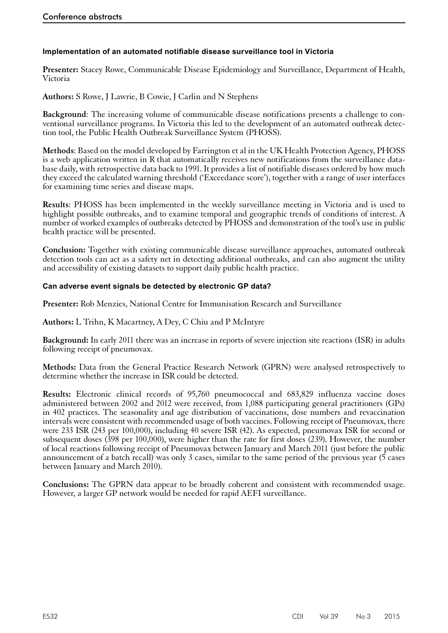# <span id="page-29-0"></span>**Implementation of an automated notifiable disease surveillance tool in Victoria**

**Presenter:** Stacey Rowe, Communicable Disease Epidemiology and Surveillance, Department of Health, Victoria

**Authors:** S Rowe, J Lawrie, B Cowie, J Carlin and N Stephens

**Background**: The increasing volume of communicable disease notifications presents a challenge to conventional surveillance programs. In Victoria this led to the development of an automated outbreak detection tool, the Public Health Outbreak Surveillance System (PHOSS).

**Methods**: Based on the model developed by Farrington et al in the UK Health Protection Agency, PHOSS is a web application written in R that automatically receives new notifications from the surveillance database daily, with retrospective data back to 1991. It provides a list of notifiable diseases ordered by how much they exceed the calculated warning threshold ('Exceedance score'), together with a range of user interfaces for examining time series and disease maps.

**Results**: PHOSS has been implemented in the weekly surveillance meeting in Victoria and is used to highlight possible outbreaks, and to examine temporal and geographic trends of conditions of interest. A number of worked examples of outbreaks detected by PHOSS and demonstration of the tool's use in public health practice will be presented.

**Conclusion:** Together with existing communicable disease surveillance approaches, automated outbreak detection tools can act as a safety net in detecting additional outbreaks, and can also augment the utility and accessibility of existing datasets to support daily public health practice.

#### **Can adverse event signals be detected by electronic GP data?**

**Presenter:** Rob Menzies, National Centre for Immunisation Research and Surveillance

**Authors:** L Trihn, K Macartney, A Dey, C Chiu and P McIntyre

**Background:** In early 2011 there was an increase in reports of severe injection site reactions (ISR) in adults following receipt of pneumovax.

**Methods:** Data from the General Practice Research Network (GPRN) were analysed retrospectively to determine whether the increase in ISR could be detected.

**Results:** Electronic clinical records of 95,760 pneumococcal and 683,829 influenza vaccine doses administered between 2002 and 2012 were received, from 1,088 participating general practitioners (GPs) in 402 practices. The seasonality and age distribution of vaccinations, dose numbers and revaccination intervals were consistent with recommended usage of both vaccines. Following receipt of Pneumovax, there were 233 ISR (243 per 100,000), including 40 severe ISR (42). As expected, pneumovax ISR for second or subsequent doses (398 per 100,000), were higher than the rate for first doses (239). However, the number of local reactions following receipt of Pneumovax between January and March 2011 (just before the public announcement of a batch recall) was only 3 cases, similar to the same period of the previous year (5 cases between January and March 2010).

**Conclusions:** The GPRN data appear to be broadly coherent and consistent with recommended usage. However, a larger GP network would be needed for rapid AEFI surveillance.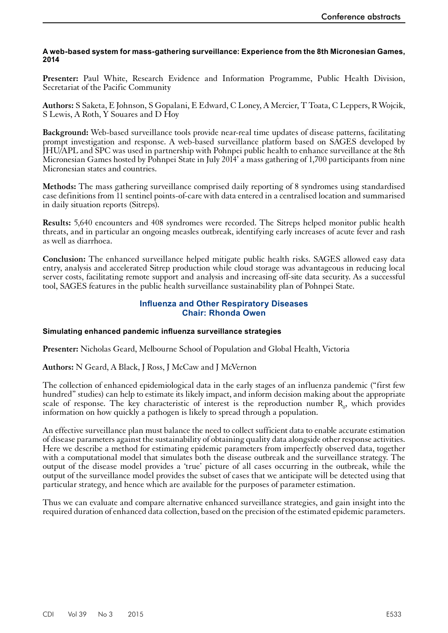#### <span id="page-30-0"></span>**A web-based system for mass-gathering surveillance: Experience from the 8th Micronesian Games, 2014**

**Presenter:** Paul White, Research Evidence and Information Programme, Public Health Division, Secretariat of the Pacific Community

**Authors:** S Saketa, E Johnson, S Gopalani, E Edward, C Loney, A Mercier, T Toata, C Leppers, R Wojcik, S Lewis, A Roth, Y Souares and D Hoy

**Background:** Web-based surveillance tools provide near-real time updates of disease patterns, facilitating prompt investigation and response. A web-based surveillance platform based on SAGES developed by JHU/APL and SPC was used in partnership with Pohnpei public health to enhance surveillance at the 8th Micronesian Games hosted by Pohnpei State in July 2014' a mass gathering of 1,700 participants from nine Micronesian states and countries.

**Methods:** The mass gathering surveillance comprised daily reporting of 8 syndromes using standardised case definitions from 11 sentinel points-of-care with data entered in a centralised location and summarised in daily situation reports (Sitreps).

**Results:** 5,640 encounters and 408 syndromes were recorded. The Sitreps helped monitor public health threats, and in particular an ongoing measles outbreak, identifying early increases of acute fever and rash as well as diarrhoea.

**Conclusion:** The enhanced surveillance helped mitigate public health risks. SAGES allowed easy data entry, analysis and accelerated Sitrep production while cloud storage was advantageous in reducing local server costs, facilitating remote support and analysis and increasing off-site data security. As a successful tool, SAGES features in the public health surveillance sustainability plan of Pohnpei State.

# **Influenza and Other Respiratory Diseases Chair: Rhonda Owen**

#### **Simulating enhanced pandemic influenza surveillance strategies**

**Presenter:** Nicholas Geard, Melbourne School of Population and Global Health, Victoria

**Authors:** N Geard, A Black, J Ross, J McCaw and J McVernon

The collection of enhanced epidemiological data in the early stages of an influenza pandemic ("first few hundred" studies) can help to estimate its likely impact, and inform decision making about the appropriate scale of response. The key characteristic of interest is the reproduction number  $R_0$ , which provides information on how quickly a pathogen is likely to spread through a population.

An effective surveillance plan must balance the need to collect sufficient data to enable accurate estimation of disease parameters against the sustainability of obtaining quality data alongside other response activities. Here we describe a method for estimating epidemic parameters from imperfectly observed data, together with a computational model that simulates both the disease outbreak and the surveillance strategy. The output of the disease model provides a 'true' picture of all cases occurring in the outbreak, while the output of the surveillance model provides the subset of cases that we anticipate will be detected using that particular strategy, and hence which are available for the purposes of parameter estimation.

Thus we can evaluate and compare alternative enhanced surveillance strategies, and gain insight into the required duration of enhanced data collection, based on the precision of the estimated epidemic parameters.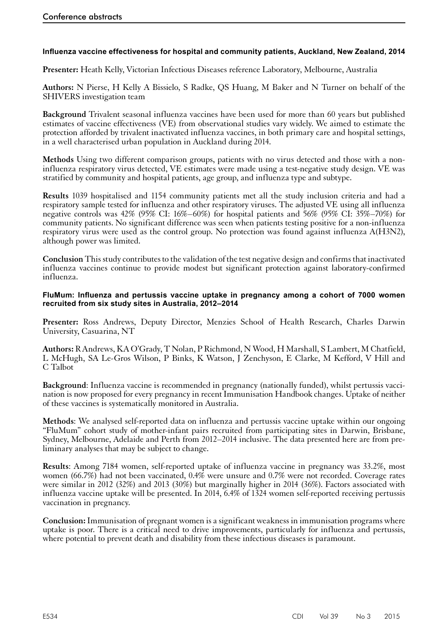# <span id="page-31-0"></span>**Influenza vaccine effectiveness for hospital and community patients, Auckland, New Zealand, 2014**

**Presenter:** Heath Kelly, Victorian Infectious Diseases reference Laboratory, Melbourne, Australia

**Authors:** N Pierse, H Kelly A Bissielo, S Radke, QS Huang, M Baker and N Turner on behalf of the SHIVERS investigation team

**Background** Trivalent seasonal influenza vaccines have been used for more than 60 years but published estimates of vaccine effectiveness (VE) from observational studies vary widely. We aimed to estimate the protection afforded by trivalent inactivated influenza vaccines, in both primary care and hospital settings, in a well characterised urban population in Auckland during 2014.

**Methods** Using two different comparison groups, patients with no virus detected and those with a noninfluenza respiratory virus detected, VE estimates were made using a test-negative study design. VE was stratified by community and hospital patients, age group, and influenza type and subtype.

**Results** 1039 hospitalised and 1154 community patients met all the study inclusion criteria and had a respiratory sample tested for influenza and other respiratory viruses. The adjusted VE using all influenza negative controls was 42% (95% CI: 16%–60%) for hospital patients and 56% (95% CI: 35%–70%) for community patients. No significant difference was seen when patients testing positive for a non-influenza respiratory virus were used as the control group. No protection was found against influenza A(H3N2), although power was limited.

**Conclusion** This study contributes to the validation of the test negative design and confirms that inactivated influenza vaccines continue to provide modest but significant protection against laboratory-confirmed influenza.

#### **FluMum: Influenza and pertussis vaccine uptake in pregnancy among a cohort of 7000 women recruited from six study sites in Australia, 2012–2014**

**Presenter:** Ross Andrews, Deputy Director, Menzies School of Health Research, Charles Darwin University, Casuarina, NT

**Authors:** R Andrews, KA O'Grady, T Nolan, P Richmond, N Wood, H Marshall, S Lambert, M Chatfield, L McHugh, SA Le-Gros Wilson, P Binks, K Watson, J Zenchyson, E Clarke, M Kefford, V Hill and C Talbot

**Background**: Influenza vaccine is recommended in pregnancy (nationally funded), whilst pertussis vaccination is now proposed for every pregnancy in recent Immunisation Handbook changes. Uptake of neither of these vaccines is systematically monitored in Australia.

**Methods**: We analysed self-reported data on influenza and pertussis vaccine uptake within our ongoing "FluMum" cohort study of mother-infant pairs recruited from participating sites in Darwin, Brisbane, Sydney, Melbourne, Adelaide and Perth from 2012–2014 inclusive. The data presented here are from preliminary analyses that may be subject to change.

**Results**: Among 7184 women, self-reported uptake of influenza vaccine in pregnancy was 33.2%, most women (66.7%) had not been vaccinated, 0.4% were unsure and 0.7% were not recorded. Coverage rates were similar in 2012 (32%) and 2013 (30%) but marginally higher in 2014 (36%). Factors associated with influenza vaccine uptake will be presented. In 2014, 6.4% of 1324 women self-reported receiving pertussis vaccination in pregnancy.

**Conclusion:** Immunisation of pregnant women is a significant weakness in immunisation programs where uptake is poor. There is a critical need to drive improvements, particularly for influenza and pertussis, where potential to prevent death and disability from these infectious diseases is paramount.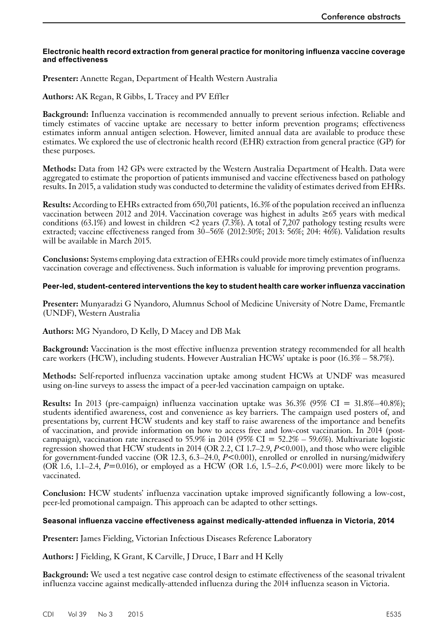#### <span id="page-32-0"></span>**Electronic health record extraction from general practice for monitoring influenza vaccine coverage and effectiveness**

**Presenter:** Annette Regan, Department of Health Western Australia

**Authors:** AK Regan, R Gibbs, L Tracey and PV Effler

**Background:** Influenza vaccination is recommended annually to prevent serious infection. Reliable and timely estimates of vaccine uptake are necessary to better inform prevention programs; effectiveness estimates inform annual antigen selection. However, limited annual data are available to produce these estimates. We explored the use of electronic health record (EHR) extraction from general practice (GP) for these purposes.

**Methods:** Data from 142 GPs were extracted by the Western Australia Department of Health. Data were aggregated to estimate the proportion of patients immunised and vaccine effectiveness based on pathology results. In 2015, a validation study was conducted to determine the validity of estimates derived from EHRs.

**Results:** According to EHRs extracted from 650,701 patients, 16.3% of the population received an influenza vaccination between 2012 and 2014. Vaccination coverage was highest in adults ≥65 years with medical conditions (63.1%) and lowest in children  $\leq$  years (7.3%). A total of 7,207 pathology testing results were extracted; vaccine effectiveness ranged from 30–56% (2012:30%; 2013: 56%; 204: 46%). Validation results will be available in March 2015.

**Conclusions:** Systems employing data extraction of EHRs could provide more timely estimates of influenza vaccination coverage and effectiveness. Such information is valuable for improving prevention programs.

#### **Peer-led, student-centered interventions the key to student health care worker influenza vaccination**

**Presenter:** Munyaradzi G Nyandoro, Alumnus School of Medicine University of Notre Dame, Fremantle (UNDF), Western Australia

**Authors:** MG Nyandoro, D Kelly, D Macey and DB Mak

**Background:** Vaccination is the most effective influenza prevention strategy recommended for all health care workers (HCW), including students. However Australian HCWs' uptake is poor (16.3% – 58.7%).

**Methods:** Self-reported influenza vaccination uptake among student HCWs at UNDF was measured using on-line surveys to assess the impact of a peer-led vaccination campaign on uptake.

**Results:** In 2013 (pre-campaign) influenza vaccination uptake was 36.3% (95% CI = 31.8%–40.8%); students identified awareness, cost and convenience as key barriers. The campaign used posters of, and presentations by, current HCW students and key staff to raise awareness of the importance and benefits of vaccination, and provide information on how to access free and low-cost vaccination. In 2014 (postcampaign), vaccination rate increased to 55.9% in 2014 (95% CI =  $52.2\%$  – 59.6%). Multivariate logistic regression showed that HCW students in 2014 (OR 2.2, CI 1.7–2.9, *P*<0.001), and those who were eligible for government-funded vaccine (OR 12.3, 6.3–24.0, *P*<0.001), enrolled or enrolled in nursing/midwifery (OR 1.6, 1.1–2.4, *P*=0.016), or employed as a HCW (OR 1.6, 1.5–2.6, *P*<0.001) were more likely to be vaccinated.

**Conclusion:** HCW students' influenza vaccination uptake improved significantly following a low-cost, peer-led promotional campaign. This approach can be adapted to other settings.

#### **Seasonal influenza vaccine effectiveness against medically-attended influenza in Victoria, 2014**

**Presenter:** James Fielding, Victorian Infectious Diseases Reference Laboratory

**Authors:** J Fielding, K Grant, K Carville, J Druce, I Barr and H Kelly

**Background:** We used a test negative case control design to estimate effectiveness of the seasonal trivalent influenza vaccine against medically-attended influenza during the 2014 influenza season in Victoria.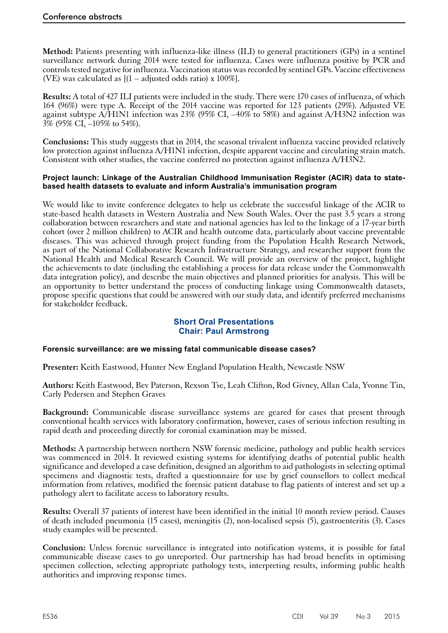<span id="page-33-0"></span>**Method:** Patients presenting with influenza-like illness (ILI) to general practitioners (GPs) in a sentinel surveillance network during 2014 were tested for influenza. Cases were influenza positive by PCR and controls tested negative for influenza. Vaccination status was recorded by sentinel GPs. Vaccine effectiveness (VE) was calculated as  $[(1 - \text{adjusted odds ratio}) \times 100\%]$ .

**Results:** A total of 427 ILI patients were included in the study. There were 170 cases of influenza, of which 164 (96%) were type A. Receipt of the 2014 vaccine was reported for 123 patients (29%). Adjusted VE against subtype A/H1N1 infection was 23% (95% CI, –40% to 58%) and against A/H3N2 infection was 3% (95% CI, –105% to 54%).

**Conclusions:** This study suggests that in 2014, the seasonal trivalent influenza vaccine provided relatively low protection against influenza A/H1N1 infection, despite apparent vaccine and circulating strain match. Consistent with other studies, the vaccine conferred no protection against influenza A/H3N2.

#### **Project launch: Linkage of the Australian Childhood Immunisation Register (ACIR) data to statebased health datasets to evaluate and inform Australia's immunisation program**

We would like to invite conference delegates to help us celebrate the successful linkage of the ACIR to state-based health datasets in Western Australia and New South Wales. Over the past 3.5 years a strong collaboration between researchers and state and national agencies has led to the linkage of a 17-year birth cohort (over 2 million children) to ACIR and health outcome data, particularly about vaccine preventable diseases. This was achieved through project funding from the Population Health Research Network, as part of the National Collaborative Research Infrastructure Strategy, and researcher support from the National Health and Medical Research Council. We will provide an overview of the project, highlight the achievements to date (including the establishing a process for data release under the Commonwealth data integration policy), and describe the main objectives and planned priorities for analysis. This will be an opportunity to better understand the process of conducting linkage using Commonwealth datasets, propose specific questions that could be answered with our study data, and identify preferred mechanisms for stakeholder feedback.

# **Short Oral Presentations Chair: Paul Armstrong**

# **Forensic surveillance: are we missing fatal communicable disease cases?**

**Presenter:** Keith Eastwood, Hunter New England Population Health, Newcastle NSW

**Authors:** Keith Eastwood, Bev Paterson, Rexson Tse, Leah Clifton, Rod Givney, Allan Cala, Yvonne Tin, Carly Pedersen and Stephen Graves

**Background:** Communicable disease surveillance systems are geared for cases that present through conventional health services with laboratory confirmation, however, cases of serious infection resulting in rapid death and proceeding directly for coronial examination may be missed.

**Methods:** A partnership between northern NSW forensic medicine, pathology and public health services was commenced in 2014. It reviewed existing systems for identifying deaths of potential public health significance and developed a case definition, designed an algorithm to aid pathologists in selecting optimal specimens and diagnostic tests, drafted a questionnaire for use by grief counsellors to collect medical information from relatives, modified the forensic patient database to flag patients of interest and set up a pathology alert to facilitate access to laboratory results.

**Results:** Overall 37 patients of interest have been identified in the initial 10 month review period. Causes of death included pneumonia (15 cases), meningitis (2), non-localised sepsis (5), gastroenteritis (3). Cases study examples will be presented.

**Conclusion:** Unless forensic surveillance is integrated into notification systems, it is possible for fatal communicable disease cases to go unreported. Our partnership has had broad benefits in optimising specimen collection, selecting appropriate pathology tests, interpreting results, informing public health authorities and improving response times.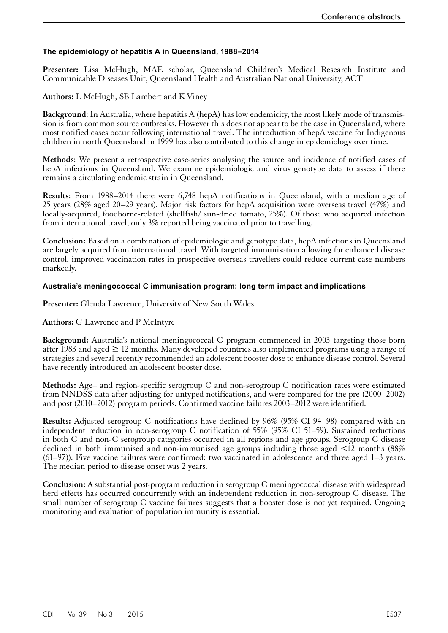# <span id="page-34-0"></span>**The epidemiology of hepatitis A in Queensland, 1988–2014**

Presenter: Lisa McHugh, MAE scholar, Queensland Children's Medical Research Institute and Communicable Diseases Unit, Queensland Health and Australian National University, ACT

# **Authors:** L McHugh, SB Lambert and K Viney

**Background:** In Australia, where hepatitis A (hepA) has low endemicity, the most likely mode of transmission is from common source outbreaks. However this does not appear to be the case in Queensland, where most notified cases occur following international travel. The introduction of hepA vaccine for Indigenous children in north Queensland in 1999 has also contributed to this change in epidemiology over time.

**Methods**: We present a retrospective case-series analysing the source and incidence of notified cases of hepA infections in Queensland. We examine epidemiologic and virus genotype data to assess if there remains a circulating endemic strain in Queensland.

**Results**: From 1988–2014 there were 6,748 hepA notifications in Queensland, with a median age of 25 years (28% aged 20–29 years). Major risk factors for hepA acquisition were overseas travel (47%) and locally-acquired, foodborne-related (shellfish/ sun-dried tomato, 25%). Of those who acquired infection from international travel, only 3% reported being vaccinated prior to travelling.

**Conclusion:** Based on a combination of epidemiologic and genotype data, hepA infections in Queensland are largely acquired from international travel. With targeted immunisation allowing for enhanced disease control, improved vaccination rates in prospective overseas travellers could reduce current case numbers markedly.

#### **Australia's meningococcal C immunisation program: long term impact and implications**

**Presenter:** Glenda Lawrence, University of New South Wales

# **Authors:** G Lawrence and P McIntyre

**Background:** Australia's national meningococcal C program commenced in 2003 targeting those born after 1983 and aged  $\geq 12$  months. Many developed countries also implemented programs using a range of strategies and several recently recommended an adolescent booster dose to enhance disease control. Several have recently introduced an adolescent booster dose.

**Methods:** Age– and region-specific serogroup C and non-serogroup C notification rates were estimated from NNDSS data after adjusting for untyped notifications, and were compared for the pre (2000–2002) and post (2010–2012) program periods. Confirmed vaccine failures 2003–2012 were identified.

**Results:** Adjusted serogroup C notifications have declined by 96% (95% CI 94–98) compared with an independent reduction in non-serogroup C notification of 55% (95% CI 51–59). Sustained reductions in both C and non-C serogroup categories occurred in all regions and age groups. Serogroup C disease declined in both immunised and non-immunised age groups including those aged  $\leq 12$  months (88%) (61–97)). Five vaccine failures were confirmed: two vaccinated in adolescence and three aged 1–3 years. The median period to disease onset was 2 years.

**Conclusion:** A substantial post-program reduction in serogroup C meningococcal disease with widespread herd effects has occurred concurrently with an independent reduction in non-serogroup C disease. The small number of serogroup C vaccine failures suggests that a booster dose is not yet required. Ongoing monitoring and evaluation of population immunity is essential.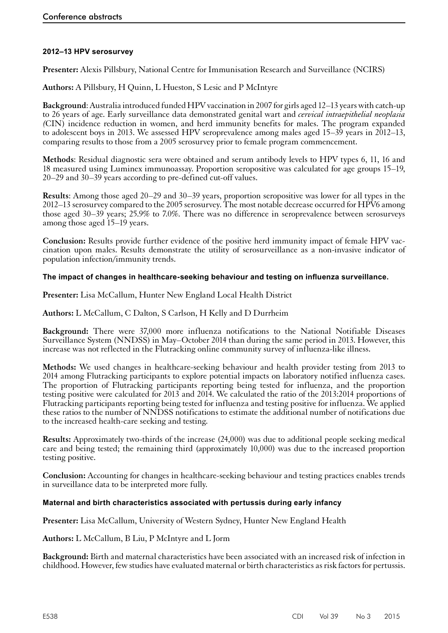# <span id="page-35-0"></span>**2012–13 HPV serosurvey**

**Presenter:** Alexis Pillsbury, National Centre for Immunisation Research and Surveillance (NCIRS)

**Authors:** A Pillsbury, H Quinn, L Hueston, S Lesic and P McIntyre

**Background**: Australia introduced funded HPV vaccination in 2007 for girls aged 12–13 years with catch-up to 26 years of age. Early surveillance data demonstrated genital wart and *cervical intraepithelial neoplasia (*CIN) incidence reduction in women, and herd immunity benefits for males. The program expanded to adolescent boys in 2013. We assessed HPV seroprevalence among males aged 15–39 years in 2012–13, comparing results to those from a 2005 serosurvey prior to female program commencement.

**Methods**: Residual diagnostic sera were obtained and serum antibody levels to HPV types 6, 11, 16 and 18 measured using Luminex immunoassay. Proportion seropositive was calculated for age groups 15–19, 20–29 and 30–39 years according to pre-defined cut-off values.

**Results**: Among those aged 20–29 and 30–39 years, proportion seropositive was lower for all types in the 2012–13 serosurvey compared to the 2005 serosurvey. The most notable decrease occurred for HPV6 among those aged 30–39 years; 25.9% to 7.0%. There was no difference in seroprevalence between serosurveys among those aged 15–19 years.

**Conclusion:** Results provide further evidence of the positive herd immunity impact of female HPV vaccination upon males. Results demonstrate the utility of serosurveillance as a non-invasive indicator of population infection/immunity trends.

# **The impact of changes in healthcare-seeking behaviour and testing on influenza surveillance.**

**Presenter:** Lisa McCallum, Hunter New England Local Health District

**Authors:** L McCallum, C Dalton, S Carlson, H Kelly and D Durrheim

**Background:** There were 37,000 more influenza notifications to the National Notifiable Diseases Surveillance System (NNDSS) in May–October 2014 than during the same period in 2013. However, this increase was not reflected in the Flutracking online community survey of influenza-like illness.

**Methods:** We used changes in healthcare-seeking behaviour and health provider testing from 2013 to 2014 among Flutracking participants to explore potential impacts on laboratory notified influenza cases. The proportion of Flutracking participants reporting being tested for influenza, and the proportion testing positive were calculated for 2013 and 2014. We calculated the ratio of the 2013:2014 proportions of Flutracking participants reporting being tested for influenza and testing positive for influenza. We applied these ratios to the number of NNDSS notifications to estimate the additional number of notifications due to the increased health-care seeking and testing.

**Results:** Approximately two-thirds of the increase (24,000) was due to additional people seeking medical care and being tested; the remaining third (approximately 10,000) was due to the increased proportion testing positive.

**Conclusion:** Accounting for changes in healthcare-seeking behaviour and testing practices enables trends in surveillance data to be interpreted more fully.

#### **Maternal and birth characteristics associated with pertussis during early infancy**

**Presenter:** Lisa McCallum, University of Western Sydney, Hunter New England Health

**Authors:** L McCallum, B Liu, P McIntyre and L Jorm

**Background:** Birth and maternal characteristics have been associated with an increased risk of infection in childhood. However, few studies have evaluated maternal or birth characteristics as risk factors for pertussis.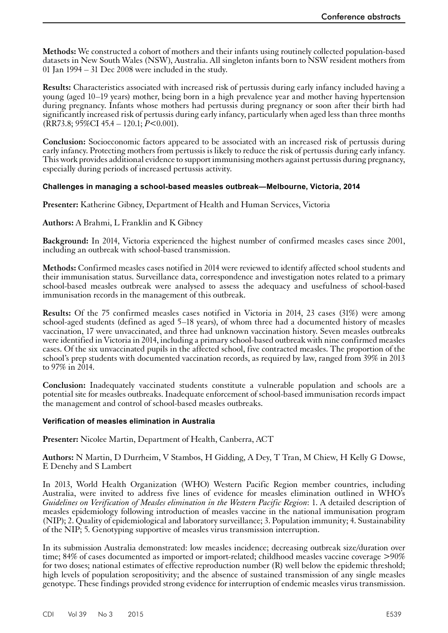<span id="page-36-0"></span>**Methods:** We constructed a cohort of mothers and their infants using routinely collected population-based datasets in New South Wales (NSW), Australia. All singleton infants born to NSW resident mothers from 01 Jan 1994 – 31 Dec 2008 were included in the study.

**Results:** Characteristics associated with increased risk of pertussis during early infancy included having a young (aged 10–19 years) mother, being born in a high prevalence year and mother having hypertension during pregnancy. Infants whose mothers had pertussis during pregnancy or soon after their birth had significantly increased risk of pertussis during early infancy, particularly when aged less than three months (RR73.8; 95%CI 45.4 – 120.1; *P*<0.001).

**Conclusion:** Socioeconomic factors appeared to be associated with an increased risk of pertussis during early infancy. Protecting mothers from pertussis is likely to reduce the risk of pertussis during early infancy. This work provides additional evidence to support immunising mothers against pertussis during pregnancy, especially during periods of increased pertussis activity.

# **Challenges in managing a school-based measles outbreak—Melbourne, Victoria, 2014**

**Presenter:** Katherine Gibney, Department of Health and Human Services, Victoria

# **Authors:** A Brahmi, L Franklin and K Gibney

**Background:** In 2014, Victoria experienced the highest number of confirmed measles cases since 2001, including an outbreak with school-based transmission.

**Methods:** Confirmed measles cases notified in 2014 were reviewed to identify affected school students and their immunisation status. Surveillance data, correspondence and investigation notes related to a primary school-based measles outbreak were analysed to assess the adequacy and usefulness of school-based immunisation records in the management of this outbreak.

**Results:** Of the 75 confirmed measles cases notified in Victoria in 2014, 23 cases (31%) were among school-aged students (defined as aged 5–18 years), of whom three had a documented history of measles vaccination, 17 were unvaccinated, and three had unknown vaccination history. Seven measles outbreaks were identified in Victoria in 2014, including a primary school-based outbreak with nine confirmed measles cases. Of the six unvaccinated pupils in the affected school, five contracted measles. The proportion of the school's prep students with documented vaccination records, as required by law, ranged from 39% in 2013 to  $97\%$  in  $2014$ .

**Conclusion:** Inadequately vaccinated students constitute a vulnerable population and schools are a potential site for measles outbreaks. Inadequate enforcement of school-based immunisation records impact the management and control of school-based measles outbreaks.

#### **Verification of measles elimination in Australia**

**Presenter:** Nicolee Martin, Department of Health, Canberra, ACT

**Authors:** N Martin, D Durrheim, V Stambos, H Gidding, A Dey, T Tran, M Chiew, H Kelly G Dowse, E Denehy and S Lambert

In 2013, World Health Organization (WHO) Western Pacific Region member countries, including Australia, were invited to address five lines of evidence for measles elimination outlined in WHO's *Guidelines on Verification of Measles elimination in the Western Pacific Region*: 1. A detailed description of measles epidemiology following introduction of measles vaccine in the national immunisation program (NIP); 2. Quality of epidemiological and laboratory surveillance; 3. Population immunity; 4. Sustainability of the NIP; 5. Genotyping supportive of measles virus transmission interruption.

In its submission Australia demonstrated: low measles incidence; decreasing outbreak size/duration over time: 84% of cases documented as imported or import-related; childhood measles vaccine coverage  $>90\%$ for two doses; national estimates of effective reproduction number (R) well below the epidemic threshold; high levels of population seropositivity; and the absence of sustained transmission of any single measles genotype. These findings provided strong evidence for interruption of endemic measles virus transmission.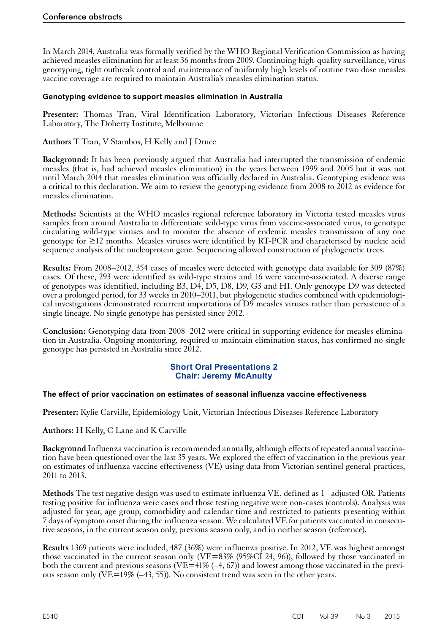<span id="page-37-0"></span>In March 2014, Australia was formally verified by the WHO Regional Verification Commission as having achieved measles elimination for at least 36 months from 2009. Continuing high-quality surveillance, virus genotyping, tight outbreak control and maintenance of uniformly high levels of routine two dose measles vaccine coverage are required to maintain Australia's measles elimination status.

## **Genotyping evidence to support measles elimination in Australia**

**Presenter:** Thomas Tran, Viral Identification Laboratory, Victorian Infectious Diseases Reference Laboratory, The Doherty Institute, Melbourne

**Authors** T Tran, V Stambos, H Kelly and J Druce

**Background:** It has been previously argued that Australia had interrupted the transmission of endemic measles (that is, had achieved measles elimination) in the years between 1999 and 2005 but it was not until March 2014 that measles elimination was officially declared in Australia. Genotyping evidence was a critical to this declaration. We aim to review the genotyping evidence from 2008 to 2012 as evidence for measles elimination.

**Methods:** Scientists at the WHO measles regional reference laboratory in Victoria tested measles virus samples from around Australia to differentiate wild-type virus from vaccine-associated virus, to genotype circulating wild-type viruses and to monitor the absence of endemic measles transmission of any one genotype for ≥12 months. Measles viruses were identified by RT-PCR and characterised by nucleic acid sequence analysis of the nucleoprotein gene. Sequencing allowed construction of phylogenetic trees.

**Results:** From 2008–2012, 354 cases of measles were detected with genotype data available for 309 (87%) cases. Of these, 293 were identified as wild-type strains and 16 were vaccine-associated. A diverse range of genotypes was identified, including B3, D4, D5, D8, D9, G3 and H1. Only genotype D9 was detected over a prolonged period, for 33 weeks in 2010–2011, but phylogenetic studies combined with epidemiological investigations demonstrated recurrent importations of D9 measles viruses rather than persistence of a single lineage. No single genotype has persisted since 2012.

**Conclusion:** Genotyping data from 2008–2012 were critical in supporting evidence for measles elimination in Australia. Ongoing monitoring, required to maintain elimination status, has confirmed no single genotype has persisted in Australia since 2012.

# **Short Oral Presentations 2 Chair: Jeremy McAnulty**

#### **The effect of prior vaccination on estimates of seasonal influenza vaccine effectiveness**

**Presenter:** Kylie Carville, Epidemiology Unit, Victorian Infectious Diseases Reference Laboratory

**Authors:** H Kelly, C Lane and K Carville

**Background** Influenza vaccination is recommended annually, although effects of repeated annual vaccination have been questioned over the last 35 years. We explored the effect of vaccination in the previous year on estimates of influenza vaccine effectiveness (VE) using data from Victorian sentinel general practices, 2011 to 2013.

**Methods** The test negative design was used to estimate influenza VE, defined as 1– adjusted OR. Patients testing positive for influenza were cases and those testing negative were non-cases (controls). Analysis was adjusted for year, age group, comorbidity and calendar time and restricted to patients presenting within <sup>7</sup> days of symptom onset during the influenza season. We calculated VE for patients vaccinated in consecu- tive seasons, in the current season only, previous season only, and in neither season (reference).

**Results** 1369 patients were included, 487 (36%) were influenza positive. In 2012, VE was highest amongst those vaccinated in the current season only (VE=83% (95%CI 24, 96)), followed by those vaccinated in both the current and previous seasons (VE=41%  $(-4, 67)$ ) and lowest among those vaccinated in the previous season only (VE $=19\%$  (-43, 55)). No consistent trend was seen in the other years.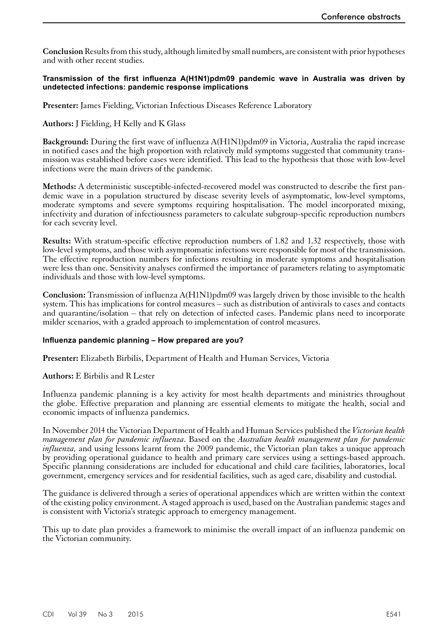<span id="page-38-0"></span>**Conclusion** Results from this study, although limited by small numbers, are consistent with prior hypotheses and with other recent studies.

#### **Transmission of the first influenza A(H1N1)pdm09 pandemic wave in Australia was driven by undetected infections: pandemic response implications**

**Presenter:** James Fielding, Victorian Infectious Diseases Reference Laboratory

**Authors:** J Fielding, H Kelly and K Glass

**Background:** During the first wave of influenza A(H1N1)pdm09 in Victoria, Australia the rapid increase in notified cases and the high proportion with relatively mild symptoms suggested that community transmission was established before cases were identified. This lead to the hypothesis that those with low-level infections were the main drivers of the pandemic.

**Methods:** A deterministic susceptible-infected-recovered model was constructed to describe the first pandemic wave in a population structured by disease severity levels of asymptomatic, low-level symptoms, moderate symptoms and severe symptoms requiring hospitalisation. The model incorporated mixing, infectivity and duration of infectiousness parameters to calculate subgroup-specific reproduction numbers for each severity level.

**Results:** With stratum-specific effective reproduction numbers of 1.82 and 1.32 respectively, those with low-level symptoms, and those with asymptomatic infections were responsible for most of the transmission. The effective reproduction numbers for infections resulting in moderate symptoms and hospitalisation were less than one. Sensitivity analyses confirmed the importance of parameters relating to asymptomatic individuals and those with low-level symptoms.

**Conclusion:** Transmission of influenza A(H1N1)pdm09 was largely driven by those invisible to the health system. This has implications for control measures – such as distribution of antivirals to cases and contacts and quarantine/isolation – that rely on detection of infected cases. Pandemic plans need to incorporate milder scenarios, with a graded approach to implementation of control measures.

#### **Influenza pandemic planning – How prepared are you?**

**Presenter:** Elizabeth Birbilis, Department of Health and Human Services, Victoria

#### **Authors:** E Birbilis and R Lester

Influenza pandemic planning is a key activity for most health departments and ministries throughout the globe. Effective preparation and planning are essential elements to mitigate the health, social and economic impacts of influenza pandemics.

In November 2014 the Victorian Department of Health and Human Services published the *Victorian health management plan for pandemic influenza*. Based on the *Australian health management plan for pandemic influenza,* and using lessons learnt from the 2009 pandemic, the Victorian plan takes a unique approach by providing operational guidance to health and primary care services using a settings-based approach. Specific planning considerations are included for educational and child care facilities, laboratories, local government, emergency services and for residential facilities, such as aged care, disability and custodial.

The guidance is delivered through a series of operational appendices which are written within the context of the existing policy environment. A staged approach is used, based on the Australian pandemic stages and is consistent with Victoria's strategic approach to emergency management.

This up to date plan provides a framework to minimise the overall impact of an influenza pandemic on the Victorian community.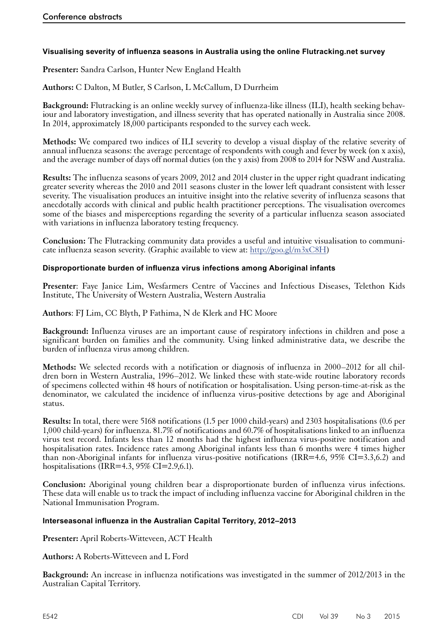# <span id="page-39-0"></span>**Visualising severity of influenza seasons in Australia using the online Flutracking.net survey**

**Presenter:** Sandra Carlson, Hunter New England Health

**Authors:** C Dalton, M Butler, S Carlson, L McCallum, D Durrheim

**Background:** Flutracking is an online weekly survey of influenza-like illness (ILI), health seeking behaviour and laboratory investigation, and illness severity that has operated nationally in Australia since 2008. In 2014, approximately 18,000 participants responded to the survey each week.

**Methods:** We compared two indices of ILI severity to develop a visual display of the relative severity of annual influenza seasons: the average percentage of respondents with cough and fever by week (on x axis), and the average number of days off normal duties (on the y axis) from 2008 to 2014 for NSW and Australia.

**Results:** The influenza seasons of years 2009, 2012 and 2014 cluster in the upper right quadrant indicating greater severity whereas the 2010 and 2011 seasons cluster in the lower left quadrant consistent with lesser severity. The visualisation produces an intuitive insight into the relative severity of influenza seasons that anecdotally accords with clinical and public health practitioner perceptions. The visualisation overcomes some of the biases and misperceptions regarding the severity of a particular influenza season associated with variations in influenza laboratory testing frequency.

**Conclusion:** The Flutracking community data provides a useful and intuitive visualisation to communicate influenza season severity. (Graphic available to view at:  $\frac{http://goo.gl/m3xC8H)}{http://goo.gl/m3xC8H)}$ 

# **Disproportionate burden of influenza virus infections among Aboriginal infants**

**Presenter**: Faye Janice Lim, Wesfarmers Centre of Vaccines and Infectious Diseases, Telethon Kids Institute, The University of Western Australia, Western Australia

**Authors**: FJ Lim, CC Blyth, P Fathima, N de Klerk and HC Moore

**Background:** Influenza viruses are an important cause of respiratory infections in children and pose a significant burden on families and the community. Using linked administrative data, we describe the burden of influenza virus among children.

Methods: We selected records with a notification or diagnosis of influenza in 2000–2012 for all chil-<br>dren born in Western Australia, 1996–2012. We linked these with state-wide routine laboratory records of specimens collected within 48 hours of notification or hospitalisation. Using person-time-at-risk as the denominator, we calculated the incidence of influenza virus-positive detections by age and Aboriginal status.

**Results:** In total, there were 5168 notifications (1.5 per 1000 child-years) and 2303 hospitalisations (0.6 per 1,000 child-years) for influenza. 81.7% of notifications and 60.7% of hospitalisations linked to an influenza virus test record. Infants less than 12 months had the highest influenza virus-positive notification and hospitalisation rates. Incidence rates among Aboriginal infants less than 6 months were 4 times higher than non-Aboriginal infants for influenza virus-positive notifications (IRR=4.6, 95% CI=3.3.6.2) and hospitalisations (IRR=4.3,  $95\%$  CI=2.9,6.1).

**Conclusion:** Aboriginal young children bear a disproportionate burden of influenza virus infections. These data will enable us to track the impact of including influenza vaccine for Aboriginal children in the National Immunisation Program.

#### **Interseasonal influenza in the Australian Capital Territory, 2012–2013**

**Presenter:** April Roberts-Witteveen, ACT Health

**Authors:** A Roberts-Witteveen and L Ford

**Background:** An increase in influenza notifications was investigated in the summer of 2012/2013 in the Australian Capital Territory.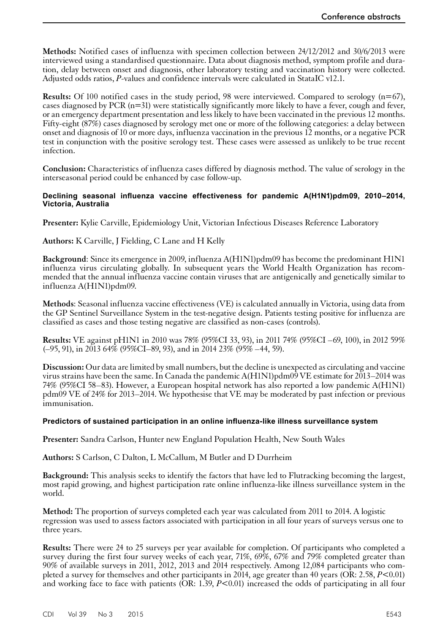<span id="page-40-0"></span>**Methods:** Notified cases of influenza with specimen collection between 24/12/2012 and 30/6/2013 were interviewed using a standardised questionnaire. Data about diagnosis method, symptom profile and duration, delay between onset and diagnosis, other laboratory testing and vaccination history were collected. Adjusted odds ratios, *P*-values and confidence intervals were calculated in StataIC v12.1.

**Results:** Of 100 notified cases in the study period, 98 were interviewed. Compared to serology (n=67), cases diagnosed by PCR (n=31) were statistically significantly more likely to have a fever, cough and fever, or an emergency department presentation and less likely to have been vaccinated in the previous 12 months. Fifty-eight (87%) cases diagnosed by serology met one or more of the following categories: a delay between onset and diagnosis of 10 or more days, influenza vaccination in the previous 12 months, or a negative PCR test in conjunction with the positive serology test. These cases were assessed as unlikely to be true recent infection.

**Conclusion:** Characteristics of influenza cases differed by diagnosis method. The value of serology in the interseasonal period could be enhanced by case follow-up.

#### **Declining seasonal influenza vaccine effectiveness for pandemic A(H1N1)pdm09, 2010–2014, Victoria, Australia**

**Presenter:** Kylie Carville, Epidemiology Unit, Victorian Infectious Diseases Reference Laboratory

**Authors:** K Carville, J Fielding, C Lane and H Kelly

**Background:** Since its emergence in 2009, influenza A(H1N1)pdm09 has become the predominant H1N1 influenza virus circulating globally. In subsequent years the World Health Organization has recommended that the annual influenza vaccine contain viruses that are antigenically and genetically similar to influenza A(H1N1)pdm09.

**Methods**: Seasonal influenza vaccine effectiveness (VE) is calculated annually in Victoria, using data from the GP Sentinel Surveillance System in the test-negative design. Patients testing positive for influenza are classified as cases and those testing negative are classified as non-cases (controls).

**Results:** VE against pH1N1 in 2010 was 78% (95%CI 33, 93), in 2011 74% (95%CI –69, 100), in 2012 59%  $(-95, 91)$ , in 2013 64% (95%CI–89, 93), and in 2014 23% (95% –44, 59).

**Discussion:** Our data are limited by small numbers, but the decline is unexpected as circulating and vaccine virus strains have been the same. In Canada the pandemic  $A(HIN1)$  pdm09 VE estimate for 2013–2014 was 74% (95%CI 58–83). However, a European hospital network has also reported a low pandemic A(H1N1) pdm09 VE of 24% for 2013–2014. We hypothesise that VE may be moderated by past infection or previous immunisation.

#### **Predictors of sustained participation in an online influenza-like illness surveillance system**

**Presenter:** Sandra Carlson, Hunter new England Population Health, New South Wales

**Authors:** S Carlson, C Dalton, L McCallum, M Butler and D Durrheim

**Background:** This analysis seeks to identify the factors that have led to Flutracking becoming the largest, most rapid growing, and highest participation rate online influenza-like illness surveillance system in the world.

**Method:** The proportion of surveys completed each year was calculated from 2011 to 2014. A logistic regression was used to assess factors associated with participation in all four years of surveys versus one to three years.

**Results:** There were 24 to 25 surveys per year available for completion. Of participants who completed a survey during the first four survey weeks of each year, 71%, 69%, 67% and 79% completed greater than 90% of available surveys in 2011, 2012, 2013 and 2014 respectively. Among 12,084 participants who completed a survey for themselves and other participants in 2014, age greater than 40 years (OR: 2.58, *P*<0.01) and working face to face with patients (OR: 1.39, *P*<0.01) increased the odds of participating in all four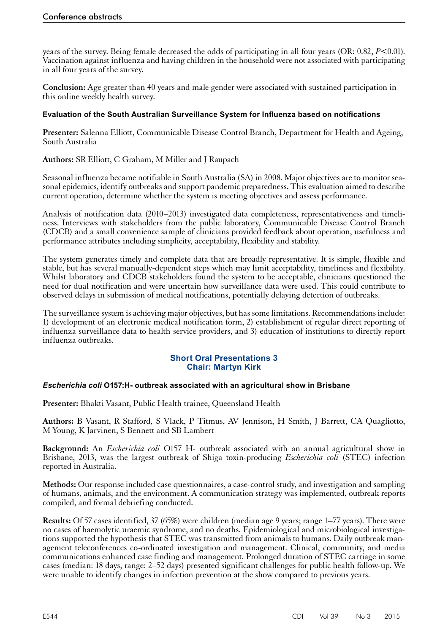<span id="page-41-0"></span>years of the survey. Being female decreased the odds of participating in all four years (OR: 0.82, *P*<0.01). Vaccination against influenza and having children in the household were not associated with participating in all four years of the survey.

**Conclusion:** Age greater than 40 years and male gender were associated with sustained participation in this online weekly health survey.

# **Evaluation of the South Australian Surveillance System for Influenza based on notifications**

**Presenter:** Salenna Elliott, Communicable Disease Control Branch, Department for Health and Ageing, South Australia

**Authors:** SR Elliott, C Graham, M Miller and J Raupach

Seasonal influenza became notifiable in South Australia (SA) in 2008. Major objectives are to monitor seasonal epidemics, identify outbreaks and support pandemic preparedness. This evaluation aimed to describe current operation, determine whether the system is meeting objectives and assess performance.

Analysis of notification data (2010–2013) investigated data completeness, representativeness and timeliness. Interviews with stakeholders from the public laboratory, Communicable Disease Control Branch (CDCB) and a small convenience sample of clinicians provided feedback about operation, usefulness and performance attributes including simplicity, acceptability, flexibility and stability.

The system generates timely and complete data that are broadly representative. It is simple, flexible and stable, but has several manually-dependent steps which may limit acceptability, timeliness and flexibility. Whilst laboratory and CDCB stakeholders found the system to be acceptable, clinicians questioned the need for dual notification and were uncertain how surveillance data were used. This could contribute to observed delays in submission of medical notifications, potentially delaying detection of outbreaks.

The surveillance system is achieving major objectives, but has some limitations. Recommendations include: 1) development of an electronic medical notification form, 2) establishment of regular direct reporting of influenza surveillance data to health service providers, and 3) education of institutions to directly report influenza outbreaks.

# **Short Oral Presentations 3 Chair: Martyn Kirk**

#### *Escherichia coli* **O157:H- outbreak associated with an agricultural show in Brisbane**

**Presenter:** Bhakti Vasant, Public Health trainee, Queensland Health

**Authors:** B Vasant, R Stafford, S Vlack, P Titmus, AV Jennison, H Smith, J Barrett, CA Quagliotto, M Young, K Jarvinen, S Bennett and SB Lambert

**Background:** An *Escherichia coli* O157 H- outbreak associated with an annual agricultural show in Brisbane, 2013, was the largest outbreak of Shiga toxin-producing *Escherichia coli* (STEC) infection reported in Australia.

**Methods:** Our response included case questionnaires, a case-control study, and investigation and sampling of humans, animals, and the environment. A communication strategy was implemented, outbreak reports compiled, and formal debriefing conducted.

**Results:** Of 57 cases identified, 37 (65%) were children (median age 9 years; range 1–77 years). There were no cases of haemolytic uraemic syndrome, and no deaths. Epidemiological and microbiological investiga- tions supported the hypothesis that STEC was transmitted from animals to humans. Daily outbreak management teleconferences co-ordinated investigation and management. Clinical, community, and media communications enhanced case finding and management. Prolonged duration of STEC carriage in some cases (median: 18 days, range: 2–52 days) presented significant challenges for public health follow-up. We were unable to identify changes in infection prevention at the show compared to previous years.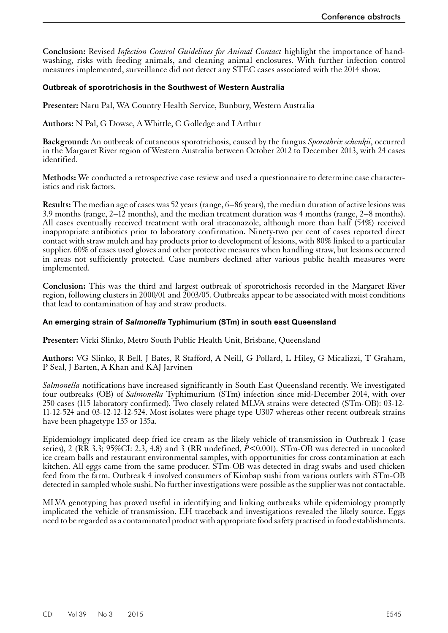<span id="page-42-0"></span>**Conclusion:** Revised *Infection Control Guidelines for Animal Contact* highlight the importance of handwashing, risks with feeding animals, and cleaning animal enclosures. With further infection control measures implemented, surveillance did not detect any STEC cases associated with the 2014 show.

## **Outbreak of sporotrichosis in the Southwest of Western Australia**

**Presenter:** Naru Pal, WA Country Health Service, Bunbury, Western Australia

**Authors:** N Pal, G Dowse, A Whittle, C Golledge and I Arthur

**Background:** An outbreak of cutaneous sporotrichosis, caused by the fungus *Sporothrix schenkii*, occurred in the Margaret River region of Western Australia between October 2012 to December 2013, with 24 cases identified.

**Methods:** We conducted a retrospective case review and used a questionnaire to determine case characteristics and risk factors.

**Results:** The median age of cases was 52 years (range, 6–86 years), the median duration of active lesions was 3.9 months (range, 2–12 months), and the median treatment duration was 4 months (range, 2–8 months). All cases eventually received treatment with oral itraconazole, although more than half (54%) received inappropriate antibiotics prior to laboratory confirmation. Ninety-two per cent of cases reported direct contact with straw mulch and hay products prior to development of lesions, with 80% linked to a particular supplier. 60% of cases used gloves and other protective measures when handling straw, but lesions occurred in areas not sufficiently protected. Case numbers declined after various public health measures were implemented.

**Conclusion:** This was the third and largest outbreak of sporotrichosis recorded in the Margaret River region, following clusters in 2000/01 and 2003/05. Outbreaks appear to be associated with moist conditions that lead to contamination of hay and straw products.

#### **An emerging strain of** *Salmonella* **Typhimurium (STm) in south east Queensland**

**Presenter:** Vicki Slinko, Metro South Public Health Unit, Brisbane, Queensland

**Authors:** VG Slinko, R Bell, J Bates, R Stafford, A Neill, G Pollard, L Hiley, G Micalizzi, T Graham, P Seal, J Barten, A Khan and KAJ Jarvinen

*Salmonella* notifications have increased significantly in South East Queensland recently. We investigated four outbreaks (OB) of *Salmonella* Typhimurium (STm) infection since mid-December 2014, with over 250 cases (115 laboratory confirmed). Two closely related MLVA strains were detected (STm-OB): 03-12- 11-12-524 and 03-12-12-12-524. Most isolates were phage type U307 whereas other recent outbreak strains have been phagetype 135 or 135a.

Epidemiology implicated deep fried ice cream as the likely vehicle of transmission in Outbreak 1 (case series), 2 (RR 3.3; 95%CI: 2.3, 4.8) and 3 (RR undefined,  $\dot{P}$ <0.001). STm-OB was detected in uncooked ice cream balls and restaurant environmental samples, with opportunities for cross contamination at each kitchen. All eggs came from the same producer. STm-OB was detected in drag swabs and used chicken feed from the farm. Outbreak 4 involved consumers of Kimbap sushi from various outlets with STm-OB detected in sampled whole sushi. No further investigations were possible as the supplier was not contactable.

MLVA genotyping has proved useful in identifying and linking outbreaks while epidemiology promptly implicated the vehicle of transmission. EH traceback and investigations revealed the likely source. Eggs need to be regarded as a contaminated product with appropriate food safety practised in food establishments.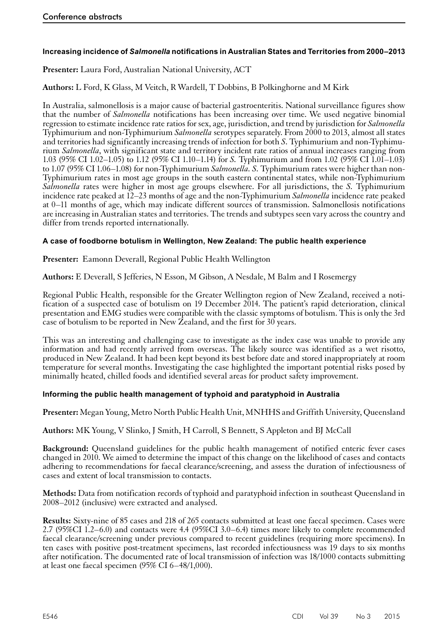# <span id="page-43-0"></span>**Increasing incidence of** *Salmonella* **notifications in Australian States and Territories from 2000–2013**

**Presenter:** Laura Ford, Australian National University, ACT

**Authors:** L Ford, K Glass, M Veitch, R Wardell, T Dobbins, B Polkinghorne and M Kirk

In Australia, salmonellosis is a major cause of bacterial gastroenteritis. National surveillance figures show that the number of *Salmonella* notifications has been increasing over time. We used negative binomial regression to estimate incidence rate ratios for sex, age, jurisdiction, and trend by jurisdiction for *Salmonella* Typhimurium and non-Typhimurium *Salmonella* serotypes separately. From 2000 to 2013, almost all states and territories had significantly increasing trends of infection for both *S*. Typhimurium and non-Typhimurium *Salmonella*, with significant state and territory incident rate ratios of annual increases ranging from 1.03 (95% CI 1.02–1.05) to 1.12 (95% CI 1.10–1.14) for *S.* Typhimurium and from 1.02 (95% CI 1.01–1.03) to 1.07 (95% CI 1.06–1.08) for non-Typhimurium *Salmonella. S.* Typhimurium rates were higher than non-Typhimurium rates in most age groups in the south eastern continental states, while non-Typhimurium *Salmonella* rates were higher in most age groups elsewhere. For all jurisdictions, the *S.* Typhimurium incidence rate peaked at 12–23 months of age and the non-Typhimurium *Salmonella* incidence rate peaked at 0–11 months of age, which may indicate different sources of transmission. Salmonellosis notifications are increasing in Australian states and territories. The trends and subtypes seen vary across the country and differ from trends reported internationally.

# **A case of foodborne botulism in Wellington, New Zealand: The public health experience**

**Presenter:** Eamonn Deverall, Regional Public Health Wellington

**Authors:** E Deverall, S Jefferies, N Esson, M Gibson, A Nesdale, M Balm and I Rosemergy

Regional Public Health, responsible for the Greater Wellington region of New Zealand, received a notification of a suspected case of botulism on 19 December 2014. The patient's rapid deterioration, clinical presentation and EMG studies were compatible with the classic symptoms of botulism. This is only the 3rd case of botulism to be reported in New Zealand, and the first for 30 years.

This was an interesting and challenging case to investigate as the index case was unable to provide any information and had recently arrived from overseas. The likely source was identified as a wet risotto, produced in New Zealand. It had been kept beyond its best before date and stored inappropriately at room temperature for several months. Investigating the case highlighted the important potential risks posed by minimally heated, chilled foods and identified several areas for product safety improvement.

#### **Informing the public health management of typhoid and paratyphoid in Australia**

**Presenter:** Megan Young, Metro North Public Health Unit, MNHHS and Griffith University, Queensland

**Authors:** MK Young, V Slinko, J Smith, H Carroll, S Bennett, S Appleton and BJ McCall

**Background:** Queensland guidelines for the public health management of notified enteric fever cases changed in 2010. We aimed to determine the impact of this change on the likelihood of cases and contacts adhering to recommendations for faecal clearance/screening, and assess the duration of infectiousness of cases and extent of local transmission to contacts.

**Methods:** Data from notification records of typhoid and paratyphoid infection in southeast Queensland in 2008–2012 (inclusive) were extracted and analysed.

**Results:** Sixty-nine of 85 cases and 218 of 265 contacts submitted at least one faecal specimen. Cases were 2.7 (95%CI 1.2–6.0) and contacts were 4.4 (95%CI 3.0–6.4) times more likely to complete recommended faecal clearance/screening under previous compared to recent guidelines (requiring more specimens). In ten cases with positive post-treatment specimens, last recorded infectiousness was 19 days to six months after notification. The documented rate of local transmission of infection was 18/1000 contacts submitting at least one faecal specimen (95% CI 6–48/1,000).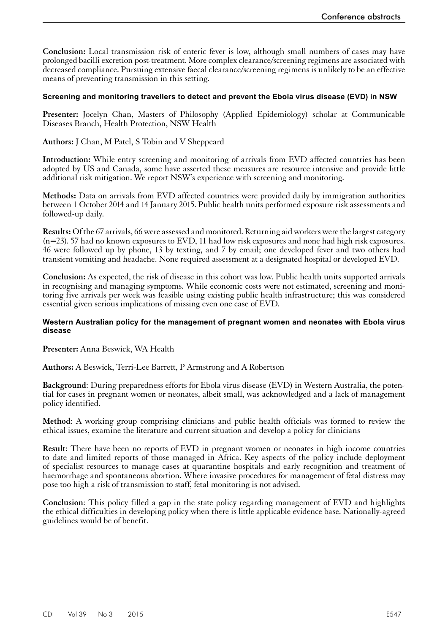<span id="page-44-0"></span>**Conclusion:** Local transmission risk of enteric fever is low, although small numbers of cases may have prolonged bacilli excretion post-treatment. More complex clearance/screening regimens are associated with decreased compliance. Pursuing extensive faecal clearance/screening regimens is unlikely to be an effective means of preventing transmission in this setting.

#### **Screening and monitoring travellers to detect and prevent the Ebola virus disease (EVD) in NSW**

**Presenter:** Jocelyn Chan, Masters of Philosophy (Applied Epidemiology) scholar at Communicable Diseases Branch, Health Protection, NSW Health

**Authors:** J Chan, M Patel, S Tobin and V Sheppeard

**Introduction:** While entry screening and monitoring of arrivals from EVD affected countries has been adopted by US and Canada, some have asserted these measures are resource intensive and provide little additional risk mitigation. We report NSW's experience with screening and monitoring.

**Methods:** Data on arrivals from EVD affected countries were provided daily by immigration authorities between 1 October 2014 and 14 January 2015. Public health units performed exposure risk assessments and followed-up daily.

**Results:** Of the 67 arrivals, 66 were assessed and monitored. Returning aid workers were the largest category (n=23). 57 had no known exposures to EVD, 11 had low risk exposures and none had high risk exposures. 46 were followed up by phone, 13 by texting, and 7 by email; one developed fever and two others had transient vomiting and headache. None required assessment at a designated hospital or developed EVD.

**Conclusion:** As expected, the risk of disease in this cohort was low. Public health units supported arrivals in recognising and managing symptoms. While economic costs were not estimated, screening and monitoring five arrivals per week was feasible using existing public health infrastructure; this was considered essential given serious implications of missing even one case of EVD.

#### **Western Australian policy for the management of pregnant women and neonates with Ebola virus disease**

**Presenter:** Anna Beswick, WA Health

**Authors:** A Beswick, Terri-Lee Barrett, P Armstrong and A Robertson

**Background**: During preparedness efforts for Ebola virus disease (EVD) in Western Australia, the potential for cases in pregnant women or neonates, albeit small, was acknowledged and a lack of management policy identified.

**Method**: A working group comprising clinicians and public health officials was formed to review the ethical issues, examine the literature and current situation and develop a policy for clinicians

**Result**: There have been no reports of EVD in pregnant women or neonates in high income countries to date and limited reports of those managed in Africa. Key aspects of the policy include deployment of specialist resources to manage cases at quarantine hospitals and early recognition and treatment of haemorrhage and spontaneous abortion. Where invasive procedures for management of fetal distress may pose too high a risk of transmission to staff, fetal monitoring is not advised.

**Conclusion**: This policy filled a gap in the state policy regarding management of EVD and highlights the ethical difficulties in developing policy when there is little applicable evidence base. Nationally-agreed guidelines would be of benefit.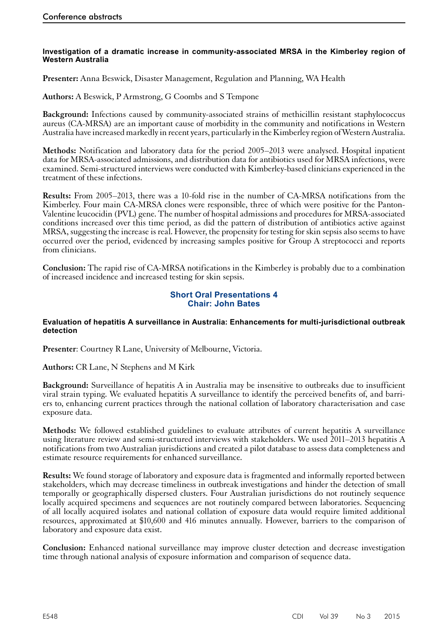#### <span id="page-45-0"></span>**Investigation of a dramatic increase in community-associated MRSA in the Kimberley region of Western Australia**

**Presenter:** Anna Beswick, Disaster Management, Regulation and Planning, WA Health

**Authors:** A Beswick, P Armstrong, G Coombs and S Tempone

**Background:** Infections caused by community-associated strains of methicillin resistant staphylococcus aureus (CA-MRSA) are an important cause of morbidity in the community and notifications in Western Australia have increased markedly in recent years, particularly in the Kimberley region of Western Australia.

**Methods:** Notification and laboratory data for the period 2005–2013 were analysed. Hospital inpatient data for MRSA-associated admissions, and distribution data for antibiotics used for MRSA infections, were examined. Semi-structured interviews were conducted with Kimberley-based clinicians experienced in the treatment of these infections.

**Results:** From 2005–2013, there was a 10-fold rise in the number of CA-MRSA notifications from the Kimberley. Four main CA-MRSA clones were responsible, three of which were positive for the Panton-Valentine leucocidin (PVL) gene. The number of hospital admissions and procedures for MRSA-associated conditions increased over this time period, as did the pattern of distribution of antibiotics active against MRSA, suggesting the increase is real. However, the propensity for testing for skin sepsis also seems to have occurred over the period, evidenced by increasing samples positive for Group A streptococci and reports from clinicians.

**Conclusion:** The rapid rise of CA-MRSA notifications in the Kimberley is probably due to a combination of increased incidence and increased testing for skin sepsis.

# **Short Oral Presentations 4 Chair: John Bates**

#### **Evaluation of hepatitis A surveillance in Australia: Enhancements for multi-jurisdictional outbreak detection**

**Presenter**: Courtney R Lane, University of Melbourne, Victoria.

**Authors:** CR Lane, N Stephens and M Kirk

**Background:** Surveillance of hepatitis A in Australia may be insensitive to outbreaks due to insufficient viral strain typing. We evaluated hepatitis A surveillance to identify the perceived benefits of, and barri- ers to, enhancing current practices through the national collation of laboratory characterisation and case exposure data.

**Methods:** We followed established guidelines to evaluate attributes of current hepatitis A surveillance using literature review and semi-structured interviews with stakeholders. We used 2011–2013 hepatitis A notifications from two Australian jurisdictions and created a pilot database to assess data completeness and estimate resource requirements for enhanced surveillance.

**Results:** We found storage of laboratory and exposure data is fragmented and informally reported between stakeholders, which may decrease timeliness in outbreak investigations and hinder the detection of small temporally or geographically dispersed clusters. Four Australian jurisdictions do not routinely sequence locally acquired specimens and sequences are not routinely compared between laboratories. Sequencing of all locally acquired isolates and national collation of exposure data would require limited additional resources, approximated at \$10,600 and 416 minutes annually. However, barriers to the comparison of laboratory and exposure data exist.

**Conclusion:** Enhanced national surveillance may improve cluster detection and decrease investigation time through national analysis of exposure information and comparison of sequence data.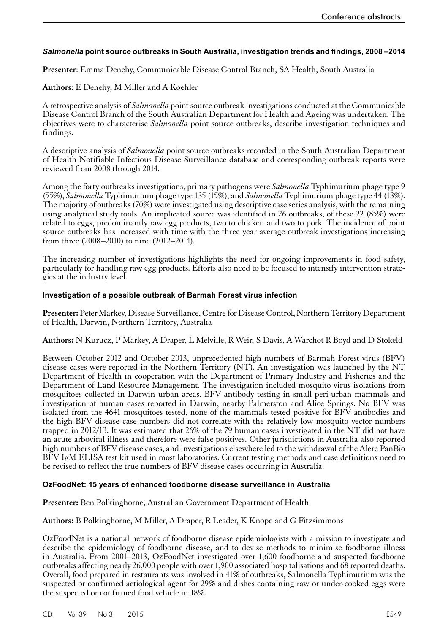# <span id="page-46-0"></span>*Salmonella* **point source outbreaks in South Australia, investigation trends and findings, 2008 –2014**

**Presenter**: Emma Denehy, Communicable Disease Control Branch, SA Health, South Australia

**Authors**: E Denehy, M Miller and A Koehler

A retrospective analysis of *Salmonella* point source outbreak investigations conducted at the Communicable Disease Control Branch of the South Australian Department for Health and Ageing was undertaken. The objectives were to characterise *Salmonella* point source outbreaks, describe investigation techniques and findings.

A descriptive analysis of *Salmonella* point source outbreaks recorded in the South Australian Department of Health Notifiable Infectious Disease Surveillance database and corresponding outbreak reports were reviewed from 2008 through 2014.

Among the forty outbreaks investigations, primary pathogens were *Salmonella* Typhimurium phage type 9 (55%), *Salmonella* Typhimurium phage type 135 (15%), and *Salmonella* Typhimurium phage type 44 (13%). The majority of outbreaks (70%) were investigated using descriptive case series analysis, with the remaining using analytical study tools. An implicated source was identified in 26 outbreaks, of these 22 (85%) were related to eggs, predominantly raw egg products, two to chicken and two to pork. The incidence of point source outbreaks has increased with time with the three year average outbreak investigations increasing from three (2008–2010) to nine (2012–2014).

The increasing number of investigations highlights the need for ongoing improvements in food safety, particularly for handling raw egg products. Efforts also need to be focused to intensify intervention strategies at the industry level.

#### **Investigation of a possible outbreak of Barmah Forest virus infection**

**Presenter:** Peter Markey, Disease Surveillance, Centre for Disease Control, Northern Territory Department of Health, Darwin, Northern Territory, Australia

**Authors:** N Kurucz, P Markey, A Draper, L Melville, R Weir, S Davis, A Warchot R Boyd and D Stokeld

Between October 2012 and October 2013, unprecedented high numbers of Barmah Forest virus (BFV) disease cases were reported in the Northern Territory (NT). An investigation was launched by the NT Department of Health in cooperation with the Department of Primary Industry and Fisheries and the Department of Land Resource Management. The investigation included mosquito virus isolations from mosquitoes collected in Darwin urban areas, BFV antibody testing in small peri-urban mammals and investigation of human cases reported in Darwin, nearby Palmerston and Alice Springs. No BFV was isolated from the 4641 mosquitoes tested, none of the mammals tested positive for BFV antibodies and the high BFV disease case numbers did not correlate with the relatively low mosquito vector numbers trapped in 2012/13. It was estimated that 26% of the 79 human cases investigated in the NT did not have an acute arboviral illness and therefore were false positives. Other jurisdictions in Australia also reported high numbers of BFV disease cases, and investigations elsewhere led to the withdrawal of the Alere PanBio BFV IgM ELISA test kit used in most laboratories. Current testing methods and case definitions need to be revised to reflect the true numbers of BFV disease cases occurring in Australia.

#### **OzFoodNet: 15 years of enhanced foodborne disease surveillance in Australia**

**Presenter:** Ben Polkinghorne, Australian Government Department of Health

#### **Authors:** B Polkinghorne, M Miller, A Draper, R Leader, K Knope and G Fitzsimmons

OzFoodNet is a national network of foodborne disease epidemiologists with a mission to investigate and describe the epidemiology of foodborne disease, and to devise methods to minimise foodborne illness in Australia. From 2001–2013, OzFoodNet investigated over 1,600 foodborne and suspected foodborne outbreaks affecting nearly 26,000 people with over 1,900 associated hospitalisations and 68 reported deaths. Overall, food prepared in restaurants was involved in 41% of outbreaks, Salmonella Typhimurium was the suspected or confirmed aetiological agent for 29% and dishes containing raw or under-cooked eggs were the suspected or confirmed food vehicle in 18%.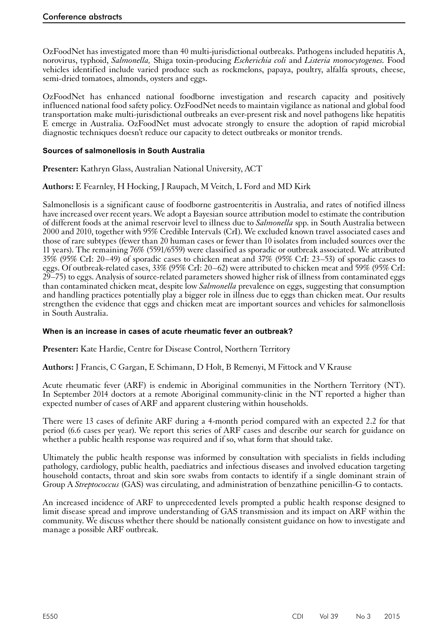<span id="page-47-0"></span>OzFoodNet has investigated more than 40 multi-jurisdictional outbreaks. Pathogens included hepatitis A, norovirus, typhoid, *Salmonella,* Shiga toxin-producing *Escherichia coli* and *Listeria monocytogenes.* Food vehicles identified include varied produce such as rockmelons, papaya, poultry, alfalfa sprouts, cheese, semi-dried tomatoes, almonds, oysters and eggs.

OzFoodNet has enhanced national foodborne investigation and research capacity and positively influenced national food safety policy. OzFoodNet needs to maintain vigilance as national and global food transportation make multi-jurisdictional outbreaks an ever-present risk and novel pathogens like hepatitis E emerge in Australia. OzFoodNet must advocate strongly to ensure the adoption of rapid microbial diagnostic techniques doesn't reduce our capacity to detect outbreaks or monitor trends.

# **Sources of salmonellosis in South Australia**

**Presenter:** Kathryn Glass, Australian National University, ACT

# **Authors:** E Fearnley, H Hocking, J Raupach, M Veitch, L Ford and MD Kirk

Salmonellosis is a significant cause of foodborne gastroenteritis in Australia, and rates of notified illness have increased over recent years. We adopt a Bayesian source attribution model to estimate the contribution of different foods at the animal reservoir level to illness due to *Salmonella* spp. in South Australia between 2000 and 2010, together with 95% Credible Intervals (CrI). We excluded known travel associated cases and those of rare subtypes (fewer than 20 human cases or fewer than 10 isolates from included sources over the 11 years). The remaining 76% (5591/6559) were classified as sporadic or outbreak associated. We attributed 35% (95% CrI: 20–49) of sporadic cases to chicken meat and 37% (95% CrI: 23–53) of sporadic cases to eggs. Of outbreak-related cases, 33% (95% CrI: 20–62) were attributed to chicken meat and 59% (95% CrI: 29–75) to eggs. Analysis of source-related parameters showed higher risk of illness from contaminated eggs than contaminated chicken meat, despite low *Salmonella* prevalence on eggs, suggesting that consumption and handling practices potentially play a bigger role in illness due to eggs than chicken meat. Our results strengthen the evidence that eggs and chicken meat are important sources and vehicles for salmonellosis in South Australia.

#### **When is an increase in cases of acute rheumatic fever an outbreak?**

**Presenter:** Kate Hardie, Centre for Disease Control, Northern Territory

**Authors:** J Francis, C Gargan, E Schimann, D Holt, B Remenyi, M Fittock and V Krause

Acute rheumatic fever (ARF) is endemic in Aboriginal communities in the Northern Territory (NT). In September 2014 doctors at a remote Aboriginal community-clinic in the NT reported a higher than expected number of cases of ARF and apparent clustering within households.

There were 13 cases of definite ARF during a 4-month period compared with an expected 2.2 for that period (6.6 cases per year). We report this series of ARF cases and describe our search for guidance on whether a public health response was required and if so, what form that should take.

Ultimately the public health response was informed by consultation with specialists in fields including pathology, cardiology, public health, paediatrics and infectious diseases and involved education targeting household contacts, throat and skin sore swabs from contacts to identify if a single dominant strain of Group A *Streptococcus* (GAS) was circulating, and administration of benzathine penicillin-G to contacts.

An increased incidence of ARF to unprecedented levels prompted a public health response designed to limit disease spread and improve understanding of GAS transmission and its impact on ARF within the community. We discuss whether there should be nationally consistent guidance on how to investigate and manage a possible ARF outbreak.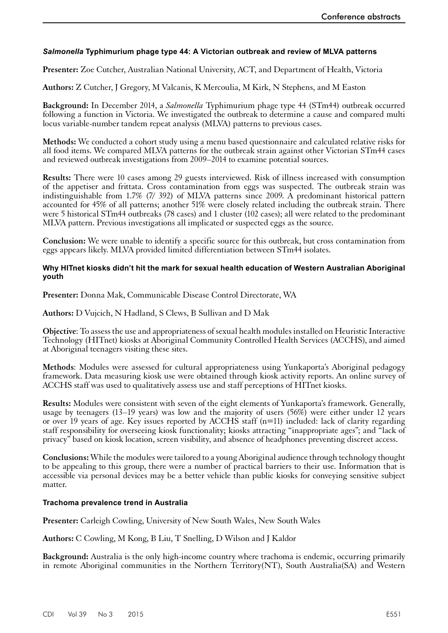# <span id="page-48-0"></span>*Salmonella* **Typhimurium phage type 44: A Victorian outbreak and review of MLVA patterns**

**Presenter:** Zoe Cutcher, Australian National University, ACT, and Department of Health, Victoria

**Authors:** Z Cutcher, J Gregory, M Valcanis, K Mercoulia, M Kirk, N Stephens, and M Easton

**Background:** In December 2014, a *Salmonella* Typhimurium phage type 44 (STm44) outbreak occurred following a function in Victoria. We investigated the outbreak to determine a cause and compared multi locus variable-number tandem repeat analysis (MLVA) patterns to previous cases.

**Methods:** We conducted a cohort study using a menu based questionnaire and calculated relative risks for all food items. We compared MLVA patterns for the outbreak strain against other Victorian STm44 cases and reviewed outbreak investigations from 2009–2014 to examine potential sources.

**Results:** There were 10 cases among 29 guests interviewed. Risk of illness increased with consumption of the appetiser and frittata. Cross contamination from eggs was suspected. The outbreak strain was indistinguishable from 1.7% (7/ 392) of MLVA patterns since 2009. A predominant historical pattern accounted for 45% of all patterns; another 51% were closely related including the outbreak strain. There were 5 historical STm44 outbreaks (78 cases) and 1 cluster (102 cases); all were related to the predominant MLVA pattern. Previous investigations all implicated or suspected eggs as the source.

**Conclusion:** We were unable to identify a specific source for this outbreak, but cross contamination from eggs appears likely. MLVA provided limited differentiation between STm44 isolates.

#### **Why HITnet kiosks didn't hit the mark for sexual health education of Western Australian Aboriginal youth**

**Presenter:** Donna Mak, Communicable Disease Control Directorate, WA

**Authors:** D Vujcich, N Hadland, S Clews, B Sullivan and D Mak

**Objective**: To assess the use and appropriateness of sexual health modules installed on Heuristic Interactive Technology (HITnet) kiosks at Aboriginal Community Controlled Health Services (ACCHS), and aimed at Aboriginal teenagers visiting these sites.

**Methods**: Modules were assessed for cultural appropriateness using Yunkaporta's Aboriginal pedagogy framework. Data measuring kiosk use were obtained through kiosk activity reports. An online survey of ACCHS staff was used to qualitatively assess use and staff perceptions of HITnet kiosks.

**Results:** Modules were consistent with seven of the eight elements of Yunkaporta's framework. Generally, usage by teenagers (13–19 years) was low and the majority of users (56%) were either under 12 years or over 19 years of age. Key issues reported by ACCHS staff (n=11) included: lack of clarity regarding staff responsibility for overseeing kiosk functionality; kiosks attracting "inappropriate ages"; and "lack of privacy" based on kiosk location, screen visibility, and absence of headphones preventing discreet access.

**Conclusions:** While the modules were tailored to a young Aboriginal audience through technology thought to be appealing to this group, there were a number of practical barriers to their use. Information that is accessible via personal devices may be a better vehicle than public kiosks for conveying sensitive subject matter.

#### **Trachoma prevalence trend in Australia**

**Presenter:** Carleigh Cowling, University of New South Wales, New South Wales

**Authors:** C Cowling, M Kong, B Liu, T Snelling, D Wilson and J Kaldor

**Background:** Australia is the only high-income country where trachoma is endemic, occurring primarily in remote Aboriginal communities in the Northern Territory(NT), South Australia(SA) and Western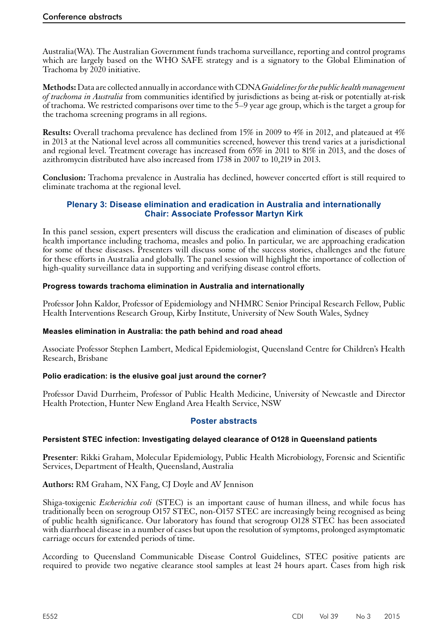<span id="page-49-0"></span>Australia(WA). The Australian Government funds trachoma surveillance, reporting and control programs which are largely based on the WHO SAFE strategy and is a signatory to the Global Elimination of Trachoma by 2020 initiative.

**Methods:** Data are collected annually in accordance with CDNA *Guidelines for the public health management of trachoma in Australia* from communities identified by jurisdictions as being at-risk or potentially at-risk of trachoma*.* We restricted comparisons over time to the 5–9 year age group, which is the target a group for the trachoma screening programs in all regions.

**Results:** Overall trachoma prevalence has declined from 15% in 2009 to 4% in 2012, and plateaued at 4% in 2013 at the National level across all communities screened, however this trend varies at a jurisdictional and regional level. Treatment coverage has increased from 65% in 2011 to 81% in 2013, and the doses of azithromycin distributed have also increased from 1738 in 2007 to 10,219 in 2013.

**Conclusion:** Trachoma prevalence in Australia has declined, however concerted effort is still required to eliminate trachoma at the regional level.

# **Plenary 3: Disease elimination and eradication in Australia and internationally Chair: Associate Professor Martyn Kirk**

In this panel session, expert presenters will discuss the eradication and elimination of diseases of public health importance including trachoma, measles and polio. In particular, we are approaching eradication for some of these diseases. Presenters will discuss some of the success stories, challenges and the future for these efforts in Australia and globally. The panel session will highlight the importance of collection of high-quality surveillance data in supporting and verifying disease control efforts.

# **Progress towards trachoma elimination in Australia and internationally**

Professor John Kaldor, Professor of Epidemiology and NHMRC Senior Principal Research Fellow, Public Health Interventions Research Group, Kirby Institute, University of New South Wales, Sydney

#### **Measles elimination in Australia: the path behind and road ahead**

Associate Professor Stephen Lambert, Medical Epidemiologist, Queensland Centre for Children's Health Research, Brisbane

# **Polio eradication: is the elusive goal just around the corner?**

Professor David Durrheim, Professor of Public Health Medicine, University of Newcastle and Director Health Protection, Hunter New England Area Health Service, NSW

#### **Poster abstracts**

#### **Persistent STEC infection: Investigating delayed clearance of O128 in Queensland patients**

**Presenter**: Rikki Graham, Molecular Epidemiology, Public Health Microbiology, Forensic and Scientific Services, Department of Health, Queensland, Australia

**Authors:** RM Graham, NX Fang, CJ Doyle and AV Jennison

Shiga-toxigenic *Escherichia coli* (STEC) is an important cause of human illness, and while focus has traditionally been on serogroup O157 STEC, non-O157 STEC are increasingly being recognised as being of public health significance. Our laboratory has found that serogroup O128 STEC has been associated with diarrhoeal disease in a number of cases but upon the resolution of symptoms, prolonged asymptomatic carriage occurs for extended periods of time.

According to Queensland Communicable Disease Control Guidelines, STEC positive patients are required to provide two negative clearance stool samples at least 24 hours apart. Cases from high risk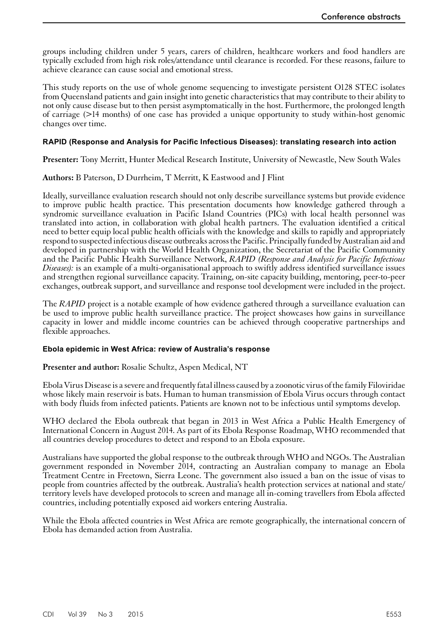<span id="page-50-0"></span>groups including children under 5 years, carers of children, healthcare workers and food handlers are typically excluded from high risk roles/attendance until clearance is recorded. For these reasons, failure to achieve clearance can cause social and emotional stress.

This study reports on the use of whole genome sequencing to investigate persistent O128 STEC isolates from Queensland patients and gain insight into genetic characteristics that may contribute to their ability to not only cause disease but to then persist asymptomatically in the host. Furthermore, the prolonged length of carriage (>14 months) of one case has provided a unique opportunity to study within-host genomic changes over time.

## **RAPID (Response and Analysis for Pacific Infectious Diseases): translating research into action**

**Presenter:** Tony Merritt, Hunter Medical Research Institute, University of Newcastle, New South Wales

# **Authors:** B Paterson, D Durrheim, T Merritt, K Eastwood and J Flint

Ideally, surveillance evaluation research should not only describe surveillance systems but provide evidence to improve public health practice. This presentation documents how knowledge gathered through a syndromic surveillance evaluation in Pacific Island Countries (PICs) with local health personnel was translated into action, in collaboration with global health partners. The evaluation identified a critical need to better equip local public health officials with the knowledge and skills to rapidly and appropriately respond to suspected infectious disease outbreaks across the Pacific. Principally funded by Australian aid and developed in partnership with the World Health Organization, the Secretariat of the Pacific Community and the Pacific Public Health Surveillance Network, *RAPID (Response and Analysis for Pacific Infectious Diseases):* is an example of a multi-organisational approach to swiftly address identified surveillance issues and strengthen regional surveillance capacity. Training, on-site capacity building, mentoring, peer-to-peer exchanges, outbreak support, and surveillance and response tool development were included in the project.

The *RAPID* project is a notable example of how evidence gathered through a surveillance evaluation can be used to improve public health surveillance practice. The project showcases how gains in surveillance capacity in lower and middle income countries can be achieved through cooperative partnerships and flexible approaches.

#### **Ebola epidemic in West Africa: review of Australia's response**

**Presenter and author:** Rosalie Schultz, Aspen Medical, NT

Ebola Virus Disease is a severe and frequently fatal illness caused by a zoonotic virus of the family Filoviridae whose likely main reservoir is bats. Human to human transmission of Ebola Virus occurs through contact with body fluids from infected patients. Patients are known not to be infectious until symptoms develop.

WHO declared the Ebola outbreak that began in 2013 in West Africa a Public Health Emergency of International Concern in August 2014. As part of its Ebola Response Roadmap, WHO recommended that all countries develop procedures to detect and respond to an Ebola exposure.

Australians have supported the global response to the outbreak through WHO and NGOs. The Australian government responded in November 2014, contracting an Australian company to manage an Ebola Treatment Centre in Freetown, Sierra Leone. The government also issued a ban on the issue of visas to people from countries affected by the outbreak. Australia's health protection services at national and state/ territory levels have developed protocols to screen and manage all in-coming travellers from Ebola affected countries, including potentially exposed aid workers entering Australia.

While the Ebola affected countries in West Africa are remote geographically, the international concern of Ebola has demanded action from Australia.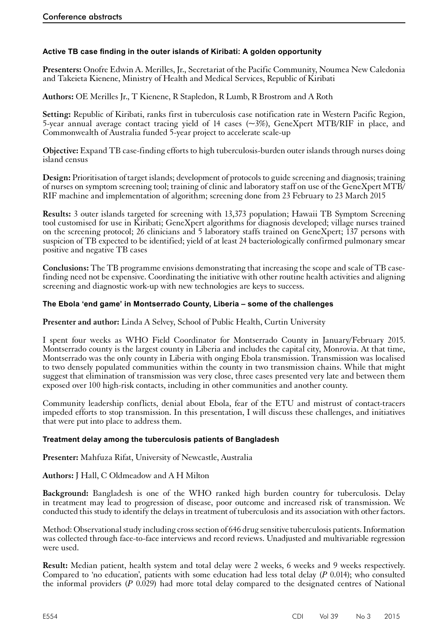# <span id="page-51-0"></span>**Active TB case finding in the outer islands of Kiribati: A golden opportunity**

**Presenters:** Onofre Edwin A. Merilles, Jr., Secretariat of the Pacific Community, Noumea New Caledonia and Takeieta Kienene, Ministry of Health and Medical Services, Republic of Kiribati

**Authors:** OE Merilles Jr., T Kienene, R Stapledon, R Lumb, R Brostrom and A Roth

**Setting:** Republic of Kiribati, ranks first in tuberculosis case notification rate in Western Pacific Region, 5-year annual average contact tracing yield of 14 cases  $(\sim 3\%)$ , GeneXpert MTB/RIF in place, and Commonwealth of Australia funded 5-year project to accelerate scale-up

**Objective:** Expand TB case-finding efforts to high tuberculosis-burden outer islands through nurses doing island census

**Design:** Prioritisation of target islands; development of protocols to guide screening and diagnosis; training of nurses on symptom screening tool; training of clinic and laboratory staff on use of the GeneXpert MTB/ RIF machine and implementation of algorithm; screening done from 23 February to 23 March 2015

**Results:** 3 outer islands targeted for screening with 13,373 population; Hawaii TB Symptom Screening tool customised for use in Kiribati; GeneXpert algorithms for diagnosis developed; village nurses trained on the screening protocol; 26 clinicians and 5 laboratory staffs trained on GeneXpert; 137 persons with suspicion of TB expected to be identified; yield of at least 24 bacteriologically confirmed pulmonary smear positive and negative TB cases

**Conclusions:** The TB programme envisions demonstrating that increasing the scope and scale of TB casefinding need not be expensive. Coordinating the initiative with other routine health activities and aligning screening and diagnostic work-up with new technologies are keys to success.

# **The Ebola 'end game' in Montserrado County, Liberia – some of the challenges**

**Presenter and author:** Linda A Selvey, School of Public Health, Curtin University

I spent four weeks as WHO Field Coordinator for Montserrado County in January/February 2015. Montserrado county is the largest county in Liberia and includes the capital city, Monrovia. At that time, Montserrado was the only county in Liberia with onging Ebola transmission. Transmission was localised to two densely populated communities within the county in two transmission chains. While that might suggest that elimination of transmission was very close, three cases presented very late and between them exposed over 100 high-risk contacts, including in other communities and another county.

Community leadership conflicts, denial about Ebola, fear of the ETU and mistrust of contact-tracers impeded efforts to stop transmission. In this presentation, I will discuss these challenges, and initiatives that were put into place to address them.

#### **Treatment delay among the tuberculosis patients of Bangladesh**

**Presenter:** Mahfuza Rifat, University of Newcastle, Australia

**Authors:** J Hall, C Oldmeadow and A H Milton

**Background:** Bangladesh is one of the WHO ranked high burden country for tuberculosis. Delay in treatment may lead to progression of disease, poor outcome and increased risk of transmission. We conducted this study to identify the delays in treatment of tuberculosis and its association with other factors.

Method: Observational study including cross section of 646 drug sensitive tuberculosis patients. Information was collected through face-to-face interviews and record reviews. Unadjusted and multivariable regression were used.

**Result:** Median patient, health system and total delay were 2 weeks, 6 weeks and 9 weeks respectively. Compared to 'no education', patients with some education had less total delay (*P* 0.014); who consulted the informal providers (*P* 0.029) had more total delay compared to the designated centres of National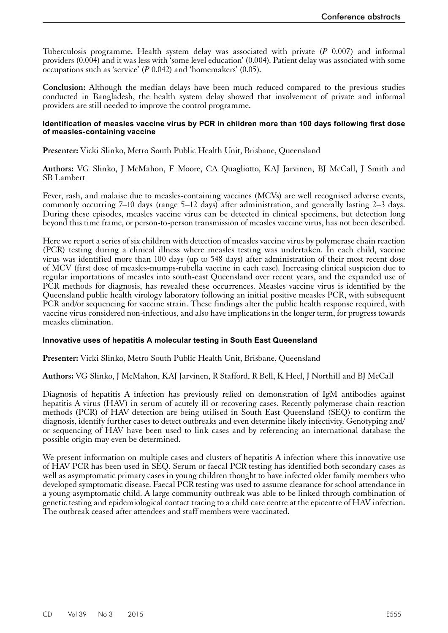<span id="page-52-0"></span>Tuberculosis programme. Health system delay was associated with private (*P* 0.007) and informal providers (0.004) and it was less with 'some level education' (0.004). Patient delay was associated with some occupations such as 'service' (*P* 0.042) and 'homemakers' (0.05).

**Conclusion:** Although the median delays have been much reduced compared to the previous studies conducted in Bangladesh, the health system delay showed that involvement of private and informal providers are still needed to improve the control programme.

#### **Identification of measles vaccine virus by PCR in children more than 100 days following first dose of measles-containing vaccine**

**Presenter:** Vicki Slinko, Metro South Public Health Unit, Brisbane, Queensland

**Authors:** VG Slinko, J McMahon, F Moore, CA Quagliotto, KAJ Jarvinen, BJ McCall, J Smith and SB Lambert

Fever, rash, and malaise due to measles-containing vaccines (MCVs) are well recognised adverse events, commonly occurring 7–10 days (range 5–12 days) after administration, and generally lasting 2–3 days. During these episodes, measles vaccine virus can be detected in clinical specimens, but detection long beyond this time frame, or person-to-person transmission of measles vaccine virus, has not been described.

Here we report a series of six children with detection of measles vaccine virus by polymerase chain reaction (PCR) testing during a clinical illness where measles testing was undertaken. In each child, vaccine virus was identified more than 100 days (up to 548 days) after administration of their most recent dose of MCV (first dose of measles-mumps-rubella vaccine in each case). Increasing clinical suspicion due to regular importations of measles into south-east Queensland over recent years, and the expanded use of PCR methods for diagnosis, has revealed these occurrences. Measles vaccine virus is identified by the Queensland public health virology laboratory following an initial positive measles PCR, with subsequent PCR and/or sequencing for vaccine strain. These findings alter the public health response required, with vaccine virus considered non-infectious, and also have implications in the longer term, for progress towards measles elimination.

#### **Innovative uses of hepatitis A molecular testing in South East Queensland**

**Presenter:** Vicki Slinko, Metro South Public Health Unit, Brisbane, Queensland

**Authors:** VG Slinko, J McMahon, KAJ Jarvinen, R Stafford, R Bell, K Heel, J Northill and BJ McCall

Diagnosis of hepatitis A infection has previously relied on demonstration of IgM antibodies against hepatitis A virus (HAV) in serum of acutely ill or recovering cases. Recently polymerase chain reaction methods (PCR) of HAV detection are being utilised in South East Queensland (SEQ) to confirm the diagnosis, identify further cases to detect outbreaks and even determine likely infectivity. Genotyping and/ or sequencing of HAV have been used to link cases and by referencing an international database the possible origin may even be determined.

We present information on multiple cases and clusters of hepatitis A infection where this innovative use of HAV PCR has been used in SEQ. Serum or faecal PCR testing has identified both secondary cases as well as asymptomatic primary cases in young children thought to have infected older family members who developed symptomatic disease. Faecal PCR testing was used to assume clearance for school attendance in a young asymptomatic child. A large community outbreak was able to be linked through combination of genetic testing and epidemiological contact tracing to a child care centre at the epicentre of HAV infection. The outbreak ceased after attendees and staff members were vaccinated.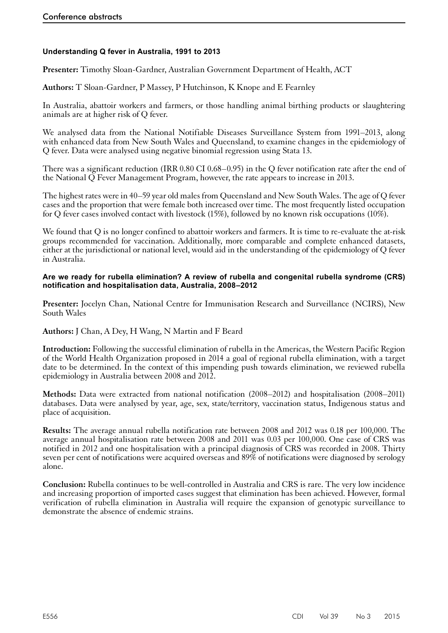# <span id="page-53-0"></span>**Understanding Q fever in Australia, 1991 to 2013**

**Presenter:** Timothy Sloan-Gardner, Australian Government Department of Health, ACT

**Authors:** T Sloan-Gardner, P Massey, P Hutchinson, K Knope and E Fearnley

In Australia, abattoir workers and farmers, or those handling animal birthing products or slaughtering animals are at higher risk of Q fever.

We analysed data from the National Notifiable Diseases Surveillance System from 1991–2013, along with enhanced data from New South Wales and Queensland, to examine changes in the epidemiology of Q fever. Data were analysed using negative binomial regression using Stata 13.

There was a significant reduction (IRR 0.80 CI 0.68–0.95) in the Q fever notification rate after the end of the National Q Fever Management Program, however, the rate appears to increase in 2013.

The highest rates were in 40–59 year old males from Queensland and New South Wales. The age of Q fever cases and the proportion that were female both increased over time. The most frequently listed occupation for Q fever cases involved contact with livestock (15%), followed by no known risk occupations (10%).

We found that Q is no longer confined to abattoir workers and farmers. It is time to re-evaluate the at-risk groups recommended for vaccination. Additionally, more comparable and complete enhanced datasets, either at the jurisdictional or national level, would aid in the understanding of the epidemiology of Q fever in Australia.

#### **Are we ready for rubella elimination? A review of rubella and congenital rubella syndrome (CRS) notification and hospitalisation data, Australia, 2008–2012**

**Presenter:** Jocelyn Chan, National Centre for Immunisation Research and Surveillance (NCIRS), New South Wales

**Authors:** J Chan, A Dey, H Wang, N Martin and F Beard

**Introduction:** Following the successful elimination of rubella in the Americas, the Western Pacific Region of the World Health Organization proposed in 2014 a goal of regional rubella elimination, with a target date to be determined. In the context of this impending push towards elimination, we reviewed rubella epidemiology in Australia between 2008 and 2012.

**Methods:** Data were extracted from national notification (2008–2012) and hospitalisation (2008–2011) databases. Data were analysed by year, age, sex, state/territory, vaccination status, Indigenous status and place of acquisition.

**Results:** The average annual rubella notification rate between 2008 and 2012 was 0.18 per 100,000. The average annual hospitalisation rate between 2008 and 2011 was 0.03 per 100,000. One case of CRS was notified in 2012 and one hospitalisation with a principal diagnosis of CRS was recorded in 2008. Thirty seven per cent of notifications were acquired overseas and 89% of notifications were diagnosed by serology alone.

**Conclusion:** Rubella continues to be well-controlled in Australia and CRS is rare. The very low incidence and increasing proportion of imported cases suggest that elimination has been achieved. However, formal verification of rubella elimination in Australia will require the expansion of genotypic surveillance to demonstrate the absence of endemic strains.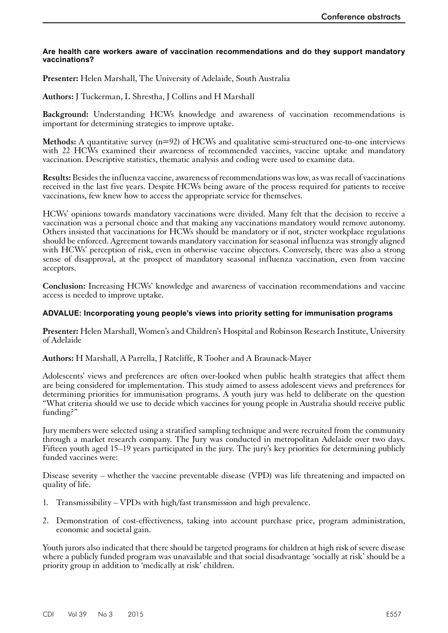#### <span id="page-54-0"></span>**Are health care workers aware of vaccination recommendations and do they support mandatory vaccinations?**

**Presenter:** Helen Marshall, The University of Adelaide, South Australia

**Authors:** J Tuckerman, L Shrestha, J Collins and H Marshall

**Background:** Understanding HCWs knowledge and awareness of vaccination recommendations is important for determining strategies to improve uptake.

**Methods:** A quantitative survey (n=92) of HCWs and qualitative semi-structured one-to-one interviews with 22 HCWs examined their awareness of recommended vaccines, vaccine uptake and mandatory vaccination. Descriptive statistics, thematic analysis and coding were used to examine data.

**Results:** Besides the influenza vaccine, awareness of recommendations was low, as was recall of vaccinations received in the last five years. Despite HCWs being aware of the process required for patients to receive vaccinations, few knew how to access the appropriate service for themselves.

HCWs' opinions towards mandatory vaccinations were divided. Many felt that the decision to receive a vaccination was a personal choice and that making any vaccinations mandatory would remove autonomy. Others insisted that vaccinations for HCWs should be mandatory or if not, stricter workplace regulations should be enforced. Agreement towards mandatory vaccination for seasonal influenza was strongly aligned with HCWs' perception of risk, even in otherwise vaccine objectors. Conversely, there was also a strong sense of disapproval, at the prospect of mandatory seasonal influenza vaccination, even from vaccine acceptors.

**Conclusion:** Increasing HCWs' knowledge and awareness of vaccination recommendations and vaccine access is needed to improve uptake.

## **ADVALUE: Incorporating young people's views into priority setting for immunisation programs**

**Presenter:** Helen Marshall, Women's and Children's Hospital and Robinson Research Institute, University of Adelaide

**Authors:** H Marshall, A Parrella, J Ratcliffe, R Tooher and A Braunack-Mayer

Adolescents' views and preferences are often over-looked when public health strategies that affect them are being considered for implementation. This study aimed to assess adolescent views and preferences for determining priorities for immunisation programs. A youth jury was held to deliberate on the question "What criteria should we use to decide which vaccines for young people in Australia should receive public funding?"

Jury members were selected using a stratified sampling technique and were recruited from the community through a market research company. The Jury was conducted in metropolitan Adelaide over two days. Fifteen youth aged 15–19 years participated in the jury. The jury's key priorities for determining publicly funded vaccines were:

Disease severity – whether the vaccine preventable disease (VPD) was life threatening and impacted on quality of life.

- 1. Transmissibility VPDs with high/fast transmission and high prevalence.
- 2. Demonstration of cost-effectiveness, taking into account purchase price, program administration, economic and societal gain.

Youth jurors also indicated that there should be targeted programs for children at high risk of severe disease where a publicly funded program was unavailable and that social disadvantage 'socially at risk' should be a priority group in addition to 'medically at risk' children.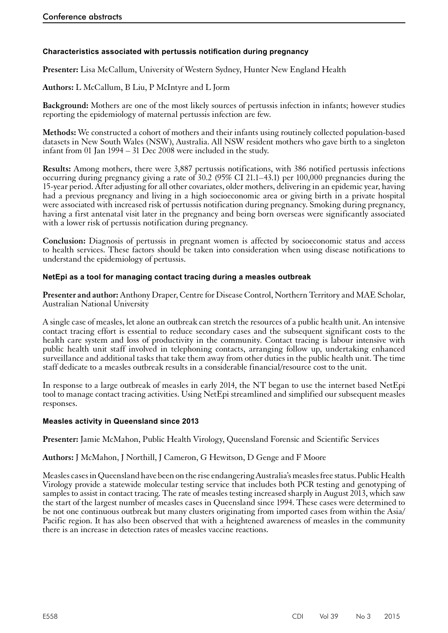# <span id="page-55-0"></span>**Characteristics associated with pertussis notification during pregnancy**

**Presenter:** Lisa McCallum, University of Western Sydney, Hunter New England Health

**Authors:** L McCallum, B Liu, P McIntyre and L Jorm

**Background:** Mothers are one of the most likely sources of pertussis infection in infants; however studies reporting the epidemiology of maternal pertussis infection are few.

**Methods:** We constructed a cohort of mothers and their infants using routinely collected population-based datasets in New South Wales (NSW), Australia. All NSW resident mothers who gave birth to a singleton infant from 01 Jan 1994 – 31 Dec 2008 were included in the study.

**Results:** Among mothers, there were 3,887 pertussis notifications, with 386 notified pertussis infections occurring during pregnancy giving a rate of 30.2 (95% CI 21.1–43.1) per 100,000 pregnancies during the 15-year period. After adjusting for all other covariates, older mothers, delivering in an epidemic year, having had a previous pregnancy and living in a high socioeconomic area or giving birth in a private hospital were associated with increased risk of pertussis notification during pregnancy. Smoking during pregnancy, having a first antenatal visit later in the pregnancy and being born overseas were significantly associated with a lower risk of pertussis notification during pregnancy.

**Conclusion:** Diagnosis of pertussis in pregnant women is affected by socioeconomic status and access to health services. These factors should be taken into consideration when using disease notifications to understand the epidemiology of pertussis.

#### **NetEpi as a tool for managing contact tracing during a measles outbreak**

**Presenter and author:** Anthony Draper, Centre for Disease Control, Northern Territory and MAE Scholar, Australian National University

A single case of measles, let alone an outbreak can stretch the resources of a public health unit. An intensive contact tracing effort is essential to reduce secondary cases and the subsequent significant costs to the health care system and loss of productivity in the community. Contact tracing is labour intensive with public health unit staff involved in telephoning contacts, arranging follow up, undertaking enhanced surveillance and additional tasks that take them away from other duties in the public health unit. The time staff dedicate to a measles outbreak results in a considerable financial/resource cost to the unit.

In response to a large outbreak of measles in early 2014, the NT began to use the internet based NetEpi tool to manage contact tracing activities. Using NetEpi streamlined and simplified our subsequent measles responses.

#### **Measles activity in Queensland since 2013**

**Presenter:** Jamie McMahon, Public Health Virology, Queensland Forensic and Scientific Services

**Authors:** J McMahon, J Northill, J Cameron, G Hewitson, D Genge and F Moore

Measles cases in Queensland have been on the rise endangering Australia's measles free status. Public Health Virology provide a statewide molecular testing service that includes both PCR testing and genotyping of samples to assist in contact tracing. The rate of measles testing increased sharply in August 2013, which saw the start of the largest number of measles cases in Queensland since 1994. These cases were determined to be not one continuous outbreak but many clusters originating from imported cases from within the Asia/ Pacific region. It has also been observed that with a heightened awareness of measles in the community there is an increase in detection rates of measles vaccine reactions.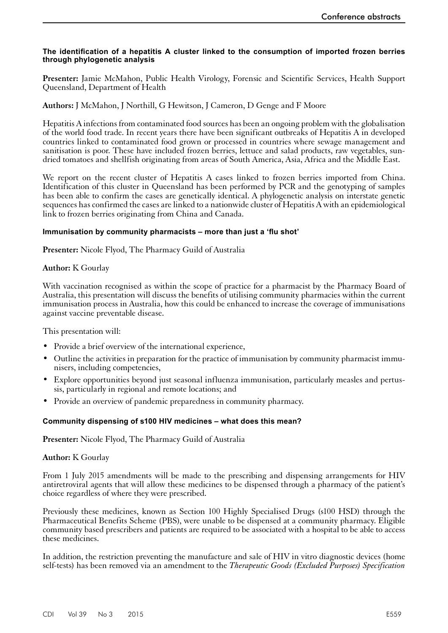#### <span id="page-56-0"></span>**The identification of a hepatitis A cluster linked to the consumption of imported frozen berries through phylogenetic analysis**

**Presenter:** Jamie McMahon, Public Health Virology, Forensic and Scientific Services, Health Support Queensland, Department of Health

**Authors:** J McMahon, J Northill, G Hewitson, J Cameron, D Genge and F Moore

Hepatitis A infections from contaminated food sources has been an ongoing problem with the globalisation of the world food trade. In recent years there have been significant outbreaks of Hepatitis A in developed countries linked to contaminated food grown or processed in countries where sewage management and sanitisation is poor. These have included frozen berries, lettuce and salad products, raw vegetables, sundried tomatoes and shellfish originating from areas of South America, Asia, Africa and the Middle East.

We report on the recent cluster of Hepatitis A cases linked to frozen berries imported from China. Identification of this cluster in Queensland has been performed by PCR and the genotyping of samples has been able to confirm the cases are genetically identical. A phylogenetic analysis on interstate genetic sequences has confirmed the cases are linked to a nationwide cluster of Hepatitis A with an epidemiological link to frozen berries originating from China and Canada.

#### **Immunisation by community pharmacists – more than just a 'flu shot'**

**Presenter:** Nicole Flyod, The Pharmacy Guild of Australia

# **Author:** K Gourlay

With vaccination recognised as within the scope of practice for a pharmacist by the Pharmacy Board of Australia, this presentation will discuss the benefits of utilising community pharmacies within the current immunisation process in Australia, how this could be enhanced to increase the coverage of immunisations against vaccine preventable disease.

This presentation will:

- Provide a brief overview of the international experience,
- Outline the activities in preparation for the practice of immunisation by community pharmacist immunisers, including competencies,
- Explore opportunities beyond just seasonal influenza immunisation, particularly measles and pertussis, particularly in regional and remote locations; and
- Provide an overview of pandemic preparedness in community pharmacy.

#### **Community dispensing of s100 HIV medicines – what does this mean?**

**Presenter:** Nicole Flyod, The Pharmacy Guild of Australia

#### **Author:** K Gourlay

From 1 July 2015 amendments will be made to the prescribing and dispensing arrangements for HIV antiretroviral agents that will allow these medicines to be dispensed through a pharmacy of the patient's choice regardless of where they were prescribed.

Previously these medicines, known as Section 100 Highly Specialised Drugs (s100 HSD) through the Pharmaceutical Benefits Scheme (PBS), were unable to be dispensed at a community pharmacy. Eligible community based prescribers and patients are required to be associated with a hospital to be able to access these medicines.

In addition, the restriction preventing the manufacture and sale of HIV in vitro diagnostic devices (home self-tests) has been removed via an amendment to the *Therapeutic Goods (Excluded Purposes) Specification*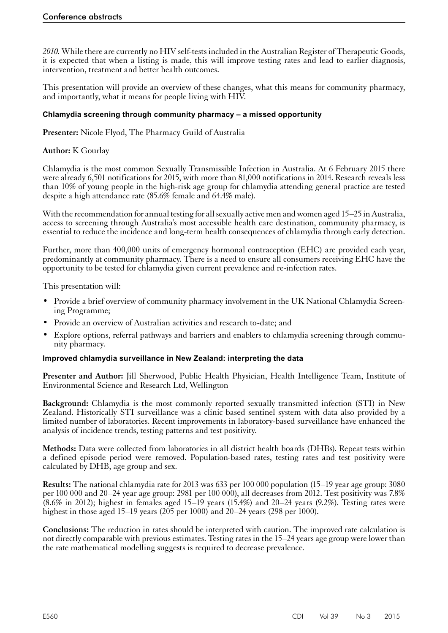<span id="page-57-0"></span>*2010.* While there are currently no HIV self-tests included in the Australian Register of Therapeutic Goods, it is expected that when a listing is made, this will improve testing rates and lead to earlier diagnosis, intervention, treatment and better health outcomes.

This presentation will provide an overview of these changes, what this means for community pharmacy, and importantly, what it means for people living with HIV.

## **Chlamydia screening through community pharmacy – a missed opportunity**

**Presenter:** Nicole Flyod, The Pharmacy Guild of Australia

# **Author:** K Gourlay

Chlamydia is the most common Sexually Transmissible Infection in Australia. At 6 February 2015 there were already 6,501 notifications for 2015, with more than 81,000 notifications in 2014. Research reveals less than 10% of young people in the high-risk age group for chlamydia attending general practice are tested despite a high attendance rate (85.6% female and 64.4% male).

With the recommendation for annual testing for all sexually active men and women aged 15–25 in Australia, access to screening through Australia's most accessible health care destination, community pharmacy, is essential to reduce the incidence and long-term health consequences of chlamydia through early detection.

Further, more than 400,000 units of emergency hormonal contraception (EHC) are provided each year, predominantly at community pharmacy. There is a need to ensure all consumers receiving EHC have the opportunity to be tested for chlamydia given current prevalence and re-infection rates.

This presentation will:

- Provide a brief overview of community pharmacy involvement in the UK National Chlamydia Screening Programme;
- Provide an overview of Australian activities and research to-date; and
- Explore options, referral pathways and barriers and enablers to chlamydia screening through community pharmacy.

#### **Improved chlamydia surveillance in New Zealand: interpreting the data**

**Presenter and Author:** Jill Sherwood, Public Health Physician, Health Intelligence Team, Institute of Environmental Science and Research Ltd, Wellington

**Background:** Chlamydia is the most commonly reported sexually transmitted infection (STI) in New Zealand. Historically STI surveillance was a clinic based sentinel system with data also provided by a limited number of laboratories. Recent improvements in laboratory-based surveillance have enhanced the analysis of incidence trends, testing patterns and test positivity.

**Methods:** Data were collected from laboratories in all district health boards (DHBs). Repeat tests within a defined episode period were removed. Population-based rates, testing rates and test positivity were calculated by DHB, age group and sex.

**Results:** The national chlamydia rate for 2013 was 633 per 100 000 population (15–19 year age group: 3080 per 100 000 and 20-24 year age group: 2981 per 100 000), all decreases from 2012. Test positivity was 7.8% (8.6% in 2012); highest in females aged 15–19 years (15.4%) and 20–24 years (9.2%). Testing rates were highest in those aged 15–19 years (205 per 1000) and 20–24 years (298 per 1000).

**Conclusions:** The reduction in rates should be interpreted with caution. The improved rate calculation is not directly comparable with previous estimates. Testing rates in the 15–24 years age group were lower than the rate mathematical modelling suggests is required to decrease prevalence.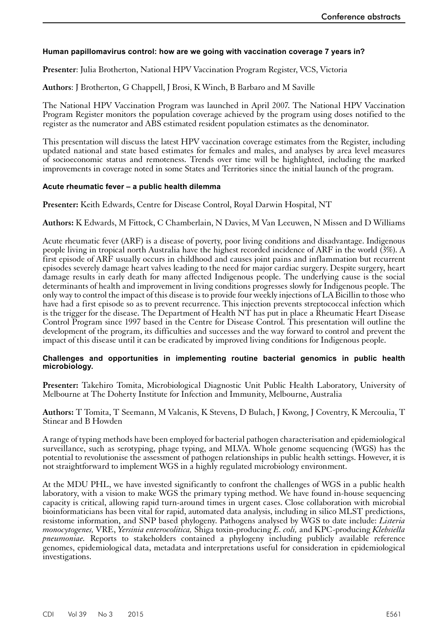## <span id="page-58-0"></span>**Human papillomavirus control: how are we going with vaccination coverage 7 years in?**

**Presenter**: Julia Brotherton, National HPV Vaccination Program Register, VCS, Victoria

**Authors**: J Brotherton, G Chappell, J Brosi, K Winch, B Barbaro and M Saville

The National HPV Vaccination Program was launched in April 2007. The National HPV Vaccination Program Register monitors the population coverage achieved by the program using doses notified to the register as the numerator and ABS estimated resident population estimates as the denominator.

This presentation will discuss the latest HPV vaccination coverage estimates from the Register, including updated national and state based estimates for females and males, and analyses by area level measures of socioeconomic status and remoteness. Trends over time will be highlighted, including the marked improvements in coverage noted in some States and Territories since the initial launch of the program.

#### **Acute rheumatic fever – a public health dilemma**

**Presenter:** Keith Edwards, Centre for Disease Control, Royal Darwin Hospital, NT

**Authors:** K Edwards, M Fittock, C Chamberlain, N Davies, M Van Leeuwen, N Missen and D Williams

Acute rheumatic fever (ARF) is a disease of poverty, poor living conditions and disadvantage. Indigenous people living in tropical north Australia have the highest recorded incidence of ARF in the world (3%). A first episode of ARF usually occurs in childhood and causes joint pains and inflammation but recurrent episodes severely damage heart valves leading to the need for major cardiac surgery. Despite surgery, heart damage results in early death for many affected Indigenous people. The underlying cause is the social determinants of health and improvement in living conditions progresses slowly for Indigenous people. The only way to control the impact of this disease is to provide four weekly injections of LA Bicillin to those who have had a first episode so as to prevent recurrence. This injection prevents streptococcal infection which is the trigger for the disease. The Department of Health NT has put in place a Rheumatic Heart Disease Control Program since 1997 based in the Centre for Disease Control. This presentation will outline the development of the program, its difficulties and successes and the way forward to control and prevent the impact of this disease until it can be eradicated by improved living conditions for Indigenous people.

#### **Challenges and opportunities in implementing routine bacterial genomics in public health microbiology.**

**Presenter:** Takehiro Tomita, Microbiological Diagnostic Unit Public Health Laboratory, University of Melbourne at The Doherty Institute for Infection and Immunity, Melbourne, Australia

**Authors:** T Tomita, T Seemann, M Valcanis, K Stevens, D Bulach, J Kwong, J Coventry, K Mercoulia, T Stinear and B Howden

A range of typing methods have been employed for bacterial pathogen characterisation and epidemiological surveillance, such as serotyping, phage typing, and MLVA. Whole genome sequencing (WGS) has the potential to revolutionise the assessment of pathogen relationships in public health settings. However, it is not straightforward to implement WGS in a highly regulated microbiology environment.

At the MDU PHL, we have invested significantly to confront the challenges of WGS in a public health laboratory, with a vision to make WGS the primary typing method. We have found in-house sequencing capacity is critical, allowing rapid turn-around times in urgent cases. Close collaboration with microbial bioinformaticians has been vital for rapid, automated data analysis, including in silico MLST predictions, resistome information, and SNP based phylogeny. Pathogens analysed by WGS to date include: *Listeria monocytogenes,* VRE, *Yersinia enterocolitica,* Shiga toxin-producing *E. coli,* and KPC-producing *Klebsiella pneumoniae*. Reports to stakeholders contained a phylogeny including publicly available reference genomes, epidemiological data, metadata and interpretations useful for consideration in epidemiological investigations.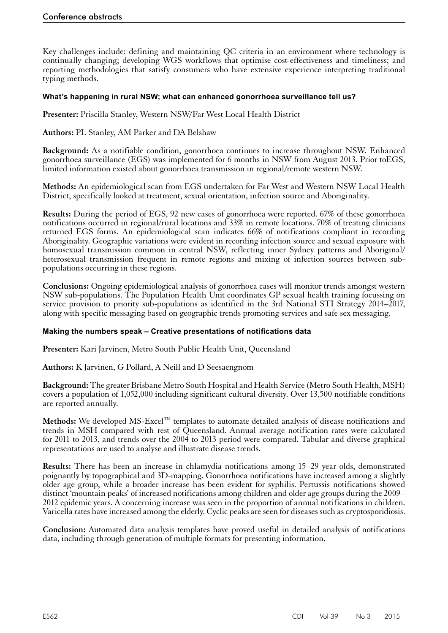<span id="page-59-0"></span>Key challenges include: defining and maintaining QC criteria in an environment where technology is continually changing; developing WGS workflows that optimise cost-effectiveness and timeliness; and reporting methodologies that satisfy consumers who have extensive experience interpreting traditional typing methods.

#### **What's happening in rural NSW; what can enhanced gonorrhoea surveillance tell us?**

**Presenter:** Priscilla Stanley, Western NSW/Far West Local Health District

**Authors:** PL Stanley, AM Parker and DA Belshaw

**Background:** As a notifiable condition, gonorrhoea continues to increase throughout NSW. Enhanced gonorrhoea surveillance (EGS) was implemented for 6 months in NSW from August 2013. Prior toEGS, limited information existed about gonorrhoea transmission in regional/remote western NSW.

**Methods:** An epidemiological scan from EGS undertaken for Far West and Western NSW Local Health District, specifically looked at treatment, sexual orientation, infection source and Aboriginality.

**Results:** During the period of EGS, 92 new cases of gonorrhoea were reported. 67% of these gonorrhoea notifications occurred in regional/rural locations and 33% in remote locations. 70% of treating clinicians returned EGS forms. An epidemiological scan indicates 66% of notifications compliant in recording Aboriginality. Geographic variations were evident in recording infection source and sexual exposure with homosexual transmission common in central NSW, reflecting inner Sydney patterns and Aboriginal/ heterosexual transmission frequent in remote regions and mixing of infection sources between subpopulations occurring in these regions.

**Conclusions:** Ongoing epidemiological analysis of gonorrhoea cases will monitor trends amongst western NSW sub-populations. The Population Health Unit coordinates GP sexual health training focussing on service provision to priority sub-populations as identified in the 3rd National STI Strategy 2014–2017, along with specific messaging based on geographic trends promoting services and safe sex messaging.

#### **Making the numbers speak – Creative presentations of notifications data**

**Presenter:** Kari Jarvinen, Metro South Public Health Unit, Queensland

**Authors:** K Jarvinen, G Pollard, A Neill and D Seesaengnom

**Background:** The greater Brisbane Metro South Hospital and Health Service (Metro South Health, MSH) covers a population of 1,052,000 including significant cultural diversity. Over 13,500 notifiable conditions are reported annually.

**Methods:** We developed MS-Excel™ templates to automate detailed analysis of disease notifications and trends in MSH compared with rest of Queensland. Annual average notification rates were calculated for 2011 to 2013, and trends over the 2004 to 2013 period were compared. Tabular and diverse graphical representations are used to analyse and illustrate disease trends.

**Results:** There has been an increase in chlamydia notifications among 15–29 year olds, demonstrated poignantly by topographical and 3D-mapping. Gonorrhoea notifications have increased among a slightly older age group, while a broader increase has been evident for syphilis. Pertussis notifications showed distinct 'mountain peaks' of increased notifications among children and older age groups during the 2009– 2012 epidemic years. A concerning increase was seen in the proportion of annual notifications in children. Varicella rates have increased among the elderly. Cyclic peaks are seen for diseases such as cryptosporidiosis.

**Conclusion:** Automated data analysis templates have proved useful in detailed analysis of notifications data, including through generation of multiple formats for presenting information.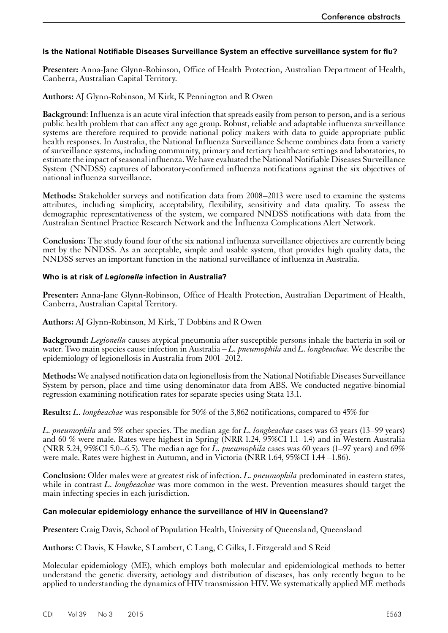# <span id="page-60-0"></span>**Is the National Notifiable Diseases Surveillance System an effective surveillance system for flu?**

**Presenter:** Anna-Jane Glynn-Robinson, Office of Health Protection, Australian Department of Health, Canberra, Australian Capital Territory.

## **Authors:** AJ Glynn-Robinson, M Kirk, K Pennington and R Owen

**Background**: Influenza is an acute viral infection that spreads easily from person to person, and is a serious public health problem that can affect any age group. Robust, reliable and adaptable influenza surveillance systems are therefore required to provide national policy makers with data to guide appropriate public health responses. In Australia, the National Influenza Surveillance Scheme combines data from a variety of surveillance systems, including community, primary and tertiary healthcare settings and laboratories, to estimate the impact of seasonal influenza. We have evaluated the National Notifiable Diseases Surveillance System (NNDSS) captures of laboratory-confirmed influenza notifications against the six objectives of national influenza surveillance.

**Methods:** Stakeholder surveys and notification data from 2008–2013 were used to examine the systems attributes, including simplicity, acceptability, flexibility, sensitivity and data quality. To assess the demographic representativeness of the system, we compared NNDSS notifications with data from the Australian Sentinel Practice Research Network and the Influenza Complications Alert Network.

**Conclusion:** The study found four of the six national influenza surveillance objectives are currently being met by the NNDSS. As an acceptable, simple and usable system, that provides high quality data, the NNDSS serves an important function in the national surveillance of influenza in Australia.

#### **Who is at risk of** *Legionella* **infection in Australia?**

**Presenter:** Anna-Jane Glynn-Robinson, Office of Health Protection, Australian Department of Health, Canberra, Australian Capital Territory.

**Authors:** AJ Glynn-Robinson, M Kirk, T Dobbins and R Owen

**Background:** *Legionella* causes atypical pneumonia after susceptible persons inhale the bacteria in soil or water. Two main species cause infection in Australia – *L. pneumophila* and *L. longbeachae.* We describe the epidemiology of legionellosis in Australia from 2001–2012.

**Methods:** We analysed notification data on legionellosis from the National Notifiable Diseases Surveillance System by person, place and time using denominator data from ABS. We conducted negative-binomial regression examining notification rates for separate species using Stata 13.1.

**Results:** *L. longbeachae* was responsible for 50% of the 3,862 notifications, compared to 45% for

*L. pneumophila* and 5% other species. The median age for *L. longbeachae* cases was 63 years (13–99 years) and 60 % were male. Rates were highest in Spring (NRR 1.24, 95%CI 1.1–1.4) and in Western Australia (NRR 5.24, 95%CI 5.0–6.5). The median age for *L. pneumophila* cases was 60 years (1–97 years) and 69% were male. Rates were highest in Autumn, and in Victoria (NRR 1.64, 95%CI 1.44 –1.86).

**Conclusion:** Older males were at greatest risk of infection. *L. pneumophila* predominated in eastern states, while in contrast *L. longbeachae* was more common in the west. Prevention measures should target the main infecting species in each jurisdiction.

#### **Can molecular epidemiology enhance the surveillance of HIV in Queensland?**

**Presenter:** Craig Davis, School of Population Health, University of Queensland, Queensland

**Authors:** C Davis, K Hawke, S Lambert, C Lang, C Gilks, L Fitzgerald and S Reid

Molecular epidemiology (ME), which employs both molecular and epidemiological methods to better understand the genetic diversity, aetiology and distribution of diseases, has only recently begun to be applied to understanding the dynamics of HIV transmission HIV. We systematically applied ME methods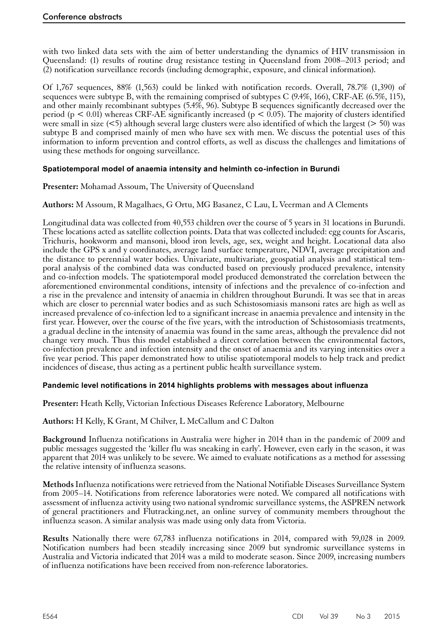<span id="page-61-0"></span>with two linked data sets with the aim of better understanding the dynamics of HIV transmission in Queensland: (1) results of routine drug resistance testing in Queensland from 2008–2013 period; and (2) notification surveillance records (including demographic, exposure, and clinical information).

Of 1,767 sequences, 88% (1,563) could be linked with notification records. Overall, 78.7% (1,390) of sequences were subtype B, with the remaining comprised of subtypes C  $(9.4\%, 166)$ , CRF-AE  $(6.5\%, 115)$ , and other mainly recombinant subtypes (5.4%, 96). Subtype B sequences significantly decreased over the period ( $p < 0.01$ ) whereas CRF-AE significantly increased ( $p < 0.05$ ). The majority of clusters identified were small in size  $(\leq 5)$  although several large clusters were also identified of which the largest ( $> 50$ ) was subtype B and comprised mainly of men who have sex with men. We discuss the potential uses of this information to inform prevention and control efforts, as well as discuss the challenges and limitations of using these methods for ongoing surveillance.

# **Spatiotemporal model of anaemia intensity and helminth co-infection in Burundi**

**Presenter:** Mohamad Assoum, The University of Queensland

**Authors:** M Assoum, R Magalhaes, G Ortu, MG Basanez, C Lau, L Veerman and A Clements

Longitudinal data was collected from 40,553 children over the course of 5 years in 31 locations in Burundi. These locations acted as satellite collection points. Data that was collected included: egg counts for Ascaris, Trichuris, hookworm and mansoni, blood iron levels, age, sex, weight and height. Locational data also include the GPS x and y coordinates, average land surface temperature, NDVI, average precipitation and the distance to perennial water bodies. Univariate, multivariate, geospatial analysis and statistical temporal analysis of the combined data was conducted based on previously produced prevalence, intensity and co-infection models. The spatiotemporal model produced demonstrated the correlation between the aforementioned environmental conditions, intensity of infections and the prevalence of co-infection and a rise in the prevalence and intensity of anaemia in children throughout Burundi. It was see that in areas which are closer to perennial water bodies and as such Schistosomiasis mansoni rates are high as well as increased prevalence of co-infection led to a significant increase in anaemia prevalence and intensity in the first year. However, over the course of the five years, with the introduction of Schistosomiasis treatments, a gradual decline in the intensity of anaemia was found in the same areas, although the prevalence did not change very much. Thus this model established a direct correlation between the environmental factors, co-infection prevalence and infection intensity and the onset of anaemia and its varying intensities over a five year period. This paper demonstrated how to utilise spatiotemporal models to help track and predict incidences of disease, thus acting as a pertinent public health surveillance system.

#### **Pandemic level notifications in 2014 highlights problems with messages about influenza**

**Presenter:** Heath Kelly, Victorian Infectious Diseases Reference Laboratory, Melbourne

**Authors:** H Kelly, K Grant, M Chilver, L McCallum and C Dalton

**Background** Influenza notifications in Australia were higher in 2014 than in the pandemic of 2009 and public messages suggested the 'killer flu was sneaking in early'. However, even early in the season, it was apparent that 2014 was unlikely to be severe. We aimed to evaluate notifications as a method for assessing the relative intensity of influenza seasons.

**Methods** Influenza notifications were retrieved from the National Notifiable Diseases Surveillance System from 2005–14. Notifications from reference laboratories were noted. We compared all notifications with assessment of influenza activity using two national syndromic surveillance systems, the ASPREN network of general practitioners and Flutracking.net, an online survey of community members throughout the influenza season. A similar analysis was made using only data from Victoria.

**Results** Nationally there were 67,783 influenza notifications in 2014, compared with 59,028 in 2009. Notification numbers had been steadily increasing since 2009 but syndromic surveillance systems in Australia and Victoria indicated that 2014 was a mild to moderate season. Since 2009, increasing numbers of influenza notifications have been received from non-reference laboratories.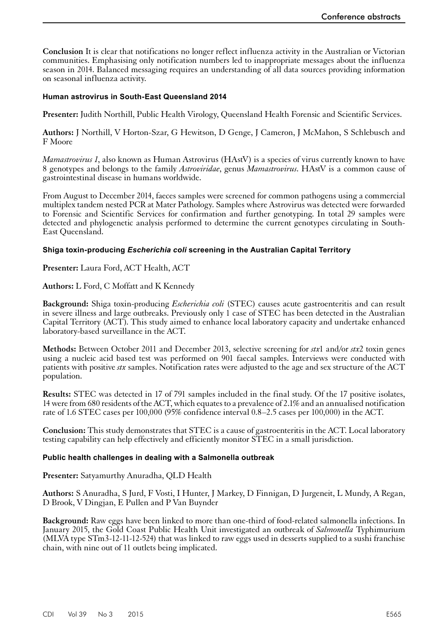<span id="page-62-0"></span>**Conclusion** It is clear that notifications no longer reflect influenza activity in the Australian or Victorian communities. Emphasising only notification numbers led to inappropriate messages about the influenza season in 2014. Balanced messaging requires an understanding of all data sources providing information on seasonal influenza activity.

#### **Human astrovirus in South-East Queensland 2014**

**Presenter:** Judith Northill, Public Health Virology, Queensland Health Forensic and Scientific Services.

**Authors:** J Northill, V Horton-Szar, G Hewitson, D Genge, J Cameron, J McMahon, S Schlebusch and F Moore

*Mamastrovirus 1*, also known as Human Astrovirus (HAstV) is a species of virus currently known to have 8 genotypes and belongs to the family *Astroviridae*, genus *Mamastrovirus*. HAstV is a common cause of gastrointestinal disease in humans worldwide.

From August to December 2014, faeces samples were screened for common pathogens using a commercial multiplex tandem nested PCR at Mater Pathology. Samples where Astrovirus was detected were forwarded to Forensic and Scientific Services for confirmation and further genotyping. In total 29 samples were detected and phylogenetic analysis performed to determine the current genotypes circulating in South-East Queensland.

#### **Shiga toxin-producing** *Escherichia coli* **screening in the Australian Capital Territory**

**Presenter:** Laura Ford, ACT Health, ACT

**Authors:** L Ford, C Moffatt and K Kennedy

**Background:** Shiga toxin-producing *Escherichia coli* (STEC) causes acute gastroenteritis and can result in severe illness and large outbreaks. Previously only 1 case of STEC has been detected in the Australian Capital Territory (ACT). This study aimed to enhance local laboratory capacity and undertake enhanced laboratory-based surveillance in the ACT.

**Methods:** Between October 2011 and December 2013, selective screening for *stx*1 and/or *stx*2 toxin genes using a nucleic acid based test was performed on 901 faecal samples. Interviews were conducted with patients with positive *stx* samples. Notification rates were adjusted to the age and sex structure of the ACT population.

**Results:** STEC was detected in 17 of 791 samples included in the final study. Of the 17 positive isolates, 14were from 680 residents of the ACT, which equates to a prevalence of 2.1% and an annualised notification rate of 1.6 STEC cases per 100,000 (95% confidence interval 0.8–2.5 cases per 100,000) in the ACT.

**Conclusion:** This study demonstrates that STEC is a cause of gastroenteritis in the ACT. Local laboratory testing capability can help effectively and efficiently monitor STEC in a small jurisdiction.

#### **Public health challenges in dealing with a Salmonella outbreak**

**Presenter:** Satyamurthy Anuradha, QLD Health

**Authors:** S Anuradha, S Jurd, F Vosti, I Hunter, J Markey, D Finnigan, D Jurgeneit, L Mundy, A Regan, D Brook, V Dingjan, E Pullen and P Van Buynder

**Background:** Raw eggs have been linked to more than one-third of food-related salmonella infections. In January 2015, the Gold Coast Public Health Unit investigated an outbreak of *Salmonella* Typhimurium (MLVA type STm3-12-11-12-524) that was linked to raw eggs used in desserts supplied to a sushi franchise chain, with nine out of 11 outlets being implicated.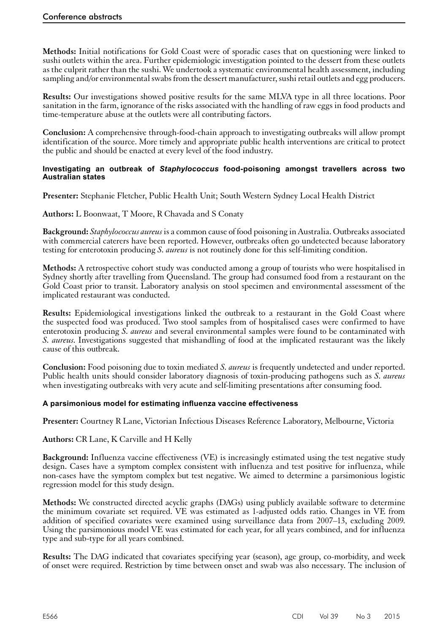<span id="page-63-0"></span>**Methods:** Initial notifications for Gold Coast were of sporadic cases that on questioning were linked to sushi outlets within the area. Further epidemiologic investigation pointed to the dessert from these outlets as the culprit rather than the sushi. We undertook a systematic environmental health assessment, including sampling and/or environmental swabs from the dessert manufacturer, sushi retail outlets and egg producers.

**Results:** Our investigations showed positive results for the same MLVA type in all three locations. Poor sanitation in the farm, ignorance of the risks associated with the handling of raw eggs in food products and time-temperature abuse at the outlets were all contributing factors.

**Conclusion:** A comprehensive through-food-chain approach to investigating outbreaks will allow prompt identification of the source. More timely and appropriate public health interventions are critical to protect the public and should be enacted at every level of the food industry.

#### **Investigating an outbreak of** *Staphylococcus* **food-poisoning amongst travellers across two Australian states**

**Presenter:** Stephanie Fletcher, Public Health Unit; South Western Sydney Local Health District

**Authors:** L Boonwaat, T Moore, R Chavada and S Conaty

**Background:** *Staphylococcus aureus* is a common cause of food poisoning in Australia. Outbreaks associated with commercial caterers have been reported. However, outbreaks often go undetected because laboratory testing for enterotoxin producing *S. aureus* is not routinely done for this self-limiting condition.

**Methods:** A retrospective cohort study was conducted among a group of tourists who were hospitalised in Sydney shortly after travelling from Queensland. The group had consumed food from a restaurant on the Gold Coast prior to transit. Laboratory analysis on stool specimen and environmental assessment of the implicated restaurant was conducted.

**Results:** Epidemiological investigations linked the outbreak to a restaurant in the Gold Coast where the suspected food was produced. Two stool samples from of hospitalised cases were confirmed to have enterotoxin producing *S. aureus* and several environmental samples were found to be contaminated with *S. aureus*. Investigations suggested that mishandling of food at the implicated restaurant was the likely cause of this outbreak.

**Conclusion:** Food poisoning due to toxin mediated *S. aureus* is frequently undetected and under reported. Public health units should consider laboratory diagnosis of toxin-producing pathogens such as *S. aureus* when investigating outbreaks with very acute and self-limiting presentations after consuming food.

#### **A parsimonious model for estimating influenza vaccine effectiveness**

**Presenter:** Courtney R Lane, Victorian Infectious Diseases Reference Laboratory, Melbourne, Victoria

**Authors:** CR Lane, K Carville and H Kelly

**Background:** Influenza vaccine effectiveness (VE) is increasingly estimated using the test negative study design. Cases have a symptom complex consistent with influenza and test positive for influenza, while non-cases have the symptom complex but test negative. We aimed to determine a parsimonious logistic regression model for this study design.

**Methods:** We constructed directed acyclic graphs (DAGs) using publicly available software to determine the minimum covariate set required. VE was estimated as 1-adjusted odds ratio. Changes in VE from addition of specified covariates were examined using surveillance data from 2007–13, excluding 2009. Using the parsimonious model VE was estimated for each year, for all years combined, and for influenza type and sub-type for all years combined.

**Results:** The DAG indicated that covariates specifying year (season), age group, co-morbidity, and week of onset were required. Restriction by time between onset and swab was also necessary. The inclusion of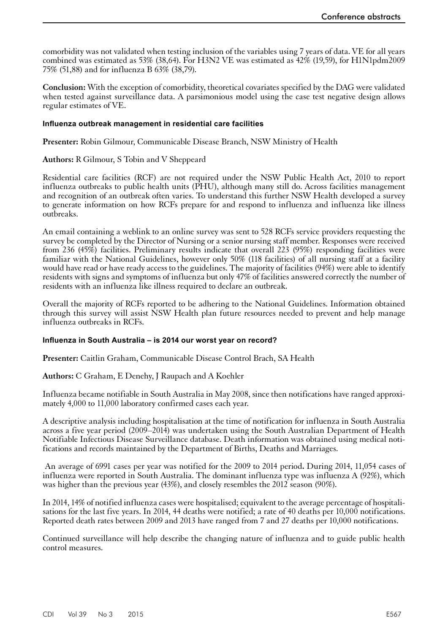<span id="page-64-0"></span>comorbidity was not validated when testing inclusion of the variables using 7 years of data. VE for all years combined was estimated as 53% (38,64). For H3N2 VE was estimated as 42% (19,59), for H1N1pdm2009 75% (51,88) and for influenza B 63% (38,79).

**Conclusion:** With the exception of comorbidity, theoretical covariates specified by the DAG were validated when tested against surveillance data. A parsimonious model using the case test negative design allows regular estimates of VE.

#### **Influenza outbreak management in residential care facilities**

**Presenter:** Robin Gilmour, Communicable Disease Branch, NSW Ministry of Health

#### **Authors:** R Gilmour, S Tobin and V Sheppeard

Residential care facilities (RCF) are not required under the NSW Public Health Act, 2010 to report influenza outbreaks to public health units (PHU), although many still do. Across facilities management and recognition of an outbreak often varies. To understand this further NSW Health developed a survey to generate information on how RCFs prepare for and respond to influenza and influenza like illness outbreaks.

An email containing a weblink to an online survey was sent to 528 RCFs service providers requesting the survey be completed by the Director of Nursing or a senior nursing staff member. Responses were received from 236 (45%) facilities. Preliminary results indicate that overall 223 (95%) responding facilities were familiar with the National Guidelines, however only 50% (118 facilities) of all nursing staff at a facility would have read or have ready access to the guidelines. The majority of facilities (94%) were able to identify residents with signs and symptoms of influenza but only 47% of facilities answered correctly the number of residents with an influenza like illness required to declare an outbreak.

Overall the majority of RCFs reported to be adhering to the National Guidelines. Information obtained through this survey will assist NSW Health plan future resources needed to prevent and help manage influenza outbreaks in RCFs.

#### **Influenza in South Australia – is 2014 our worst year on record?**

**Presenter:** Caitlin Graham, Communicable Disease Control Brach, SA Health

**Authors:** C Graham, E Denehy, J Raupach and A Koehler

Influenza became notifiable in South Australia in May 2008, since then notifications have ranged approxi- mately 4,000 to 11,000 laboratory confirmed cases each year.

A descriptive analysis including hospitalisation at the time of notification for influenza in South Australia across a five year period (2009–2014) was undertaken using the South Australian Department of Health Notifiable Infectious Disease Surveillance database. Death information was obtained using medical notifications and records maintained by the Department of Births, Deaths and Marriages.

An average of 6991 cases per year was notified for the 2009 to 2014 period**.** During 2014, 11,054 cases of influenza were reported in South Australia. The dominant influenza type was influenza A (92%), which was higher than the previous year (43%), and closely resembles the 2012 season (90%).

In 2014, 14% of notified influenza cases were hospitalised; equivalent to the average percentage of hospitali- sations for the last five years. In 2014, 44 deaths were notified; a rate of 40 deaths per 10,000 notifications. Reported death rates between 2009 and 2013 have ranged from 7 and 27 deaths per 10,000 notifications.

Continued surveillance will help describe the changing nature of influenza and to guide public health control measures.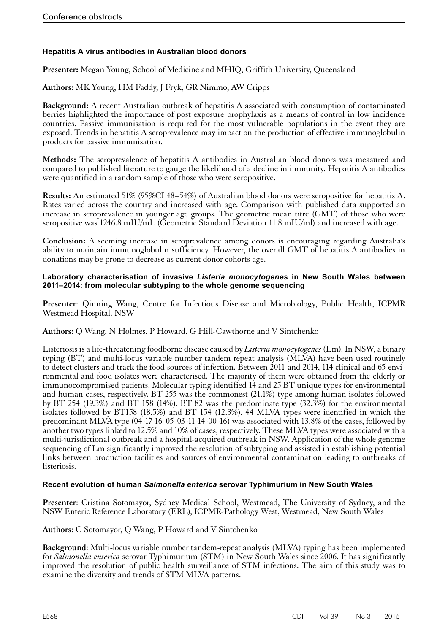# <span id="page-65-0"></span>**Hepatitis A virus antibodies in Australian blood donors**

**Presenter:** Megan Young, School of Medicine and MHIQ, Griffith University, Queensland

**Authors:** MK Young, HM Faddy, J Fryk, GR Nimmo, AW Cripps

**Background:** A recent Australian outbreak of hepatitis A associated with consumption of contaminated berries highlighted the importance of post exposure prophylaxis as a means of control in low incidence countries. Passive immunisation is required for the most vulnerable populations in the event they are exposed. Trends in hepatitis A seroprevalence may impact on the production of effective immunoglobulin products for passive immunisation.

**Methods:** The seroprevalence of hepatitis A antibodies in Australian blood donors was measured and compared to published literature to gauge the likelihood of a decline in immunity. Hepatitis A antibodies were quantified in a random sample of those who were seropositive.

**Results:** An estimated 51% (95%CI 48–54%) of Australian blood donors were seropositive for hepatitis A. Rates varied across the country and increased with age. Comparison with published data supported an increase in seroprevalence in younger age groups. The geometric mean titre (GMT) of those who were seropositive was 1246.8 mIU/mL (Geometric Standard Deviation 11.8 mIU/ml) and increased with age.

**Conclusion:** A seeming increase in seroprevalence among donors is encouraging regarding Australia's ability to maintain immunoglobulin sufficiency. However, the overall GMT of hepatitis A antibodies in donations may be prone to decrease as current donor cohorts age.

#### **Laboratory characterisation of invasive** *Listeria monocytogenes* **in New South Wales between 2011–2014: from molecular subtyping to the whole genome sequencing**

**Presenter**: Qinning Wang, Centre for Infectious Disease and Microbiology, Public Health, ICPMR Westmead Hospital. NSW

**Authors:** Q Wang, N Holmes, P Howard, G Hill-Cawthorne and V Sintchenko

Listeriosis is a life-threatening foodborne disease caused by *Listeria monocytogenes* (Lm). In NSW, a binary typing (BT) and multi-locus variable number tandem repeat analysis (MLVA) have been used routinely to detect clusters and track the food sources of infection. Between 2011 and 2014, 114 clinical and 65 envi- ronmental and food isolates were characterised. The majority of them were obtained from the elderly or immunocompromised patients. Molecular typing identified 14 and 25 BT unique types for environmental and human cases, respectively. BT 255 was the commonest (21.1%) type among human isolates followed by BT 254 (19.3%) and BT 158 (14%). BT 82 was the predominate type (32.3%) for the environmental isolates followed by BT158 (18.5%) and BT 154 (12.3%). 44 MLVA types were identified in which the predominant MLVA type (04-17-16-05-03-11-14-00-16) was associated with 13.8% of the cases, followed by another two types linked to 12.5% and 10% of cases, respectively. These MLVA types were associated with a multi-jurisdictional outbreak and a hospital-acquired outbreak in NSW. Application of the whole genome sequencing of Lm significantly improved the resolution of subtyping and assisted in establishing potential links between production facilities and sources of environmental contamination leading to outbreaks of listeriosis.

# **Recent evolution of human** *Salmonella enterica* **serovar Typhimurium in New South Wales**

**Presenter**: Cristina Sotomayor, Sydney Medical School, Westmead, The University of Sydney, and the NSW Enteric Reference Laboratory (ERL), ICPMR-Pathology West, Westmead, New South Wales

**Authors**: C Sotomayor, Q Wang, P Howard and V Sintchenko

**Background**: Multi-locus variable number tandem-repeat analysis (MLVA) typing has been implemented for *Salmonella enterica* serovar Typhimurium (STM) in New South Wales since 2006. It has significantly improved the resolution of public health surveillance of STM infections. The aim of this study was to examine the diversity and trends of STM MLVA patterns.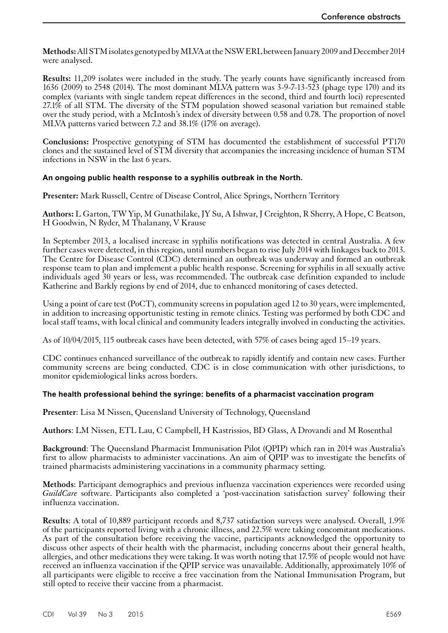<span id="page-66-0"></span>**Methods:** All STM isolates genotyped by MLVA at the NSW ERL between January 2009 and December 2014 were analysed.

**Results:** 11,209 isolates were included in the study. The yearly counts have significantly increased from 1636 (2009) to 2548 (2014). The most dominant MLVA pattern was 3-9-7-13-523 (phage type 170) and its complex (variants with single tandem repeat differences in the second, third and fourth loci) represented 27.1% of all STM. The diversity of the STM population showed seasonal variation but remained stable over the study period, with a McIntosh's index of diversity between 0.58 and 0.78. The proportion of novel MLVA patterns varied between 7.2 and 38.1% (17% on average).

**Conclusions:** Prospective genotyping of STM has documented the establishment of successful PT170 clones and the sustained level of STM diversity that accompanies the increasing incidence of human STM infections in NSW in the last 6 years.

# **An ongoing public health response to a syphilis outbreak in the North.**

**Presenter:** Mark Russell, Centre of Disease Control, Alice Springs, Northern Territory

**Authors:** L Garton, TW Yip, M Gunathilake, JY Su, A Ishwar, J Creighton, R Sherry, A Hope, C Beatson, H Goodwin, N Ryder, M Thalanany, V Krause

In September 2013, a localised increase in syphilis notifications was detected in central Australia. A few further cases were detected, in this region, until numbers began to rise July 2014 with linkages back to 2013. The Centre for Disease Control (CDC) determined an outbreak was underway and formed an outbreak response team to plan and implement a public health response. Screening for syphilis in all sexually active individuals aged 30 years or less, was recommended. The outbreak case definition expanded to include Katherine and Barkly regions by end of 2014, due to enhanced monitoring of cases detected.

Using a point of care test (PoCT), community screens in population aged 12 to 30 years, were implemented, in addition to increasing opportunistic testing in remote clinics. Testing was performed by both CDC and local staff teams, with local clinical and community leaders integrally involved in conducting the activities.

As of 10/04/2015, 115 outbreak cases have been detected, with 57% of cases being aged 15–19 years.

CDC continues enhanced surveillance of the outbreak to rapidly identify and contain new cases. Further community screens are being conducted. CDC is in close communication with other jurisdictions, to monitor epidemiological links across borders.

#### **The health professional behind the syringe: benefits of a pharmacist vaccination program**

**Presenter**: Lisa M Nissen, Queensland University of Technology, Queensland

**Authors**: LM Nissen, ETL Lau, C Campbell, H Kastrissios, BD Glass, A Drovandi and M Rosenthal

**Background**: The Queensland Pharmacist Immunisation Pilot (QPIP) which ran in 2014 was Australia's first to allow pharmacists to administer vaccinations. An aim of QPIP was to investigate the benefits of trained pharmacists administering vaccinations in a community pharmacy setting.

**Methods**: Participant demographics and previous influenza vaccination experiences were recorded using *GuildCare* software. Participants also completed a 'post-vaccination satisfaction survey' following their influenza vaccination.

**Results**: A total of 10,889 participant records and 8,737 satisfaction surveys were analysed. Overall, 1.9% of the participants reported living with a chronic illness, and 22.5% were taking concomitant medications. As part of the consultation before receiving the vaccine, participants acknowledged the opportunity to discuss other aspects of their health with the pharmacist, including concerns about their general health, allergies, and other medications they were taking. It was worth noting that 17.5% of people would not have received an influenza vaccination if the QPIP service was unavailable. Additionally, approximately 10% of all participants were eligible to receive a free vaccination from the National Immunisation Program, but still opted to receive their vaccine from a pharmacist.